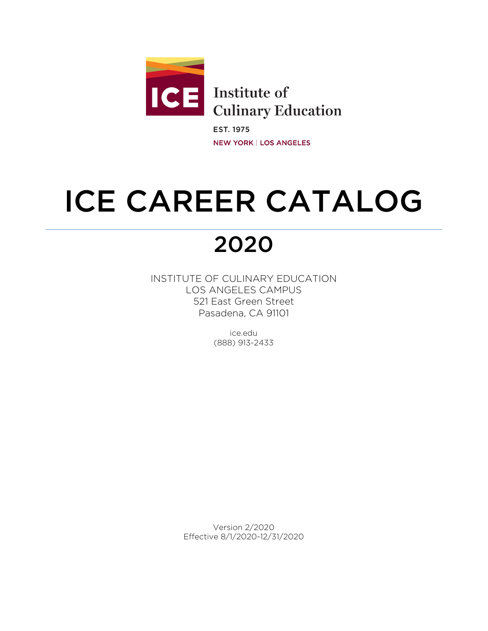

**EST. 1975 NEW YORK | LOS ANGELES** 

# ICE CAREER CATALOG

## 2020

INSTITUTE OF CULINARY EDUCATION LOS ANGELES CAMPUS 521 East Green Street Pasadena, CA 91101

> ice.edu (888) 913-2433

Version 2/2020 Effective 8/1/2020-12/31/2020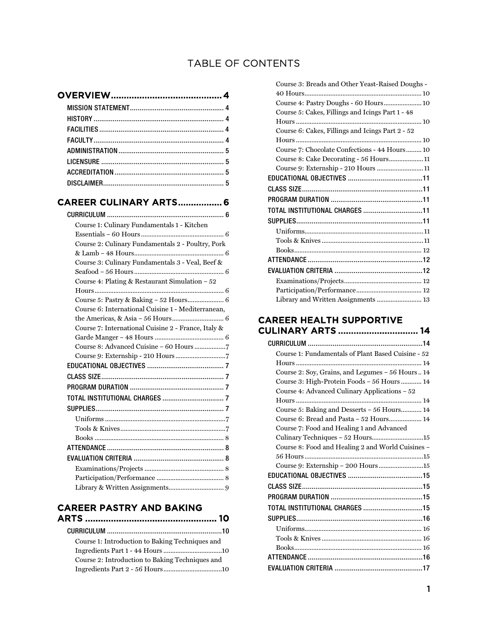## TABLE OF CONTENTS

## [CAREER CULINARY ARTS ................. 6](#page-6-0)

| Course 1: Culinary Fundamentals 1 - Kitchen         |
|-----------------------------------------------------|
|                                                     |
| Course 2: Culinary Fundamentals 2 - Poultry, Pork   |
|                                                     |
| Course 3: Culinary Fundamentals 3 - Veal, Beef &    |
|                                                     |
| Course 4: Plating & Restaurant Simulation $-52$     |
|                                                     |
| Course 5: Pastry & Baking - 52 Hours 6              |
| Course 6: International Cuisine 1 - Mediterranean.  |
|                                                     |
| Course 7: International Cuisine 2 - France, Italy & |
|                                                     |
|                                                     |
|                                                     |
|                                                     |
|                                                     |
|                                                     |
|                                                     |
|                                                     |
|                                                     |
|                                                     |
|                                                     |
|                                                     |
|                                                     |
|                                                     |
|                                                     |
|                                                     |

## [CAREER PASTRY AND BAKING](#page-10-0)

| SANEER LASTIN LAND DARING                       |  |
|-------------------------------------------------|--|
|                                                 |  |
| Course 1: Introduction to Baking Techniques and |  |
|                                                 |  |
| Course 2: Introduction to Baking Techniques and |  |
|                                                 |  |

| Course 3: Breads and Other Yeast-Raised Doughs - |  |
|--------------------------------------------------|--|
|                                                  |  |
| Course 4: Pastry Doughs - 60 Hours 10            |  |
| Course 5: Cakes, Fillings and Icings Part 1 - 48 |  |
|                                                  |  |
| Course 6: Cakes, Fillings and Icings Part 2 - 52 |  |
|                                                  |  |
| Course 7: Chocolate Confections - 44 Hours 10    |  |
| Course 8: Cake Decorating - 56 Hours11           |  |
| Course 9: Externship - 210 Hours 11              |  |
|                                                  |  |
|                                                  |  |
|                                                  |  |
|                                                  |  |
|                                                  |  |
|                                                  |  |
|                                                  |  |
|                                                  |  |
|                                                  |  |
|                                                  |  |
|                                                  |  |
|                                                  |  |
| Library and Written Assignments  13              |  |
|                                                  |  |

## [CAREER HEALTH SUPPORTIVE](#page-14-0)  [CULINARY ARTS ............................... 14](#page-14-0)

| Course 1: Fundamentals of Plant Based Cuisine - 52 |
|----------------------------------------------------|
|                                                    |
| Course 2: Soy, Grains, and Legumes – 56 Hours 14   |
| Course 3: High-Protein Foods - 56 Hours  14        |
| Course 4: Advanced Culinary Applications – 52      |
|                                                    |
| Course 5: Baking and Desserts – 56 Hours 14        |
| Course 6: Bread and Pasta - 52 Hours 14            |
| Course 7: Food and Healing 1 and Advanced          |
| Culinary Techniques - 52 Hours15                   |
| Course 8: Food and Healing 2 and World Cuisines –  |
|                                                    |
|                                                    |
|                                                    |
|                                                    |
|                                                    |
| TOTAL INSTITUTIONAL CHARGES 15                     |
|                                                    |
|                                                    |
|                                                    |
|                                                    |
|                                                    |
|                                                    |
|                                                    |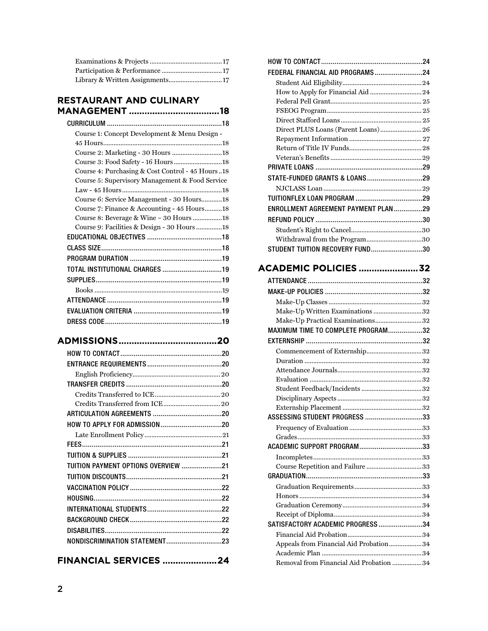## [RESTAURANT AND CULINARY](#page-18-0)  [MANAGEMENT ................................... 18](#page-18-0)

| Course 1: Concept Development & Menu Design -    |
|--------------------------------------------------|
|                                                  |
| Course 2: Marketing - 30 Hours 18                |
| Course 3: Food Safety - 16 Hours18               |
| Course 4: Purchasing & Cost Control - 45 Hours18 |
| Course 5: Supervisory Management & Food Service  |
|                                                  |
| Course 6: Service Management - 30 Hours18        |
| Course 7: Finance & Accounting - 45 Hours18      |
| Course 8: Beverage & Wine - 30 Hours 18          |
| Course 9: Facilities & Design - 30 Hours 18      |
|                                                  |
|                                                  |
|                                                  |
| TOTAL INSTITUTIONAL CHARGES 19                   |
|                                                  |
|                                                  |
|                                                  |
|                                                  |
|                                                  |
|                                                  |

## [ADMISSIONS ...................................... 20](#page-20-0)

| TUITION PAYMENT OPTIONS OVERVIEW 21 |
|-------------------------------------|
|                                     |
|                                     |
|                                     |
|                                     |
|                                     |
|                                     |
| NONDISCRIMINATION STATEMENT23       |

## [FINANCIAL SERVICES ..................... 24](#page-24-0)

| FEDERAL FINANCIAL AID PROGRAMS24     |  |
|--------------------------------------|--|
|                                      |  |
|                                      |  |
|                                      |  |
|                                      |  |
|                                      |  |
| Direct PLUS Loans (Parent Loans) 26  |  |
|                                      |  |
|                                      |  |
|                                      |  |
|                                      |  |
|                                      |  |
|                                      |  |
|                                      |  |
| ENROLLMENT AGREEMENT PAYMENT PLAN 29 |  |
|                                      |  |
|                                      |  |
| Withdrawal from the Program30        |  |
| STUDENT TUITION RECOVERY FUND30      |  |
|                                      |  |

## [ACADEMIC POLICIES ....................... 32](#page-32-0)

| Make-Up Written Examinations 32         |  |
|-----------------------------------------|--|
| Make-Up Practical Examinations32        |  |
| MAXIMUM TIME TO COMPLETE PROGRAM32      |  |
|                                         |  |
| Commencement of Externship32            |  |
|                                         |  |
|                                         |  |
|                                         |  |
|                                         |  |
|                                         |  |
|                                         |  |
| ASSESSING STUDENT PROGRESS 33           |  |
|                                         |  |
|                                         |  |
| ACADEMIC SUPPORT PROGRAM33              |  |
|                                         |  |
| Course Repetition and Failure 33        |  |
|                                         |  |
|                                         |  |
|                                         |  |
|                                         |  |
|                                         |  |
| SATISFACTORY ACADEMIC PROGRESS 34       |  |
|                                         |  |
| Appeals from Financial Aid Probation34  |  |
|                                         |  |
| Removal from Financial Aid Probation 34 |  |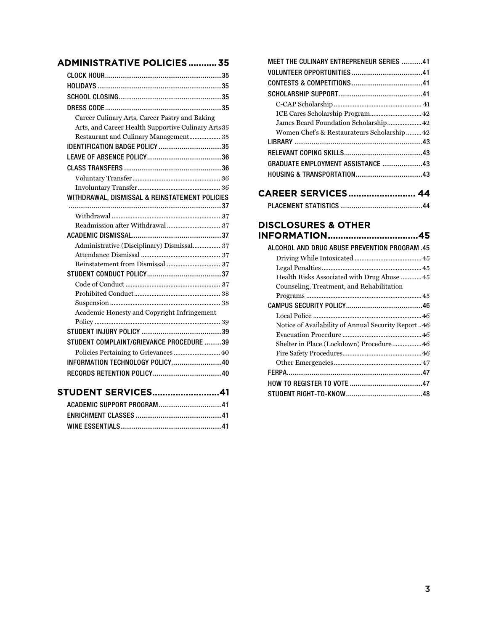## [ADMINISTRATIVE POLICIES ........... 35](#page-35-0)

| Career Culinary Arts, Career Pastry and Baking      |  |
|-----------------------------------------------------|--|
| Arts, and Career Health Supportive Culinary Arts 35 |  |
| Restaurant and Culinary Management 35               |  |
| <b>IDENTIFICATION BADGE POLICY 35</b>               |  |
|                                                     |  |
|                                                     |  |
|                                                     |  |
|                                                     |  |
| WITHDRAWAL, DISMISSAL & REINSTATEMENT POLICIES      |  |
|                                                     |  |
|                                                     |  |
|                                                     |  |
|                                                     |  |
| Administrative (Disciplinary) Dismissal 37          |  |
|                                                     |  |
|                                                     |  |
|                                                     |  |
|                                                     |  |
|                                                     |  |
|                                                     |  |
| Academic Honesty and Copyright Infringement         |  |
|                                                     |  |
|                                                     |  |
| STUDENT COMPLAINT/GRIEVANCE PROCEDURE 39            |  |
| Policies Pertaining to Grievances  40               |  |
| INFORMATION TECHNOLOGY POLICY40                     |  |
|                                                     |  |
| <b>STUDENT SERVICES41</b>                           |  |

| MEET THE CULINARY ENTREPRENEUR SERIES 41   |  |
|--------------------------------------------|--|
|                                            |  |
|                                            |  |
|                                            |  |
|                                            |  |
| ICE Cares Scholarship Program 42           |  |
| James Beard Foundation Scholarship 42      |  |
| Women Chef's & Restaurateurs Scholarship42 |  |
|                                            |  |
|                                            |  |
| GRADUATE EMPLOYMENT ASSISTANCE 43          |  |
|                                            |  |
|                                            |  |
|                                            |  |

## [CAREER SERVICES .......................... 44](#page-44-0)

|--|--|

## [DISCLOSURES & OTHER](#page-45-0)  [INFORMATION ................................... 45](#page-45-0)

| ALCOHOL AND DRUG ABUSE PREVENTION PROGRAM .45      |  |
|----------------------------------------------------|--|
|                                                    |  |
|                                                    |  |
| Health Risks Associated with Drug Abuse 45         |  |
| Counseling, Treatment, and Rehabilitation          |  |
|                                                    |  |
|                                                    |  |
|                                                    |  |
| Notice of Availability of Annual Security Report46 |  |
|                                                    |  |
| Shelter in Place (Lockdown) Procedure 46           |  |
|                                                    |  |
|                                                    |  |
|                                                    |  |
|                                                    |  |
|                                                    |  |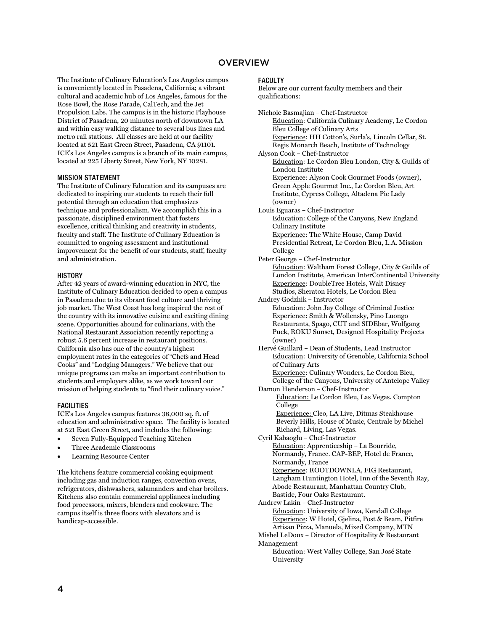#### **OVERVIEW**

<span id="page-4-0"></span>The Institute of Culinary Education's Los Angeles campus is conveniently located in Pasadena, California; a vibrant cultural and academic hub of Los Angeles, famous for the Rose Bowl, the Rose Parade, CalTech, and the Jet Propulsion Labs. The campus is in the historic Playhouse District of Pasadena, 20 minutes north of downtown LA and within easy walking distance to several bus lines and metro rail stations. All classes are held at our facility located at 521 East Green Street, Pasadena, CA 91101. ICE's Los Angeles campus is a branch of its main campus, located at 225 Liberty Street, New York, NY 10281.

#### <span id="page-4-1"></span>MISSION STATEMENT

The Institute of Culinary Education and its campuses are dedicated to inspiring our students to reach their full potential through an education that emphasizes technique and professionalism. We accomplish this in a passionate, disciplined environment that fosters excellence, critical thinking and creativity in students, faculty and staff. The Institute of Culinary Education is committed to ongoing assessment and institutional improvement for the benefit of our students, staff, faculty and administration.

#### <span id="page-4-2"></span>**HISTORY**

After 42 years of award-winning education in NYC, the Institute of Culinary Education decided to open a campus in Pasadena due to its vibrant food culture and thriving job market. The West Coast has long inspired the rest of the country with its innovative cuisine and exciting dining scene. Opportunities abound for culinarians, with the National Restaurant Association recently reporting a robust 5.6 percent increase in restaurant positions. California also has one of the country's highest employment rates in the categories of "Chefs and Head Cooks" and "Lodging Managers." We believe that our unique programs can make an important contribution to students and employers alike, as we work toward our mission of helping students to "find their culinary voice."

#### <span id="page-4-3"></span>FACILITIES

ICE's Los Angeles campus features 38,000 sq. ft. of education and administrative space. The facility is located at 521 East Green Street, and includes the following:

- Seven Fully-Equipped Teaching Kitchen
- Three Academic Classrooms
- Learning Resource Center

The kitchens feature commercial cooking equipment including gas and induction ranges, convection ovens, refrigerators, dishwashers, salamanders and char broilers. Kitchens also contain commercial appliances including food processors, mixers, blenders and cookware. The campus itself is three floors with elevators and is handicap-accessible.

#### <span id="page-4-4"></span>**FACULTY**

Below are our current faculty members and their qualifications:

Nichole Basmajian – Chef-Instructor Education: California Culinary Academy, Le Cordon Bleu College of Culinary Arts Experience: HH Cotton's, Surla's, Lincoln Cellar, St. Regis Monarch Beach, Institute of Technology Alyson Cook – Chef-Instructor Education: Le Cordon Bleu London, City & Guilds of London Institute Experience: Alyson Cook Gourmet Foods (owner), Green Apple Gourmet Inc., Le Cordon Bleu, Art Institute, Cypress College, Altadena Pie Lady (owner) Louis Eguaras – Chef-Instructor Education: College of the Canyons, New England Culinary Institute Experience: The White House, Camp David Presidential Retreat, Le Cordon Bleu, L.A. Mission College Peter George – Chef-Instructor Education: Waltham Forest College, City & Guilds of London Institute, American InterContinental University Experience: DoubleTree Hotels, Walt Disney Studios, Sheraton Hotels, Le Cordon Bleu Andrey Godzhik – Instructor Education: John Jay College of Criminal Justice Experience: Smith & Wollensky, Pino Luongo Restaurants, Spago, CUT and SIDEbar, Wolfgang Puck, ROKU Sunset, Designed Hospitality Projects (owner) Hervé Guillard – Dean of Students, Lead Instructor Education: University of Grenoble, California School of Culinary Arts Experience: Culinary Wonders, Le Cordon Bleu, College of the Canyons, University of Antelope Valley Damon Henderson – Chef-Instructor Education: Le Cordon Bleu, Las Vegas. Compton College Experience: Cleo, LA Live, Ditmas Steakhouse Beverly Hills, House of Music, Centrale by Michel Richard, Living, Las Vegas. Cyril Kabaoglu – Chef-Instructor Education: Apprenticeship – La Bourride, Normandy, France. CAP-BEP, Hotel de France, Normandy, France Experience: ROOTDOWNLA, FIG Restaurant, Langham Huntington Hotel, Inn of the Seventh Ray, Abode Restaurant, Manhattan Country Club, Bastide, Four Oaks Restaurant. Andrew Lakin – Chef-Instructor Education: University of Iowa, Kendall College Experience: W Hotel, Gjelina, Post & Beam, Pitfire Artisan Pizza, Manuela, Mixed Company, MTN Mishel LeDoux – Director of Hospitality & Restaurant Management Education: West Valley College, San José State University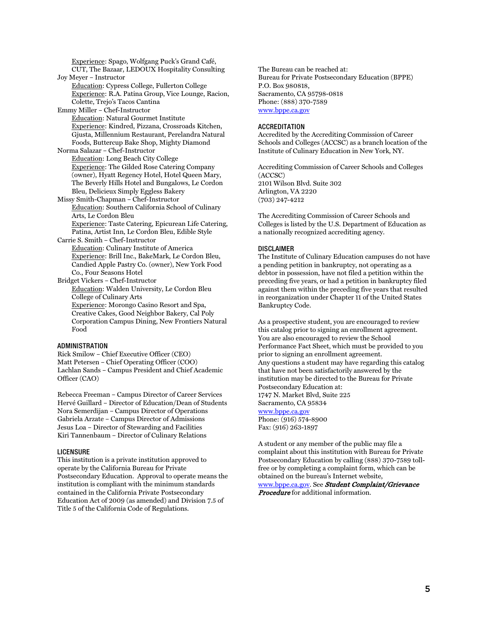Experience: Spago, Wolfgang Puck's Grand Café, CUT, The Bazaar, LEDOUX Hospitality Consulting Joy Meyer – Instructor Education: Cypress College, Fullerton College Experience: R.A. Patina Group, Vice Lounge, Racion, Colette, Trejo's Tacos Cantina Emmy Miller – Chef-Instructor Education: Natural Gourmet Institute Experience: Kindred, Pizzana, Crossroads Kitchen, Gjusta, Millennium Restaurant, Perelandra Natural Foods, Buttercup Bake Shop, Mighty Diamond Norma Salazar – Chef-Instructor Education: Long Beach City College Experience: The Gilded Rose Catering Company (owner), Hyatt Regency Hotel, Hotel Queen Mary, The Beverly Hills Hotel and Bungalows, Le Cordon Bleu, Delicieux Simply Eggless Bakery Missy Smith-Chapman – Chef-Instructor Education: Southern California School of Culinary Arts, Le Cordon Bleu Experience: Taste Catering, Epicurean Life Catering, Patina, Artist Inn, Le Cordon Bleu, Edible Style Carrie S. Smith – Chef-Instructor Education: Culinary Institute of America Experience: Brill Inc., BakeMark, Le Cordon Bleu, Candied Apple Pastry Co. (owner), New York Food Co., Four Seasons Hotel Bridget Vickers – Chef-Instructor Education: Walden University, Le Cordon Bleu College of Culinary Arts Experience: Morongo Casino Resort and Spa, Creative Cakes, Good Neighbor Bakery, Cal Poly Corporation Campus Dining, New Frontiers Natural Food

#### <span id="page-5-0"></span>ADMINISTRATION

Rick Smilow – Chief Executive Officer (CEO) Matt Petersen – Chief Operating Officer (COO) Lachlan Sands – Campus President and Chief Academic Officer (CAO)

Rebecca Freeman – Campus Director of Career Services Hervé Guillard – Director of Education/Dean of Students Nora Semerdijan – Campus Director of Operations Gabriela Arzate – Campus Director of Admissions Jesus Loa – Director of Stewarding and Facilities Kiri Tannenbaum – Director of Culinary Relations

#### <span id="page-5-1"></span>LICENSURE

This institution is a private institution approved to operate by the California Bureau for Private Postsecondary Education. Approval to operate means the institution is compliant with the minimum standards contained in the California Private Postsecondary Education Act of 2009 (as amended) and Division 7.5 of Title 5 of the California Code of Regulations.

The Bureau can be reached at: Bureau for Private Postsecondary Education (BPPE) P.O. Box 980818, Sacramento, CA 95798-0818 Phone: (888) 370-7589 [www.bppe.ca.gov](http://www.bppe.ca.gov/)

#### <span id="page-5-2"></span>**ACCREDITATION**

Accredited by the Accrediting Commission of Career Schools and Colleges (ACCSC) as a branch location of the Institute of Culinary Education in New York, NY.

Accrediting Commission of Career Schools and Colleges (ACCSC) 2101 Wilson Blvd. Suite 302 Arlington, VA 2220 (703) 247-4212

The Accrediting Commission of Career Schools and Colleges is listed by the U.S. Department of Education as a nationally recognized accrediting agency.

#### <span id="page-5-3"></span>DISCLAIMER

The Institute of Culinary Education campuses do not have a pending petition in bankruptcy, not operating as a debtor in possession, have not filed a petition within the preceding five years, or had a petition in bankruptcy filed against them within the preceding five years that resulted in reorganization under Chapter 11 of the United States Bankruptcy Code.

As a prospective student, you are encouraged to review this catalog prior to signing an enrollment agreement. You are also encouraged to review the School Performance Fact Sheet, which must be provided to you prior to signing an enrollment agreement. Any questions a student may have regarding this catalog that have not been satisfactorily answered by the institution may be directed to the Bureau for Private Postsecondary Education at: 1747 N. Market Blvd, Suite 225 Sacramento, CA 95834 [www.bppe.ca.gov](http://www.bppe.ca.gov/) Phone: (916) 574-8900 Fax: (916) 263-1897

A student or any member of the public may file a complaint about this institution with Bureau for Private Postsecondary Education by calling (888) 370-7589 tollfree or by completing a complaint form, which can be obtained on the bureau's Internet website,

[www.bppe.ca.gov.](http://www.bppe.ca.gov/) See Student Complaint/Grievance **Procedure** for additional information.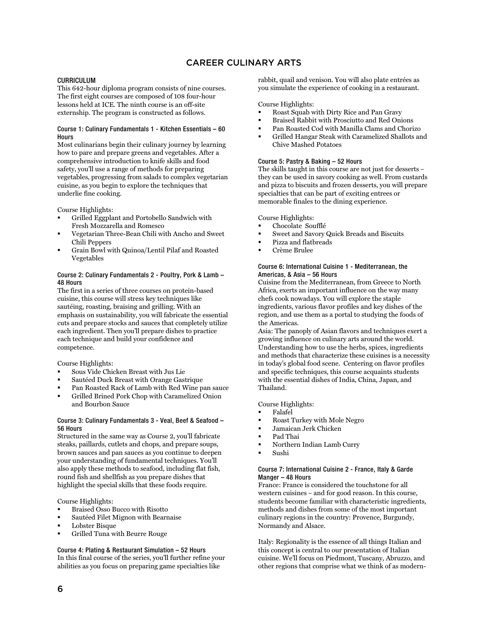## CAREER CULINARY ARTS

#### <span id="page-6-1"></span><span id="page-6-0"></span>CURRICULUM

This 642-hour diploma program consists of nine courses. The first eight courses are composed of 108 four-hour lessons held at ICE. The ninth course is an off-site externship. The program is constructed as follows.

#### <span id="page-6-2"></span>Course 1: Culinary Fundamentals 1 - Kitchen Essentials – 60 **Hours**

Most culinarians begin their culinary journey by learning how to pare and prepare greens and vegetables. After a comprehensive introduction to knife skills and food safety, you'll use a range of methods for preparing vegetables, progressing from salads to complex vegetarian cuisine, as you begin to explore the techniques that underlie fine cooking.

Course Highlights:

- Grilled Eggplant and Portobello Sandwich with Fresh Mozzarella and Romesco
- Vegetarian Three-Bean Chili with Ancho and Sweet Chili Peppers
- Grain Bowl with Quinoa/Lentil Pilaf and Roasted Vegetables

#### <span id="page-6-3"></span>Course 2: Culinary Fundamentals 2 - Poultry, Pork & Lamb – 48 Hours

The first in a series of three courses on protein-based cuisine, this course will stress key techniques like sautéing, roasting, braising and grilling. With an emphasis on sustainability, you will fabricate the essential cuts and prepare stocks and sauces that completely utilize each ingredient. Then you'll prepare dishes to practice each technique and build your confidence and competence.

Course Highlights:

- Sous Vide Chicken Breast with Jus Lie
- Sautéed Duck Breast with Orange Gastrique
- Pan Roasted Rack of Lamb with Red Wine pan sauce
- Grilled Brined Pork Chop with Caramelized Onion and Bourbon Sauce

#### <span id="page-6-4"></span>Course 3: Culinary Fundamentals 3 - Veal, Beef & Seafood – 56 Hours

Structured in the same way as Course 2, you'll fabricate steaks, paillards, cutlets and chops, and prepare soups, brown sauces and pan sauces as you continue to deepen your understanding of fundamental techniques. You'll also apply these methods to seafood, including flat fish, round fish and shellfish as you prepare dishes that highlight the special skills that these foods require.

Course Highlights:

- Braised Osso Bucco with Risotto
- Sautéed Filet Mignon with Bearnaise
- Lobster Bisque
- Grilled Tuna with Beurre Rouge

<span id="page-6-5"></span>Course 4: Plating & Restaurant Simulation – 52 Hours In this final course of the series, you'll further refine your abilities as you focus on preparing game specialties like

rabbit, quail and venison. You will also plate entrées as you simulate the experience of cooking in a restaurant.

Course Highlights:

- Roast Squab with Dirty Rice and Pan Gravy
- Braised Rabbit with Prosciutto and Red Onions
- Pan Roasted Cod with Manilla Clams and Chorizo
- Grilled Hangar Steak with Caramelized Shallots and Chive Mashed Potatoes

#### <span id="page-6-6"></span>Course 5: Pastry & Baking – 52 Hours

The skills taught in this course are not just for desserts – they can be used in savory cooking as well. From custards and pizza to biscuits and frozen desserts, you will prepare specialties that can be part of exciting entrees or memorable finales to the dining experience.

Course Highlights:

- Chocolate Soufflé
- Sweet and Savory Quick Breads and Biscuits
- Pizza and flatbreads
- Crème Brulee

#### <span id="page-6-7"></span>Course 6: International Cuisine 1 - Mediterranean, the Americas, & Asia – 56 Hours

Cuisine from the Mediterranean, from Greece to North Africa, exerts an important influence on the way many chefs cook nowadays. You will explore the staple ingredients, various flavor profiles and key dishes of the region, and use them as a portal to studying the foods of the Americas.

Asia: The panoply of Asian flavors and techniques exert a growing influence on culinary arts around the world. Understanding how to use the herbs, spices, ingredients and methods that characterize these cuisines is a necessity in today's global food scene. Centering on flavor profiles and specific techniques, this course acquaints students with the essential dishes of India, China, Japan, and Thailand.

Course Highlights:

- Falafel
- Roast Turkey with Mole Negro
- Jamaican Jerk Chicken
- Pad Thai
- Northern Indian Lamb Curry
- Sushi

#### <span id="page-6-8"></span>Course 7: International Cuisine 2 - France, Italy & Garde Manger – 48 Hours

France: France is considered the touchstone for all western cuisines – and for good reason. In this course, students become familiar with characteristic ingredients, methods and dishes from some of the most important culinary regions in the country: Provence, Burgundy, Normandy and Alsace.

Italy: Regionality is the essence of all things Italian and this concept is central to our presentation of Italian cuisine. We'll focus on Piedmont, Tuscany, Abruzzo, and other regions that comprise what we think of as modern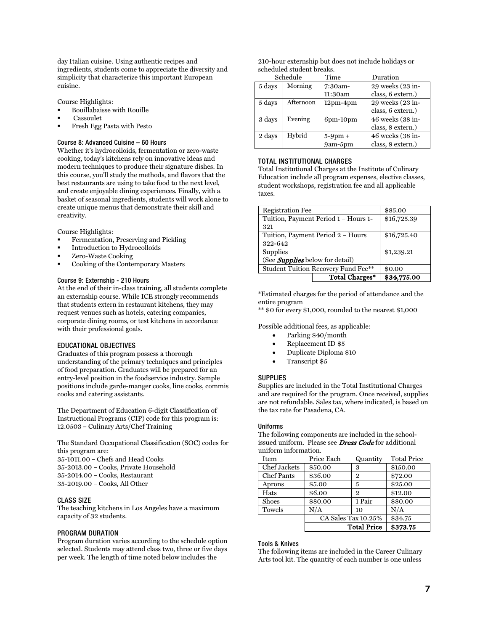day Italian cuisine. Using authentic recipes and ingredients, students come to appreciate the diversity and simplicity that characterize this important European cuisine.

Course Highlights:

- Bouillabaisse with Rouille
- Cassoulet
- Fresh Egg Pasta with Pesto

#### <span id="page-7-0"></span>Course 8: Advanced Cuisine – 60 Hours

Whether it's hydrocolloids, fermentation or zero-waste cooking, today's kitchens rely on innovative ideas and modern techniques to produce their signature dishes. In this course, you'll study the methods, and flavors that the best restaurants are using to take food to the next level, and create enjoyable dining experiences. Finally, with a basket of seasonal ingredients, students will work alone to create unique menus that demonstrate their skill and creativity.

Course Highlights:

- Fermentation, Preserving and Pickling
- Introduction to Hydrocolloids
- Zero-Waste Cooking
- Cooking of the Contemporary Masters

#### <span id="page-7-1"></span>Course 9: Externship - 210 Hours

At the end of their in-class training, all students complete an externship course. While ICE strongly recommends that students extern in restaurant kitchens, they may request venues such as hotels, catering companies, corporate dining rooms, or test kitchens in accordance with their professional goals.

#### <span id="page-7-2"></span>EDUCATIONAL OBJECTIVES

Graduates of this program possess a thorough understanding of the primary techniques and principles of food preparation. Graduates will be prepared for an entry-level position in the foodservice industry. Sample positions include garde-manger cooks, line cooks, commis cooks and catering assistants.

The Department of Education 6-digit Classification of Instructional Programs (CIP) code for this program is: 12.0503 – Culinary Arts/Chef Training

The Standard Occupational Classification (SOC) codes for this program are: 35-1011.00 – Chefs and Head Cooks

- 35-2013.00 Cooks, Private Household
- 35-2014.00 Cooks, Restaurant

35-2019.00 – Cooks, All Other

#### <span id="page-7-3"></span>CLASS SIZE

The teaching kitchens in Los Angeles have a maximum capacity of 32 students.

#### <span id="page-7-4"></span>PROGRAM DURATION

Program duration varies according to the schedule option selected. Students may attend class two, three or five days per week. The length of time noted below includes the

210-hour externship but does not include holidays or scheduled student breaks.

|        | Schedule  | Time            | Duration          |
|--------|-----------|-----------------|-------------------|
| 5 days | Morning   | 7:30am-         | 29 weeks (23 in-  |
|        |           | 11:30am         | class, 6 extern.) |
| 5 days | Afternoon | $12pm-4pm$      | 29 weeks (23 in-  |
|        |           |                 | class, 6 extern.) |
| 3 days | Evening   | $6$ pm- $10$ pm | 46 weeks (38 in-  |
|        |           |                 | class, 8 extern.) |
| 2 days | Hybrid    | $5-9$ pm +      | 46 weeks (38 in-  |
|        |           | 9am-5pm         | class, 8 extern.) |

#### <span id="page-7-5"></span>TOTAL INSTITUTIONAL CHARGES

Total Institutional Charges at the Institute of Culinary Education include all program expenses, elective classes, student workshops, registration fee and all applicable taxes.

| <b>Registration Fee</b>                |                                      | \$85.00     |
|----------------------------------------|--------------------------------------|-------------|
|                                        | Tuition, Payment Period 1 - Hours 1- | \$16,725.39 |
| 321                                    |                                      |             |
| Tuition, Payment Period 2 - Hours      | \$16,725.40                          |             |
| 322-642                                |                                      |             |
| <b>Supplies</b>                        | \$1,239.21                           |             |
| (See <b>Supplies</b> below for detail) |                                      |             |
| Student Tuition Recovery Fund Fee**    |                                      | \$0.00      |
|                                        | Total Charges*                       | \$34,775.00 |

\*Estimated charges for the period of attendance and the entire program

\*\* \$0 for every \$1,000, rounded to the nearest \$1,000

Possible additional fees, as applicable:

- Parking \$40/month
- Replacement ID \$5
- Duplicate Diploma \$10
- Transcript \$5

#### <span id="page-7-6"></span>**SUPPLIES**

Supplies are included in the Total Institutional Charges and are required for the program. Once received, supplies are not refundable. Sales tax, where indicated, is based on the tax rate for Pasadena, CA.

#### <span id="page-7-7"></span>Uniforms

The following components are included in the schoolissued uniform. Please see **[Dress Code](#page-9-1)** for additional uniform information.

| Item              | Price Each | Quantity            | <b>Total Price</b> |
|-------------------|------------|---------------------|--------------------|
| Chef Jackets      | \$50.00    | 3                   | \$150.00           |
| <b>Chef Pants</b> | \$36.00    | $\overline{2}$      | \$72.00            |
| Aprons            | \$5.00     | 5                   | \$25.00            |
| Hats              | \$6.00     | 2                   | \$12.00            |
| <b>Shoes</b>      | \$80.00    | 1 Pair              | \$80.00            |
| Towels            | N/A        | 10                  | N/A                |
|                   |            | CA Sales Tax 10.25% | \$34.75            |
|                   |            | <b>Total Price</b>  | \$373.75           |

#### <span id="page-7-8"></span>Tools & Knives

The following items are included in the Career Culinary Arts tool kit. The quantity of each number is one unless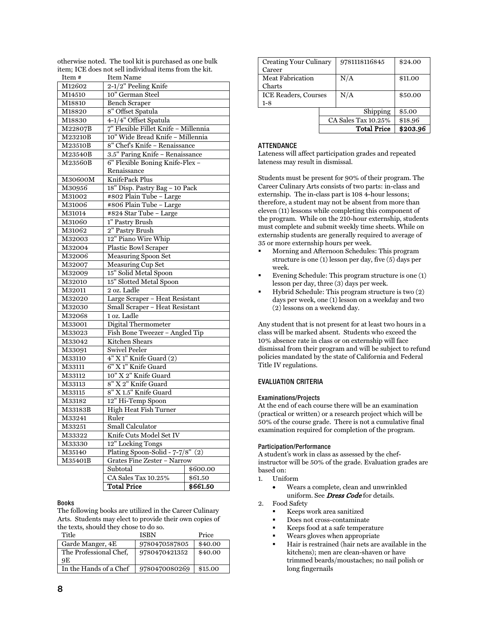| Item #  | Item Name                            |          |  |
|---------|--------------------------------------|----------|--|
| M12602  | 2-1/2" Peeling Knife                 |          |  |
| M14510  | 10" German Steel                     |          |  |
| M18810  | <b>Bench Scraper</b>                 |          |  |
| M18820  | 8" Offset Spatula                    |          |  |
| M18830  | 4-1/4" Offset Spatula                |          |  |
| M22807B | 7" Flexible Fillet Knife - Millennia |          |  |
| M23210B | 10" Wide Bread Knife - Millennia     |          |  |
| M23510B | 8" Chef's Knife - Renaissance        |          |  |
| M23540B | 3.5" Paring Knife - Renaissance      |          |  |
| M23560B | 6" Flexible Boning Knife-Flex -      |          |  |
|         | Renaissance                          |          |  |
| M30600M | KnifePack Plus                       |          |  |
| M30956  | 18" Disp. Pastry Bag - 10 Pack       |          |  |
| M31002  | #802 Plain Tube - Large              |          |  |
| M31006  | #806 Plain Tube - Large              |          |  |
| M31014  | #824 Star Tube - Large               |          |  |
| M31060  | 1" Pastry Brush                      |          |  |
| M31062  | 2" Pastry Brush                      |          |  |
| M32003  | 12" Piano Wire Whip                  |          |  |
| M32004  | Plastic Bowl Scraper                 |          |  |
| M32006  | <b>Measuring Spoon Set</b>           |          |  |
| M32007  | <b>Measuring Cup Set</b>             |          |  |
| M32009  | 15" Solid Metal Spoon                |          |  |
| M32010  | 15" Slotted Metal Spoon              |          |  |
| M32011  | 2 oz. Ladle                          |          |  |
| M32020  | Large Scraper - Heat Resistant       |          |  |
| M32030  | Small Scraper - Heat Resistant       |          |  |
| M32068  | 1 oz. Ladle                          |          |  |
| M33001  | Digital Thermometer                  |          |  |
| M33023  | Fish Bone Tweezer - Angled Tip       |          |  |
| M33042  | Kitchen Shears                       |          |  |
| M33091  | <b>Swivel Peeler</b>                 |          |  |
| M33110  | $4" X 1"$ Knife Guard $(2)$          |          |  |
| M33111  | 6" X 1" Knife Guard                  |          |  |
| M33112  | 10" X 2" Knife Guard                 |          |  |
| M33113  | 8" X 2" Knife Guard                  |          |  |
| M33115  | 8" X 1.5" Knife Guard                |          |  |
| M33182  | 12" Hi-Temp Spoon                    |          |  |
| M33183B | High Heat Fish Turner                |          |  |
| M33241  | Ruler                                |          |  |
| M33251  | <b>Small Calculator</b>              |          |  |
| M33322  | Knife Cuts Model Set IV              |          |  |
| M33330  | 12" Locking Tongs                    |          |  |
| M35140  | Plating Spoon-Solid - $7-7/8$ " (2)  |          |  |
| M35401B | <b>Grates Fine Zester - Narrow</b>   |          |  |
|         | Subtotal                             | \$600.00 |  |
|         | CA Sales Tax 10.25%                  | \$61.50  |  |
|         | <b>Total Price</b>                   | \$661.50 |  |

otherwise noted. The tool kit is purchased as one bulk item; ICE does not sell individual items from the kit.

#### <span id="page-8-0"></span>Books

The following books are utilized in the Career Culinary Arts. Students may elect to provide their own copies of the texts, should they chose to do so.

| Title                  | <b>ISBN</b>   | Price   |
|------------------------|---------------|---------|
| Garde Manger, 4E       | 9780470587805 | \$40.00 |
| The Professional Chef. | 9780470421352 | \$40.00 |
| 9E                     |               |         |
| In the Hands of a Chef | 9780470080269 | \$15.00 |

| Creating Your Culinary      |                     | 9781118116845      | \$24.00  |
|-----------------------------|---------------------|--------------------|----------|
| Career                      |                     |                    |          |
| Meat Fabrication            |                     | N/A                | \$11.00  |
| Charts                      |                     |                    |          |
| <b>ICE Readers, Courses</b> |                     | N/A                | \$50.00  |
| $1-8$                       |                     |                    |          |
|                             |                     | Shipping           | \$5.00   |
|                             | CA Sales Tax 10.25% |                    | \$18.96  |
|                             |                     | <b>Total Price</b> | \$203.96 |

#### <span id="page-8-1"></span>**ATTENDANCE**

Lateness will affect participation grades and repeated lateness may result in dismissal.

Students must be present for 90% of their program. The Career Culinary Arts consists of two parts: in-class and externship. The in-class part is 108 4-hour lessons; therefore, a student may not be absent from more than eleven (11) lessons while completing this component of the program. While on the 210-hour externship, students must complete and submit weekly time sheets. While on externship students are generally required to average of 35 or more externship hours per week.

- Morning and Afternoon Schedules: This program structure is one (1) lesson per day, five (5) days per week.
- Evening Schedule: This program structure is one (1) lesson per day, three (3) days per week.
- Hybrid Schedule: This program structure is two (2) days per week, one (1) lesson on a weekday and two (2) lessons on a weekend day.

Any student that is not present for at least two hours in a class will be marked absent. Students who exceed the 10% absence rate in class or on externship will face dismissal from their program and will be subject to refund policies mandated by the state of California and Federal Title IV regulations.

#### <span id="page-8-2"></span>EVALUATION CRITERIA

#### <span id="page-8-3"></span>Examinations/Projects

At the end of each course there will be an examination (practical or written) or a research project which will be 50% of the course grade. There is not a cumulative final examination required for completion of the program.

#### <span id="page-8-4"></span>Participation/Performance

A student's work in class as assessed by the chefinstructor will be 50% of the grade. Evaluation grades are based on:

- 1. Uniform
	- Wears a complete, clean and unwrinkled uniform. See Dress Code for details.
- 2. Food Safety
	- Keeps work area sanitized
	- Does not cross-contaminate
	- Keeps food at a safe temperature
	- Wears gloves when appropriate
	- Hair is restrained (hair nets are available in the kitchens); men are clean-shaven or have trimmed beards/moustaches; no nail polish or long fingernails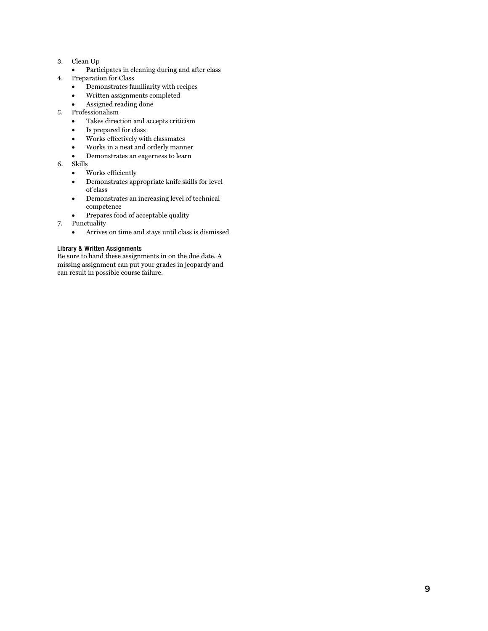- 3. Clean Up
	- Participates in cleaning during and after class
- <span id="page-9-1"></span>4. Preparation for Class
	- Demonstrates familiarity with recipes
	- Written assignments completed
	- Assigned reading done
- 5. Professionalism
	- Takes direction and accepts criticism
	- Is prepared for class
	- Works effectively with classmates
	- Works in a neat and orderly manner
	- Demonstrates an eagerness to learn
- 6. Skills
	- Works efficiently
	- Demonstrates appropriate knife skills for level of class
	- Demonstrates an increasing level of technical competence
	- Prepares food of acceptable quality
- 7. Punctuality
	- Arrives on time and stays until class is dismissed

#### <span id="page-9-0"></span>Library & Written Assignments

Be sure to hand these assignments in on the due date. A missing assignment can put your grades in jeopardy and can result in possible course failure.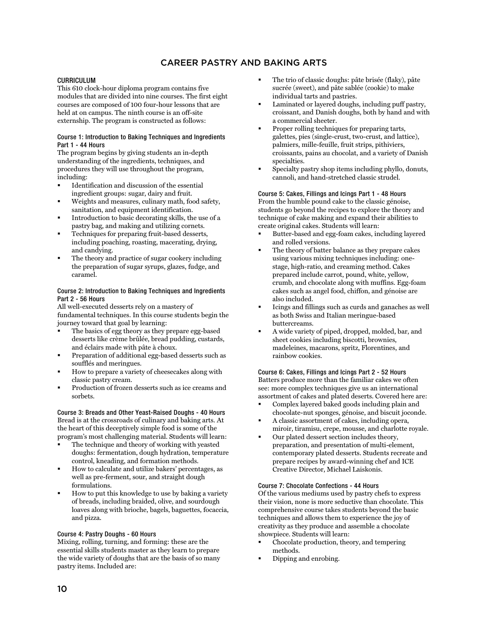## CAREER PASTRY AND BAKING ARTS

#### <span id="page-10-1"></span><span id="page-10-0"></span>CURRICULUM

This 610 clock-hour diploma program contains five modules that are divided into nine courses. The first eight courses are composed of 100 four-hour lessons that are held at on campus. The ninth course is an off-site externship. The program is constructed as follows:

#### <span id="page-10-2"></span>Course 1: Introduction to Baking Techniques and Ingredients Part 1 - 44 Hours

The program begins by giving students an in-depth understanding of the ingredients, techniques, and procedures they will use throughout the program, including:

- Identification and discussion of the essential ingredient groups: sugar, dairy and fruit.
- Weights and measures, culinary math, food safety, sanitation, and equipment identification.
- Introduction to basic decorating skills, the use of a pastry bag, and making and utilizing cornets.
- Techniques for preparing fruit-based desserts, including poaching, roasting, macerating, drying, and candying.
- The theory and practice of sugar cookery including the preparation of sugar syrups, glazes, fudge, and caramel.

#### <span id="page-10-3"></span>Course 2: Introduction to Baking Techniques and Ingredients Part 2 - 56 Hours

All well-executed desserts rely on a mastery of fundamental techniques. In this course students begin the journey toward that goal by learning:

- The basics of egg theory as they prepare egg-based desserts like crème brûlée, bread pudding, custards, and éclairs made with pâte à choux.
- Preparation of additional egg-based desserts such as soufflés and meringues.
- How to prepare a variety of cheesecakes along with classic pastry cream.
- Production of frozen desserts such as ice creams and sorbets.

<span id="page-10-4"></span>Course 3: Breads and Other Yeast-Raised Doughs - 40 Hours Bread is at the crossroads of culinary and baking arts. At the heart of this deceptively simple food is some of the program's most challenging material. Students will learn:

- The technique and theory of working with yeasted doughs: fermentation, dough hydration, temperature control, kneading, and formation methods.
- How to calculate and utilize bakers' percentages, as well as pre-ferment, sour, and straight dough formulations.
- How to put this knowledge to use by baking a variety of breads, including braided, olive, and sourdough loaves along with brioche, bagels, baguettes, focaccia, and pizza.

#### <span id="page-10-5"></span>Course 4: Pastry Doughs - 60 Hours

Mixing, rolling, turning, and forming: these are the essential skills students master as they learn to prepare the wide variety of doughs that are the basis of so many pastry items. Included are:

- The trio of classic doughs: pâte brisée (flaky), pâte sucrée (sweet), and pâte sablée (cookie) to make individual tarts and pastries.
- Laminated or layered doughs, including puff pastry, croissant, and Danish doughs, both by hand and with a commercial sheeter.
- Proper rolling techniques for preparing tarts, galettes, pies (single-crust, two-crust, and lattice), palmiers, mille-feuille, fruit strips, pithiviers, croissants, pains au chocolat, and a variety of Danish specialties.
- Specialty pastry shop items including phyllo, donuts, cannoli, and hand-stretched classic strudel.

<span id="page-10-6"></span>Course 5: Cakes, Fillings and Icings Part 1 - 48 Hours From the humble pound cake to the classic génoise, students go beyond the recipes to explore the theory and technique of cake making and expand their abilities to create original cakes. Students will learn:

- Butter-based and egg-foam cakes, including layered and rolled versions.
- The theory of batter balance as they prepare cakes using various mixing techniques including: onestage, high-ratio, and creaming method. Cakes prepared include carrot, pound, white, yellow, crumb, and chocolate along with muffins. Egg-foam cakes such as angel food, chiffon, and génoise are also included.
- Icings and fillings such as curds and ganaches as well as both Swiss and Italian meringue-based buttercreams.
- A wide variety of piped, dropped, molded, bar, and sheet cookies including biscotti, brownies, madeleines, macarons, spritz, Florentines, and rainbow cookies.

<span id="page-10-7"></span>Course 6: Cakes, Fillings and Icings Part 2 - 52 Hours Batters produce more than the familiar cakes we often see: more complex techniques give us an international assortment of cakes and plated deserts. Covered here are:

- Complex layered baked goods including plain and chocolate-nut sponges, génoise, and biscuit joconde.
- A classic assortment of cakes, including opera, miroir, tiramisu, crepe, mousse, and charlotte royale.
- Our plated dessert section includes theory, preparation, and presentation of multi-element, contemporary plated desserts. Students recreate and prepare recipes by award-winning chef and ICE Creative Director, Michael Laiskonis.

#### <span id="page-10-8"></span>Course 7: Chocolate Confections - 44 Hours

Of the various mediums used by pastry chefs to express their vision, none is more seductive than chocolate. This comprehensive course takes students beyond the basic techniques and allows them to experience the joy of creativity as they produce and assemble a chocolate showpiece. Students will learn:

- Chocolate production, theory, and tempering methods.
- Dipping and enrobing.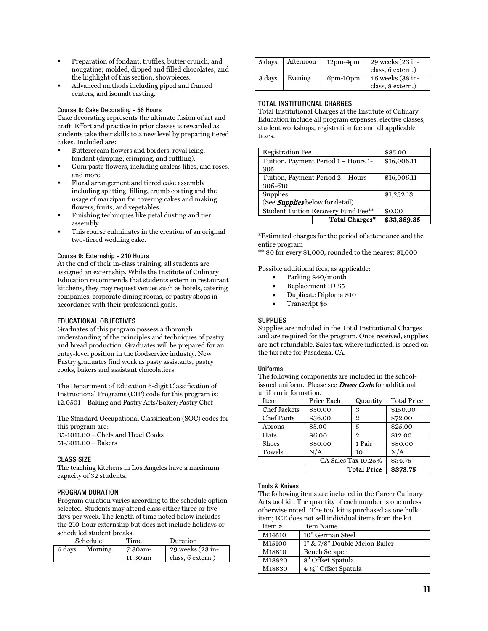- Preparation of fondant, truffles, butter crunch, and nougatine; molded, dipped and filled chocolates; and the highlight of this section, showpieces.
- Advanced methods including piped and framed centers, and isomalt casting.

#### <span id="page-11-0"></span>Course 8: Cake Decorating - 56 Hours

Cake decorating represents the ultimate fusion of art and craft. Effort and practice in prior classes is rewarded as students take their skills to a new level by preparing tiered cakes. Included are:

- Buttercream flowers and borders, royal icing, fondant (draping, crimping, and ruffling).
- Gum paste flowers, including azaleas lilies, and roses. and more.
- Floral arrangement and tiered cake assembly including splitting, filling, crumb coating and the usage of marzipan for covering cakes and making flowers, fruits, and vegetables.
- Finishing techniques like petal dusting and tier assembly.
- This course culminates in the creation of an original two-tiered wedding cake.

#### <span id="page-11-1"></span>Course 9: Externship - 210 Hours

At the end of their in-class training, all students are assigned an externship. While the Institute of Culinary Education recommends that students extern in restaurant kitchens, they may request venues such as hotels, catering companies, corporate dining rooms, or pastry shops in accordance with their professional goals.

#### <span id="page-11-2"></span>EDUCATIONAL OBJECTIVES

Graduates of this program possess a thorough understanding of the principles and techniques of pastry and bread production. Graduates will be prepared for an entry-level position in the foodservice industry. New Pastry graduates find work as pasty assistants, pastry cooks, bakers and assistant chocolatiers.

The Department of Education 6-digit Classification of Instructional Programs (CIP) code for this program is: 12.0501 – Baking and Pastry Arts/Baker/Pastry Chef

The Standard Occupational Classification (SOC) codes for this program are: 35-1011.00 – Chefs and Head Cooks

51-3011.00 – Bakers

#### <span id="page-11-3"></span>CLASS SIZE

The teaching kitchens in Los Angeles have a maximum capacity of 32 students.

#### <span id="page-11-4"></span>PROGRAM DURATION

Program duration varies according to the schedule option selected. Students may attend class either three or five days per week. The length of time noted below includes the 210-hour externship but does not include holidays or scheduled student breaks.

|        | Schedule | Time    | Duration             |
|--------|----------|---------|----------------------|
| 5 days | Morning  | 7:30am- | $29$ weeks $(23$ in- |
|        |          | 11:30am | class, 6 extern.)    |

| 5 days | Afternoon | $12pm-4pm$      | 29 weeks (23 in-<br>class, 6 extern.) |
|--------|-----------|-----------------|---------------------------------------|
| 3 days | Evening   | $6$ pm- $10$ pm | 46 weeks (38 in-<br>class, 8 extern.) |

#### <span id="page-11-5"></span>TOTAL INSTITUTIONAL CHARGES

Total Institutional Charges at the Institute of Culinary Education include all program expenses, elective classes, student workshops, registration fee and all applicable taxes.

| <b>Registration Fee</b>                    | \$85.00        |             |  |
|--------------------------------------------|----------------|-------------|--|
| Tuition, Payment Period 1 - Hours 1-       | \$16,006.11    |             |  |
| 305                                        |                |             |  |
| Tuition, Payment Period 2 - Hours          | \$16,006.11    |             |  |
| 306-610                                    |                |             |  |
| Supplies                                   | \$1,292.13     |             |  |
| (See <i>Supplies</i> below for detail)     |                |             |  |
| <b>Student Tuition Recovery Fund Fee**</b> | \$0.00         |             |  |
|                                            | Total Charges* | \$33,389.35 |  |

\*Estimated charges for the period of attendance and the entire program

\*\* \$0 for every \$1,000, rounded to the nearest \$1,000

Possible additional fees, as applicable:

- Parking \$40/month
- Replacement ID \$5
- Duplicate Diploma \$10
- Transcript \$5

#### <span id="page-11-6"></span>**SUPPLIES**

Supplies are included in the Total Institutional Charges and are required for the program. Once received, supplies are not refundable. Sales tax, where indicated, is based on the tax rate for Pasadena, CA.

#### <span id="page-11-7"></span>Uniforms

The following components are included in the schoolissued uniform. Please see **[Dress Code](#page-9-1)** for additional uniform information.

| Item              | Price Each | Quantity            | <b>Total Price</b> |
|-------------------|------------|---------------------|--------------------|
| Chef Jackets      | \$50.00    | 3                   | \$150.00           |
| <b>Chef Pants</b> | \$36.00    | 2                   | \$72.00            |
| Aprons            | \$5.00     | 5                   | \$25.00            |
| Hats              | \$6.00     | $\mathfrak{D}$      | \$12.00            |
| <b>Shoes</b>      | \$80.00    | 1 Pair              | \$80.00            |
| Towels            | N/A        | 10                  | N/A                |
|                   |            | CA Sales Tax 10.25% | \$34.75            |
|                   |            | <b>Total Price</b>  | \$373.75           |

#### <span id="page-11-8"></span>Tools & Knives

The following items are included in the Career Culinary Arts tool kit. The quantity of each number is one unless otherwise noted. The tool kit is purchased as one bulk item; ICE does not sell individual items from the kit.

| Item # | <b>Item Name</b>                    |
|--------|-------------------------------------|
| M14510 | 10" German Steel                    |
| M15100 | $1''$ & $7/8''$ Double Melon Baller |
| M18810 | Bench Scraper                       |
| M18820 | 8" Offset Spatula                   |
| M18830 | 4 ¼" Offset Spatula                 |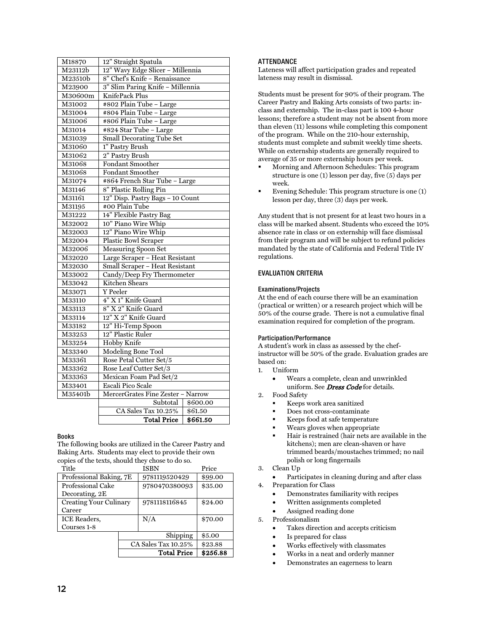| M18870  | 12" Straight Spatula                                             |          |  |  |
|---------|------------------------------------------------------------------|----------|--|--|
| M23112b | 12" Wavy Edge Slicer - Millennia                                 |          |  |  |
| M23510b | 8" Chef's Knife - Renaissance                                    |          |  |  |
| M23900  | 3" Slim Paring Knife - Millennia                                 |          |  |  |
| M30600m | KnifePack Plus                                                   |          |  |  |
| M31002  | #802 Plain Tube - Large                                          |          |  |  |
| M31004  | #804 Plain Tube - Large                                          |          |  |  |
| M31006  | #806 Plain Tube - Large                                          |          |  |  |
| M31014  | #824 Star Tube - Large                                           |          |  |  |
| M31039  | <b>Small Decorating Tube Set</b>                                 |          |  |  |
| M31060  | 1" Pastry Brush                                                  |          |  |  |
| M31062  | 2" Pastry Brush                                                  |          |  |  |
| M31068  | <b>Fondant Smoother</b>                                          |          |  |  |
| M31068  | <b>Fondant Smoother</b>                                          |          |  |  |
| M31074  | #864 French Star Tube - Large                                    |          |  |  |
| M31146  | 8" Plastic Rolling Pin                                           |          |  |  |
| M31161  | 12" Disp. Pastry Bags - 10 Count                                 |          |  |  |
| M31195  | #00 Plain Tube                                                   |          |  |  |
| M31222  | 14" Flexible Pastry Bag                                          |          |  |  |
| M32002  | 10" Piano Wire Whip                                              |          |  |  |
| M32003  | 12" Piano Wire Whip                                              |          |  |  |
| M32004  | <b>Plastic Bowl Scraper</b>                                      |          |  |  |
| M32006  | <b>Measuring Spoon Set</b>                                       |          |  |  |
| M32020  | Large Scraper – Heat Resistant<br>Small Scraper – Heat Resistant |          |  |  |
| M32030  |                                                                  |          |  |  |
| M33002  | Candy/Deep Fry Thermometer                                       |          |  |  |
| M33042  | <b>Kitchen Shears</b>                                            |          |  |  |
| M33071  | Y Peeler                                                         |          |  |  |
| M33110  | 4" X 1" Knife Guard                                              |          |  |  |
| M33113  | 8" X 2" Knife Guard                                              |          |  |  |
| M33114  | 12" X 2" Knife Guard                                             |          |  |  |
| M33182  | 12" Hi-Temp Spoon                                                |          |  |  |
| M33253  | 12" Plastic Ruler                                                |          |  |  |
| M33254  | <b>Hobby Knife</b>                                               |          |  |  |
| M33340  | <b>Modeling Bone Tool</b>                                        |          |  |  |
| M33361  | Rose Petal Cutter Set/5                                          |          |  |  |
| M33362  | Rose Leaf Cutter Set/3                                           |          |  |  |
| M33363  | Mexican Foam Pad Set/2                                           |          |  |  |
| M33401  | <b>Escali Pico Scale</b>                                         |          |  |  |
| M35401b | MercerGrates Fine Zester - Narrow                                |          |  |  |
|         | Subtotal<br>\$600.00                                             |          |  |  |
|         | CA Sales Tax 10.25%                                              | \$61.50  |  |  |
|         | <b>Total Price</b>                                               | \$661.50 |  |  |

#### <span id="page-12-0"></span>Books

The following books are utilized in the Career Pastry and Baking Arts. Students may elect to provide their own copies of the texts, should they chose to do so.

| Title                         |                     | ISBN          | Price    |
|-------------------------------|---------------------|---------------|----------|
| Professional Baking, 7E       |                     | 9781119520429 | \$99.00  |
| Professional Cake             |                     | 9780470380093 | \$35.00  |
| Decorating, 2E                |                     |               |          |
| <b>Creating Your Culinary</b> |                     | 9781118116845 | \$24.00  |
| Career                        |                     |               |          |
| <b>ICE Readers,</b>           |                     | N/A           | \$70.00  |
| Courses 1-8                   |                     |               |          |
|                               |                     | Shipping      | \$5.00   |
|                               | CA Sales Tax 10.25% |               | \$23.88  |
|                               | <b>Total Price</b>  |               | \$256.88 |

#### <span id="page-12-1"></span>**ATTENDANCE**

Lateness will affect participation grades and repeated lateness may result in dismissal.

Students must be present for 90% of their program. The Career Pastry and Baking Arts consists of two parts: inclass and externship. The in-class part is 100 4-hour lessons; therefore a student may not be absent from more than eleven (11) lessons while completing this component of the program. While on the 210-hour externship, students must complete and submit weekly time sheets. While on externship students are generally required to average of 35 or more externship hours per week.

- Morning and Afternoon Schedules: This program structure is one (1) lesson per day, five (5) days per week.
- Evening Schedule: This program structure is one (1) lesson per day, three (3) days per week.

Any student that is not present for at least two hours in a class will be marked absent. Students who exceed the 10% absence rate in class or on externship will face dismissal from their program and will be subject to refund policies mandated by the state of California and Federal Title IV regulations.

#### <span id="page-12-2"></span>EVALUATION CRITERIA

#### <span id="page-12-3"></span>Examinations/Projects

At the end of each course there will be an examination (practical or written) or a research project which will be 50% of the course grade. There is not a cumulative final examination required for completion of the program.

#### <span id="page-12-4"></span>Participation/Performance

A student's work in class as assessed by the chefinstructor will be 50% of the grade. Evaluation grades are based on:

- 1. Uniform
	- Wears a complete, clean and unwrinkled uniform. See *Dress Code* for details.
- 2. Food Safety
	- Keeps work area sanitized
	- Does not cross-contaminate
	- Keeps food at safe temperature
	- Wears gloves when appropriate
	- Hair is restrained (hair nets are available in the kitchens); men are clean-shaven or have trimmed beards/moustaches trimmed; no nail polish or long fingernails
	- 3. Clean Up
		- Participates in cleaning during and after class
- 4. Preparation for Class
	- Demonstrates familiarity with recipes
	- Written assignments completed
	- Assigned reading done
- 5. Professionalism
	- Takes direction and accepts criticism
	- Is prepared for class
	- Works effectively with classmates
	- Works in a neat and orderly manner
	- Demonstrates an eagerness to learn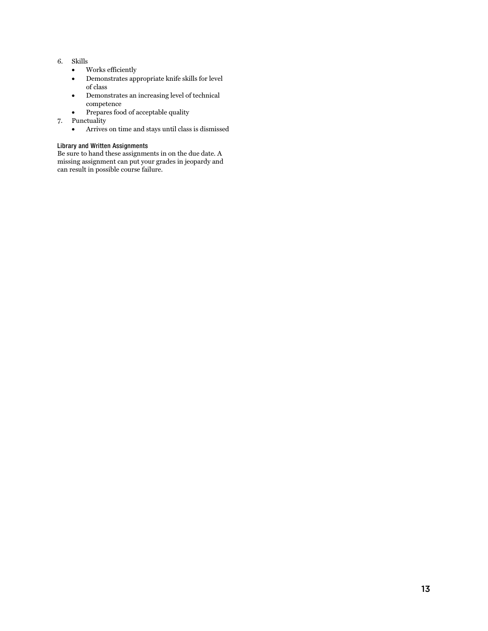- 6. Skills
	- Works efficiently
	- Demonstrates appropriate knife skills for level of class
	- Demonstrates an increasing level of technical competence
	- Prepares food of acceptable quality
- 7. Punctuality
	- Arrives on time and stays until class is dismissed

#### <span id="page-13-0"></span>Library and Written Assignments

Be sure to hand these assignments in on the due date. A missing assignment can put your grades in jeopardy and can result in possible course failure.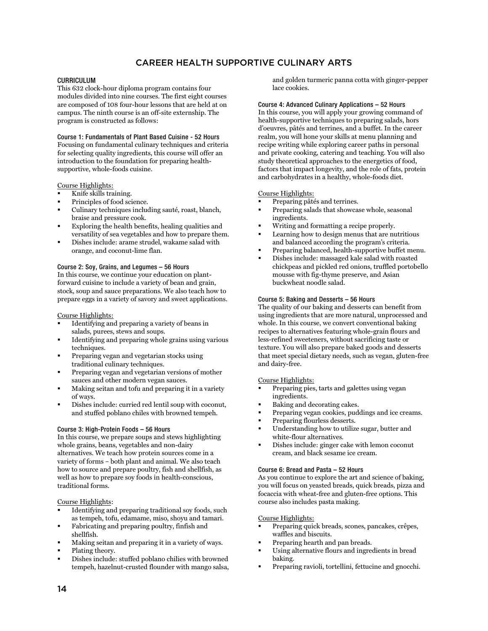## CAREER HEALTH SUPPORTIVE CULINARY ARTS

#### <span id="page-14-1"></span><span id="page-14-0"></span>CURRICULUM

This 632 clock-hour diploma program contains four modules divided into nine courses. The first eight courses are composed of 108 four-hour lessons that are held at on campus. The ninth course is an off-site externship. The program is constructed as follows:

<span id="page-14-2"></span>Course 1: Fundamentals of Plant Based Cuisine - 52 Hours Focusing on fundamental culinary techniques and criteria for selecting quality ingredients, this course will offer an introduction to the foundation for preparing healthsupportive, whole-foods cuisine.

#### Course Highlights:

- Knife skills training.
- Principles of food science.
- Culinary techniques including sauté, roast, blanch, braise and pressure cook.
- Exploring the health benefits, healing qualities and versatility of sea vegetables and how to prepare them.
- Dishes include: arame strudel, wakame salad with orange, and coconut-lime flan.

#### <span id="page-14-3"></span>Course 2: Soy, Grains, and Legumes – 56 Hours

In this course, we continue your education on plantforward cuisine to include a variety of bean and grain, stock, soup and sauce preparations. We also teach how to prepare eggs in a variety of savory and sweet applications.

#### Course Highlights:

- Identifying and preparing a variety of beans in salads, purees, stews and soups.
- Identifying and preparing whole grains using various techniques.
- Preparing vegan and vegetarian stocks using traditional culinary techniques.
- Preparing vegan and vegetarian versions of mother sauces and other modern vegan sauces.
- Making seitan and tofu and preparing it in a variety of ways.
- Dishes include: curried red lentil soup with coconut, and stuffed poblano chiles with browned tempeh.

#### <span id="page-14-4"></span>Course 3: High-Protein Foods – 56 Hours

In this course, we prepare soups and stews highlighting whole grains, beans, vegetables and non-dairy alternatives. We teach how protein sources come in a variety of forms – both plant and animal. We also teach how to source and prepare poultry, fish and shellfish, as well as how to prepare soy foods in health-conscious, traditional forms.

Course Highlights:

- Identifying and preparing traditional soy foods, such as tempeh, tofu, edamame, miso, shoyu and tamari.
- Fabricating and preparing poultry, finfish and shellfish.
- Making seitan and preparing it in a variety of ways.
- Plating theory.
- Dishes include: stuffed poblano chilies with browned tempeh, hazelnut-crusted flounder with mango salsa,

and golden turmeric panna cotta with ginger-pepper lace cookies.

<span id="page-14-5"></span>Course 4: Advanced Culinary Applications – 52 Hours In this course, you will apply your growing command of health-supportive techniques to preparing salads, hors d'oeuvres, pâtés and terrines, and a buffet. In the career realm, you will hone your skills at menu planning and recipe writing while exploring career paths in personal and private cooking, catering and teaching. You will also study theoretical approaches to the energetics of food, factors that impact longevity, and the role of fats, protein and carbohydrates in a healthy, whole-foods diet.

#### Course Highlights:

- Preparing pâtés and terrines.
- Preparing salads that showcase whole, seasonal ingredients.
- Writing and formatting a recipe properly.
- Learning how to design menus that are nutritious and balanced according the program's criteria.
- Preparing balanced, health-supportive buffet menu.
- Dishes include: massaged kale salad with roasted chickpeas and pickled red onions, truffled portobello mousse with fig-thyme preserve, and Asian buckwheat noodle salad.

#### <span id="page-14-6"></span>Course 5: Baking and Desserts – 56 Hours

The quality of our baking and desserts can benefit from using ingredients that are more natural, unprocessed and whole. In this course, we convert conventional baking recipes to alternatives featuring whole-grain flours and less-refined sweeteners, without sacrificing taste or texture. You will also prepare baked goods and desserts that meet special dietary needs, such as vegan, gluten-free and dairy-free.

#### Course Highlights:

- Preparing pies, tarts and galettes using vegan ingredients.
- Baking and decorating cakes.
- Preparing vegan cookies, puddings and ice creams.
- Preparing flourless desserts.
- Understanding how to utilize sugar, butter and white-flour alternatives.
- Dishes include: ginger cake with lemon coconut cream, and black sesame ice cream.

#### <span id="page-14-7"></span>Course 6: Bread and Pasta – 52 Hours

As you continue to explore the art and science of baking, you will focus on yeasted breads, quick breads, pizza and focaccia with wheat-free and gluten-free options. This course also includes pasta making.

#### Course Highlights:

- Preparing quick breads, scones, pancakes, crêpes, waffles and biscuits.
- Preparing hearth and pan breads.
- Using alternative flours and ingredients in bread baking.
- Preparing ravioli, tortellini, fettucine and gnocchi.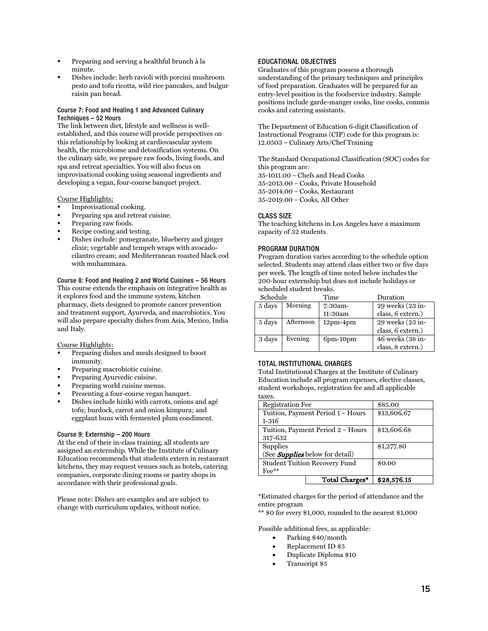- Preparing and serving a healthful brunch à la minute.
- Dishes include: herb ravioli with porcini mushroom pesto and tofu ricotta, wild rice pancakes, and bulgur raisin pan bread.

#### <span id="page-15-0"></span>Course 7: Food and Healing 1 and Advanced Culinary Techniques – 52 Hours

The link between diet, lifestyle and wellness is wellestablished, and this course will provide perspectives on this relationship by looking at cardiovascular system health, the microbiome and detoxification systems. On the culinary side, we prepare raw foods, living foods, and spa and retreat specialties. You will also focus on improvisational cooking using seasonal ingredients and developing a vegan, four-course banquet project.

#### Course Highlights:

- Improvisational cooking.
- Preparing spa and retreat cuisine.
- Preparing raw foods.
- Recipe costing and testing.
- Dishes include: pomegranate, blueberry and ginger elixir; vegetable and tempeh wraps with avocadocilantro cream; and Mediterranean roasted black cod with muhammara.

#### <span id="page-15-1"></span>Course 8: Food and Healing 2 and World Cuisines – 56 Hours This course extends the emphasis on integrative health as it explores food and the immune system, kitchen pharmacy, diets designed to promote cancer prevention and treatment support, Ayurveda, and macrobiotics. You will also prepare specialty dishes from Asia, Mexico, India and Italy.

Course Highlights:

- Preparing dishes and meals designed to boost immunity.
- Preparing macrobiotic cuisine.
- Preparing Ayurvedic cuisine.
- Preparing world cuisine menus.
- Presenting a four-course vegan banquet.
- Dishes include hiziki with carrots, onions and agé tofu; burdock, carrot and onion kimpura; and eggplant buns with fermented plum condiment.

#### <span id="page-15-2"></span>Course 9: Externship – 200 Hours

At the end of their in-class training, all students are assigned an externship. While the Institute of Culinary Education recommends that students extern in restaurant kitchens, they may request venues such as hotels, catering companies, corporate dining rooms or pastry shops in accordance with their professional goals.

Please note: Dishes are examples and are subject to change with curriculum updates, without notice.

#### <span id="page-15-3"></span>EDUCATIONAL OBJECTIVES

Graduates of this program possess a thorough understanding of the primary techniques and principles of food preparation. Graduates will be prepared for an entry-level position in the foodservice industry. Sample positions include garde-manger cooks, line cooks, commis cooks and catering assistants.

The Department of Education 6-digit Classification of Instructional Programs (CIP) code for this program is: 12.0503 – Culinary Arts/Chef Training

The Standard Occupational Classification (SOC) codes for this program are: 35-1011.00 – Chefs and Head Cooks

35-2013.00 – Cooks, Private Household 35-2014.00 – Cooks, Restaurant 35-2019.00 – Cooks, All Other

#### <span id="page-15-4"></span>CLASS SIZE

The teaching kitchens in Los Angeles have a maximum capacity of 32 students.

#### <span id="page-15-5"></span>PROGRAM DURATION

Program duration varies according to the schedule option selected. Students may attend class either two or five days per week. The length of time noted below includes the 200-hour externship but does not include holidays or scheduled student breaks.

| Schedule |           | Time           | Duration          |
|----------|-----------|----------------|-------------------|
| 5 days   | Morning   | 7:30am-        | 29 weeks (23 in-  |
|          |           | 11:30am        | class, 6 extern.) |
| 5 days   | Afternoon | $12pm-4pm$     | 29 weeks (23 in-  |
|          |           |                | class, 6 extern.) |
| 3 days   | Evening   | $6$ pm-10 $pm$ | 46 weeks (38 in-  |

#### <span id="page-15-6"></span>TOTAL INSTITUTIONAL CHARGES

Total Institutional Charges at the Institute of Culinary Education include all program expenses, elective classes, student workshops, registration fee and all applicable taxes.

class, 8 extern.)

| <b>Registration Fee</b>                | \$85.00                           |             |
|----------------------------------------|-----------------------------------|-------------|
|                                        | Tuition, Payment Period 1 - Hours | \$13,606.67 |
| $1 - 316$                              |                                   |             |
|                                        | Tuition, Payment Period 2 - Hours | \$13,606.68 |
| 317-632                                |                                   |             |
| Supplies                               | \$1,277.80                        |             |
| (See <b>Supplies</b> below for detail) |                                   |             |
| <b>Student Tuition Recovery Fund</b>   | \$0.00                            |             |
| $\text{Fe}^{\ast\ast}$                 |                                   |             |
|                                        | Total Charges*                    | \$28,576.15 |

\*Estimated charges for the period of attendance and the entire program

\*\* \$0 for every \$1,000, rounded to the nearest \$1,000

Possible additional fees, as applicable:

- Parking \$40/month
- Replacement ID \$5
- Duplicate Diploma \$10
- Transcript \$5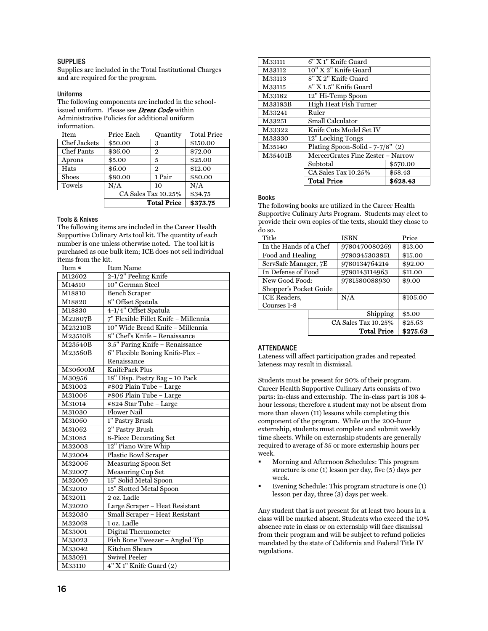#### <span id="page-16-0"></span>**SUPPLIES**

Supplies are included in the Total Institutional Charges and are required for the program.

#### <span id="page-16-1"></span>Uniforms

The following components are included in the schoolissued uniform. Please see **[Dress Code](#page-9-1)** within Administrative Policies for additional uniform information.

| Item              | Price Each          | Quantity | <b>Total Price</b> |
|-------------------|---------------------|----------|--------------------|
| Chef Jackets      | \$50.00             | 3        | \$150.00           |
| <b>Chef Pants</b> | \$36.00             | 2        | \$72.00            |
| Aprons            | \$5.00              | 5        | \$25.00            |
| Hats              | \$6.00              | 2        | \$12.00            |
| Shoes             | \$80.00             | 1 Pair   | \$80.00            |
| Towels            | N/A                 | 10       | N/A                |
|                   | CA Sales Tax 10.25% |          | \$34.75            |
|                   | <b>Total Price</b>  | \$373.75 |                    |

#### <span id="page-16-2"></span>Tools & Knives

The following items are included in the Career Health Supportive Culinary Arts tool kit. The quantity of each number is one unless otherwise noted. The tool kit is purchased as one bulk item; ICE does not sell individual items from the kit.

| Item #  | <b>Item Name</b>                     |
|---------|--------------------------------------|
| M12602  | 2-1/2" Peeling Knife                 |
| M14510  | 10" German Steel                     |
| M18810  | <b>Bench Scraper</b>                 |
| M18820  | 8" Offset Spatula                    |
| M18830  | 4-1/4" Offset Spatula                |
| M22807B | 7" Flexible Fillet Knife - Millennia |
| M23210B | 10" Wide Bread Knife - Millennia     |
| M23510B | 8" Chef's Knife - Renaissance        |
| M23540B | 3.5" Paring Knife - Renaissance      |
| M23560B | 6" Flexible Boning Knife-Flex -      |
|         | Renaissance                          |
| M30600M | KnifePack Plus                       |
| M30956  | 18" Disp. Pastry Bag - 10 Pack       |
| M31002  | #802 Plain Tube - Large              |
| M31006  | #806 Plain Tube – Large              |
| M31014  | #824 Star Tube - Large               |
| M31030  | <b>Flower Nail</b>                   |
| M31060  | 1" Pastry Brush                      |
| M31062  | 2" Pastry Brush                      |
| M31085  | 8-Piece Decorating Set               |
| M32003  | 12" Piano Wire Whip                  |
| M32004  | <b>Plastic Bowl Scraper</b>          |
| M32006  | <b>Measuring Spoon Set</b>           |
| M32007  | Measuring Cup Set                    |
| M32009  | 15" Solid Metal Spoon                |
| M32010  | 15" Slotted Metal Spoon              |
| M32011  | 2 oz. Ladle                          |
| M32020  | Large Scraper - Heat Resistant       |
| M32030  | Small Scraper - Heat Resistant       |
| M32068  | 1 oz. Ladle                          |
| M33001  | Digital Thermometer                  |
| M33023  | Fish Bone Tweezer - Angled Tip       |
| M33042  | Kitchen Shears                       |
| M33091  | <b>Swivel Peeler</b>                 |
| M33110  | 4" X 1" Knife Guard (2)              |

| M33111  | 6" X 1" Knife Guard                 |          |  |
|---------|-------------------------------------|----------|--|
| M33112  | 10" X 2" Knife Guard                |          |  |
| M33113  | 8" X 2" Knife Guard                 |          |  |
| M33115  | 8" X 1.5" Knife Guard               |          |  |
| M33182  | 12" Hi-Temp Spoon                   |          |  |
| M33183B | High Heat Fish Turner               |          |  |
| M33241  | Ruler                               |          |  |
| M33251  | <b>Small Calculator</b>             |          |  |
| M33322  | Knife Cuts Model Set IV             |          |  |
| M33330  | 12" Locking Tongs                   |          |  |
| M35140  | Plating Spoon-Solid - $7-7/8$ " (2) |          |  |
| M35401B | MercerGrates Fine Zester - Narrow   |          |  |
|         | Subtotal                            | \$570.00 |  |
|         | CA Sales Tax 10.25%                 | \$58.43  |  |
|         | <b>Total Price</b><br>\$628.43      |          |  |

#### <span id="page-16-3"></span>Books

The following books are utilized in the Career Health Supportive Culinary Arts Program. Students may elect to provide their own copies of the texts, should they chose to do so.

| Title                  |                     | <b>ISBN</b>   | Price    |
|------------------------|---------------------|---------------|----------|
| In the Hands of a Chef |                     | 9780470080269 | \$13.00  |
| Food and Healing       |                     | 9780345303851 | \$15.00  |
| ServSafe Manager, 7E   |                     | 9780134764214 | \$92.00  |
| In Defense of Food     |                     | 9780143114963 | \$11.00  |
| New Good Food:         |                     | 9781580088930 | \$9.00   |
| Shopper's Pocket Guide |                     |               |          |
| ICE Readers,           |                     | N/A           | \$105.00 |
| Courses 1-8            |                     |               |          |
|                        |                     | Shipping      | \$5.00   |
|                        | CA Sales Tax 10.25% |               | \$25.63  |
|                        |                     | \$275.63      |          |

#### <span id="page-16-4"></span>ATTENDANCE

Lateness will affect participation grades and repeated lateness may result in dismissal.

Students must be present for 90% of their program. Career Health Supportive Culinary Arts consists of two parts: in-class and externship. The in-class part is 108 4 hour lessons; therefore a student may not be absent from more than eleven (11) lessons while completing this component of the program. While on the 200-hour externship, students must complete and submit weekly time sheets. While on externship students are generally required to average of 35 or more externship hours per week.

- Morning and Afternoon Schedules: This program structure is one (1) lesson per day, five (5) days per week.
- Evening Schedule: This program structure is one (1) lesson per day, three (3) days per week.

Any student that is not present for at least two hours in a class will be marked absent. Students who exceed the 10% absence rate in class or on externship will face dismissal from their program and will be subject to refund policies mandated by the state of California and Federal Title IV regulations.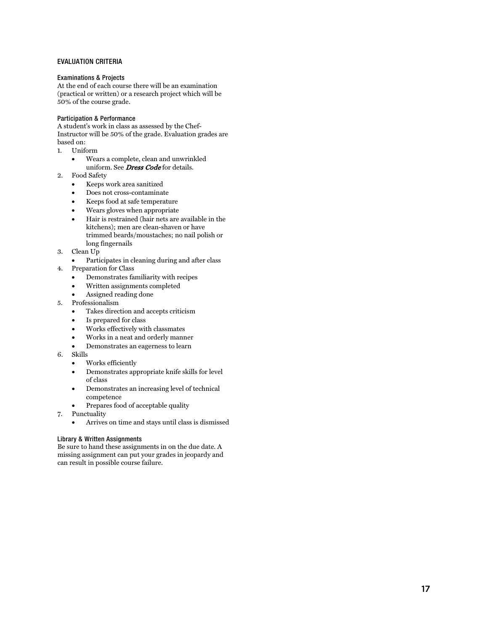#### <span id="page-17-0"></span>EVALUATION CRITERIA

#### <span id="page-17-1"></span>Examinations & Projects

At the end of each course there will be an examination (practical or written) or a research project which will be 50% of the course grade.

#### <span id="page-17-2"></span>Participation & Performance

A student's work in class as assessed by the Chef-Instructor will be 50% of the grade. Evaluation grades are based on:

- 1. Uniform
	- Wears a complete, clean and unwrinkled uniform. See **Dress Code** for details.
- 2. Food Safety
	- Keeps work area sanitized
	- Does not cross-contaminate
	- Keeps food at safe temperature
	- Wears gloves when appropriate
	- Hair is restrained (hair nets are available in the kitchens); men are clean -shaven or have trimmed beards/moustaches; no nail polish or long fingernails
- 3. Clean Up
	- Participates in cleaning during and after class
- 4. Preparation for Class
	- Demonstrates familiarity with recipes
	- Written assignments completed
	- Assigned reading done
- 5. Professionalism
	- Takes direction and accepts criticism
	- Is prepared for class
	- Works effectively with classmates
	- Works in a neat and orderly manner
	- Demonstrates an eagerness to learn
- 6. Skills
	- Works efficiently
	- Demonstrates appropriate knife skills for level of class
	- Demonstrates an increasing level of technical competence
	- Prepares food of acceptable quality
- 7. Punctuality
	- Arrives on time and stays until class is dismissed

#### <span id="page-17-3"></span>Library & Written Assignments

Be sure to hand these assignments in on the due date. A missing assignment can put your grades in jeopardy and can result in possible course failure.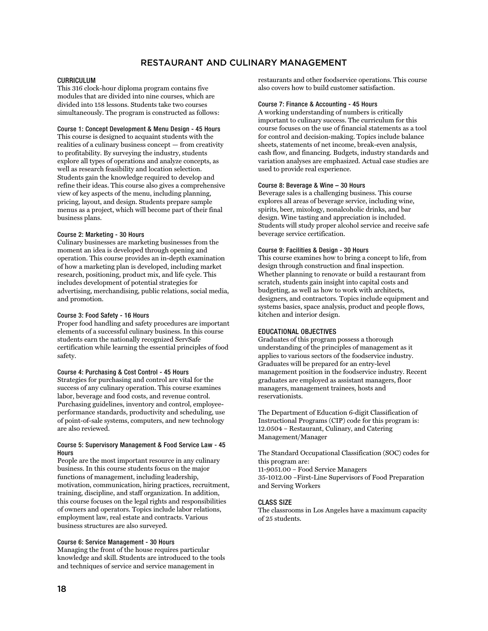## RESTAURANT AND CULINARY MANAGEMENT

#### <span id="page-18-1"></span><span id="page-18-0"></span>CURRICULUM

This 316 clock-hour diploma program contains five modules that are divided into nine courses, which are divided into 158 lessons. Students take two courses simultaneously. The program is constructed as follows:

#### <span id="page-18-2"></span>Course 1: Concept Development & Menu Design - 45 Hours

This course is designed to acquaint students with the realities of a culinary business concept — from creativity to profitability. By surveying the industry, students explore all types of operations and analyze concepts, as well as research feasibility and location selection. Students gain the knowledge required to develop and refine their ideas. This course also gives a comprehensive view of key aspects of the menu, including planning, pricing, layout, and design. Students prepare sample menus as a project, which will become part of their final business plans.

#### <span id="page-18-3"></span>Course 2: Marketing - 30 Hours

Culinary businesses are marketing businesses from the moment an idea is developed through opening and operation. This course provides an in-depth examination of how a marketing plan is developed, including market research, positioning, product mix, and life cycle. This includes development of potential strategies for advertising, merchandising, public relations, social media, and promotion.

#### <span id="page-18-4"></span>Course 3: Food Safety - 16 Hours

Proper food handling and safety procedures are important elements of a successful culinary business. In this course students earn the nationally recognized ServSafe certification while learning the essential principles of food safety.

#### <span id="page-18-5"></span>Course 4: Purchasing & Cost Control - 45 Hours

Strategies for purchasing and control are vital for the success of any culinary operation. This course examines labor, beverage and food costs, and revenue control. Purchasing guidelines, inventory and control, employeeperformance standards, productivity and scheduling, use of point-of-sale systems, computers, and new technology are also reviewed.

#### <span id="page-18-6"></span>Course 5: Supervisory Management & Food Service Law - 45 Hours

People are the most important resource in any culinary business. In this course students focus on the major functions of management, including leadership, motivation, communication, hiring practices, recruitment, training, discipline, and staff organization. In addition, this course focuses on the legal rights and responsibilities of owners and operators. Topics include labor relations, employment law, real estate and contracts. Various business structures are also surveyed.

#### <span id="page-18-7"></span>Course 6: Service Management - 30 Hours

Managing the front of the house requires particular knowledge and skill. Students are introduced to the tools and techniques of service and service management in

restaurants and other foodservice operations. This course also covers how to build customer satisfaction.

#### <span id="page-18-8"></span>Course 7: Finance & Accounting - 45 Hours

A working understanding of numbers is critically important to culinary success. The curriculum for this course focuses on the use of financial statements as a tool for control and decision-making. Topics include balance sheets, statements of net income, break-even analysis, cash flow, and financing. Budgets, industry standards and variation analyses are emphasized. Actual case studies are used to provide real experience.

#### <span id="page-18-9"></span>Course 8: Beverage & Wine – 30 Hours

Beverage sales is a challenging business. This course explores all areas of beverage service, including wine, spirits, beer, mixology, nonalcoholic drinks, and bar design. Wine tasting and appreciation is included. Students will study proper alcohol service and receive safe beverage service certification.

#### <span id="page-18-10"></span>Course 9: Facilities & Design - 30 Hours

This course examines how to bring a concept to life, from design through construction and final inspection. Whether planning to renovate or build a restaurant from scratch, students gain insight into capital costs and budgeting, as well as how to work with architects, designers, and contractors. Topics include equipment and systems basics, space analysis, product and people flows, kitchen and interior design.

#### <span id="page-18-11"></span>EDUCATIONAL OBJECTIVES

Graduates of this program possess a thorough understanding of the principles of management as it applies to various sectors of the foodservice industry. Graduates will be prepared for an entry-level management position in the foodservice industry. Recent graduates are employed as assistant managers, floor managers, management trainees, hosts and reservationists.

The Department of Education 6-digit Classification of Instructional Programs (CIP) code for this program is: 12.0504 – Restaurant, Culinary, and Catering Management/Manager

The Standard Occupational Classification (SOC) codes for this program are: 11-9051.00 – Food Service Managers 35-1012.00 –First-Line Supervisors of Food Preparation and Serving Workers

#### <span id="page-18-12"></span>CLASS SIZE

The classrooms in Los Angeles have a maximum capacity of 25 students.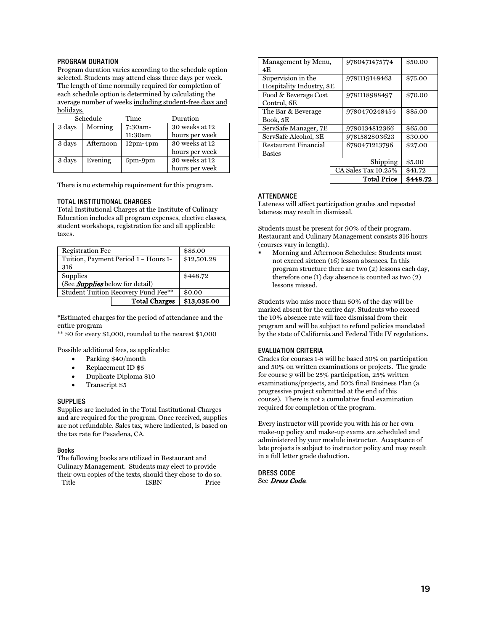#### <span id="page-19-0"></span>PROGRAM DURATION

Program duration varies according to the schedule option selected. Students may attend class three days per week. The length of time normally required for completion of each schedule option is determined by calculating the average number of weeks including student-free days and holidays.

|        | Schedule  | Time       | Duration       |
|--------|-----------|------------|----------------|
| 3 days | Morning   | 7:30am-    | 30 weeks at 12 |
|        |           | 11:30am    | hours per week |
| 3 days | Afternoon | $12pm-4pm$ | 30 weeks at 12 |
|        |           |            | hours per week |
| 3 days | Evening   | 5pm-9pm    | 30 weeks at 12 |
|        |           |            | hours per week |

There is no externship requirement for this program.

#### <span id="page-19-1"></span>TOTAL INSTITUTIONAL CHARGES

Total Institutional Charges at the Institute of Culinary Education includes all program expenses, elective classes, student workshops, registration fee and all applicable taxes.

| <b>Registration Fee</b>                    | \$85.00     |
|--------------------------------------------|-------------|
| Tuition, Payment Period 1 - Hours 1-       | \$12,501.28 |
| 316                                        |             |
| Supplies                                   | \$448.72    |
| (See Supplies below for detail)            |             |
| <b>Student Tuition Recovery Fund Fee**</b> | \$0.00      |
| <b>Total Charges</b>                       | \$13,035.00 |

\*Estimated charges for the period of attendance and the entire program

\*\* \$0 for every \$1,000, rounded to the nearest \$1,000

Possible additional fees, as applicable:

- Parking \$40/month
- Replacement ID \$5
- Duplicate Diploma \$10
- Transcript \$5

#### <span id="page-19-2"></span>**SUPPLIES**

Supplies are included in the Total Institutional Charges and are required for the program. Once received, supplies are not refundable. Sales tax, where indicated, is based on the tax rate for Pasadena, CA.

#### <span id="page-19-3"></span>Books

The following books are utilized in Restaurant and Culinary Management. Students may elect to provide their own copies of the texts, should they chose to do so. Title ISBN Price

| Management by Menu,      | 9780471475774       | \$50.00  |
|--------------------------|---------------------|----------|
| 4E                       |                     |          |
| Supervision in the       | 9781119148463       | \$75.00  |
| Hospitality Industry, 8E |                     |          |
| Food & Beverage Cost     | 9781118988497       | \$70.00  |
| Control, 6E              |                     |          |
| The Bar & Beverage       | 9780470248454       | \$85.00  |
| Book, 5E                 |                     |          |
| ServSafe Manager, 7E     | 9780134812366       | \$65.00  |
| ServSafe Alcohol, 3E     | 9781582803623       | \$30.00  |
| Restaurant Financial     | 6780471213796       | \$27.00  |
| <b>Basics</b>            |                     |          |
|                          | Shipping            | \$5.00   |
|                          | CA Sales Tax 10.25% | \$41.72  |
|                          | <b>Total Price</b>  | \$448.72 |

#### <span id="page-19-4"></span>**ATTENDANCE**

Lateness will affect participation grades and repeated lateness may result in dismissal.

Students must be present for 90% of their program. Restaurant and Culinary Management consists 316 hours (courses vary in length).

 Morning and Afternoon Schedules: Students must not exceed sixteen (16) lesson absences. In this program structure there are two (2) lessons each day, therefore one (1) day absence is counted as two (2) lessons missed.

Students who miss more than 50% of the day will be marked absent for the entire day. Students who exceed the 10% absence rate will face dismissal from their program and will be subject to refund policies mandated by the state of California and Federal Title IV regulations.

#### <span id="page-19-5"></span>EVALUATION CRITERIA

Grades for courses 1-8 will be based 50% on participation and 50% on written examinations or projects. The grade for course 9 will be 25% participation, 25% written examinations/projects, and 50% final Business Plan (a progressive project submitted at the end of this course). There is not a cumulative final examination required for completion of the program.

Every instructor will provide you with his or her own make-up policy and make-up exams are scheduled and administered by your module instructor. Acceptance of late projects is subject to instructor policy and may result in a full letter grade deduction.

<span id="page-19-6"></span>DRESS CODE See Dress Code.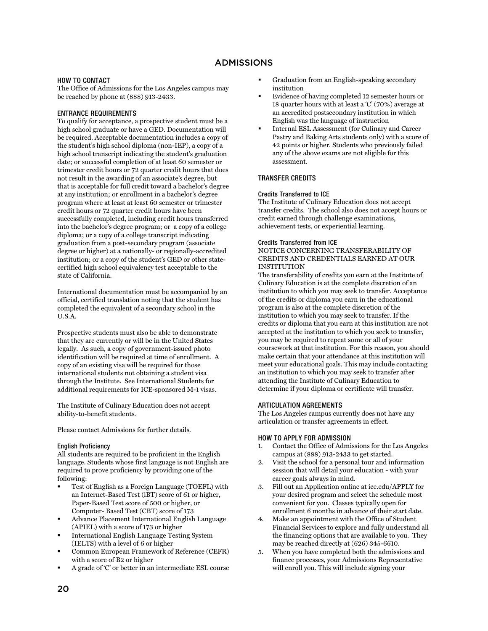## ADMISSIONS

#### <span id="page-20-1"></span><span id="page-20-0"></span>HOW TO CONTACT

The Office of Admissions for the Los Angeles campus may be reached by phone at (888) 913-2433.

#### <span id="page-20-2"></span>ENTRANCE REQUIREMENTS

To qualify for acceptance, a prospective student must be a high school graduate or have a GED. Documentation will be required. Acceptable documentation includes a copy of the student's high school diploma (non-IEP), a copy of a high school transcript indicating the student's graduation date; or successful completion of at least 60 semester or trimester credit hours or 72 quarter credit hours that does not result in the awarding of an associate's degree, but that is acceptable for full credit toward a bachelor's degree at any institution; or enrollment in a bachelor's degree program where at least at least 60 semester or trimester credit hours or 72 quarter credit hours have been successfully completed, including credit hours transferred into the bachelor's degree program; or a copy of a college diploma; or a copy of a college transcript indicating graduation from a post-secondary program (associate degree or higher) at a nationally- or regionally-accredited institution; or a copy of the student's GED or other statecertified high school equivalency test acceptable to the state of California.

International documentation must be accompanied by an official, certified translation noting that the student has completed the equivalent of a secondary school in the U.S.A.

Prospective students must also be able to demonstrate that they are currently or will be in the United States legally. As such, a copy of government-issued photo identification will be required at time of enrollment. A copy of an existing visa will be required for those international students not obtaining a student visa through the Institute. See International Students for additional requirements for ICE-sponsored M-1 visas.

The Institute of Culinary Education does not accept ability-to-benefit students.

Please contact Admissions for further details.

#### <span id="page-20-3"></span>English Proficiency

All students are required to be proficient in the English language. Students whose first language is not English are required to prove proficiency by providing one of the following:

- Test of English as a Foreign Language (TOEFL) with an Internet-Based Test (iBT) score of 61 or higher, Paper-Based Test score of 500 or higher, or Computer- Based Test (CBT) score of 173
- Advance Placement International English Language (APIEL) with a score of 173 or higher
- International English Language Testing System (IELTS) with a level of 6 or higher
- Common European Framework of Reference (CEFR) with a score of B2 or higher
- A grade of 'C' or better in an intermediate ESL course
- Graduation from an English-speaking secondary institution
- Evidence of having completed 12 semester hours or 18 quarter hours with at least a 'C' (70%) average at an accredited postsecondary institution in which English was the language of instruction
- Internal ESL Assessment (for Culinary and Career Pastry and Baking Arts students only) with a score of 42 points or higher. Students who previously failed any of the above exams are not eligible for this assessment.

#### <span id="page-20-4"></span>TRANSFER CREDITS

#### <span id="page-20-5"></span>Credits Transferred to ICE

The Institute of Culinary Education does not accept transfer credits. The school also does not accept hours or credit earned through challenge examinations, achievement tests, or experiential learning.

#### <span id="page-20-6"></span>Credits Transferred from ICE

#### NOTICE CONCERNING TRANSFERABILITY OF CREDITS AND CREDENTIALS EARNED AT OUR **INSTITUTION**

The transferability of credits you earn at the Institute of Culinary Education is at the complete discretion of an institution to which you may seek to transfer. Acceptance of the credits or diploma you earn in the educational program is also at the complete discretion of the institution to which you may seek to transfer. If the credits or diploma that you earn at this institution are not accepted at the institution to which you seek to transfer, you may be required to repeat some or all of your coursework at that institution. For this reason, you should make certain that your attendance at this institution will meet your educational goals. This may include contacting an institution to which you may seek to transfer after attending the Institute of Culinary Education to determine if your diploma or certificate will transfer.

#### <span id="page-20-7"></span>ARTICULATION AGREEMENTS

The Los Angeles campus currently does not have any articulation or transfer agreements in effect.

#### <span id="page-20-8"></span>HOW TO APPLY FOR ADMISSION

- 1. Contact the Office of Admissions for the Los Angeles campus at (888) 913-2433 to get started.
- 2. Visit the school for a personal tour and information session that will detail your education - with your career goals always in mind.
- 3. Fill out an Application online at ice.edu/APPLY for your desired program and select the schedule most convenient for you. Classes typically open for enrollment 6 months in advance of their start date.
- 4. Make an appointment with the Office of Student Financial Services to explore and fully understand all the financing options that are available to you. They may be reached directly at (626) 345-6610.
- 5. When you have completed both the admissions and finance processes, your Admissions Representative will enroll you. This will include signing your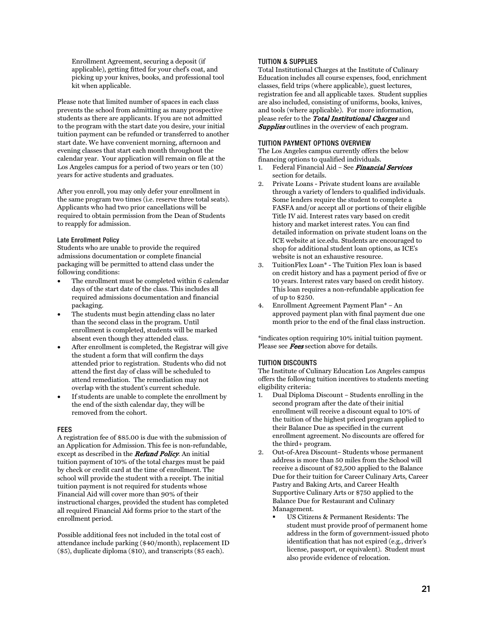Enrollment Agreement, securing a deposit (if applicable), getting fitted for your chef's coat, and picking up your knives, books, and professional tool kit when applicable.

Please note that limited number of spaces in each class prevents the school from admitting as many prospective students as there are applicants. If you are not admitted to the program with the start date you desire, your initial tuition payment can be refunded or transferred to another start date. We have convenient morning, afternoon and evening classes that start each month throughout the calendar year. Your application will remain on file at the Los Angeles campus for a period of two years or ten (10) years for active students and graduates.

After you enroll, you may only defer your enrollment in the same program two times (i.e. reserve three total seats). Applicants who had two prior cancellations will be required to obtain permission from the Dean of Students to reapply for admission.

#### <span id="page-21-0"></span>Late Enrollment Policy

Students who are unable to provide the required admissions documentation or complete financial packaging will be permitted to attend class under the following conditions:

- The enrollment must be completed within 6 calendar days of the start date of the class. This includes all required admissions documentation and financial packaging.
- The students must begin attending class no later than the second class in the program. Until enrollment is completed, students will be marked absent even though they attended class.
- After enrollment is completed, the Registrar will give the student a form that will confirm the days attended prior to registration. Students who did not attend the first day of class will be scheduled to attend remediation. The remediation may not overlap with the student's current schedule.
- If students are unable to complete the enrollment by the end of the sixth calendar day, they will be removed from the cohort.

#### <span id="page-21-1"></span>FEES

A registration fee of \$85.00 is due with the submission of an Application for Admission. This fee is non-refundable, except as described in the **Refund Policy**. An initial tuition payment of 10% of the total charges must be paid by check or credit card at the time of enrollment. The school will provide the student with a receipt. The initial tuition payment is not required for students whose Financial Aid will cover more than 90% of their instructional charges, provided the student has completed all required Financial Aid forms prior to the start of the enrollment period.

Possible additional fees not included in the total cost of attendance include parking (\$40/month), replacement ID (\$5), duplicate diploma (\$10), and transcripts (\$5 each).

#### <span id="page-21-2"></span>TUITION & SUPPLIES

Total Institutional Charges at the Institute of Culinary Education includes all course expenses, food, enrichment classes, field trips (where applicable), guest lectures, registration fee and all applicable taxes. Student supplies are also included, consisting of uniforms, books, knives, and tools (where applicable). For more information, please refer to the Total Institutional Charges and **Supplies** outlines in the overview of each program.

#### <span id="page-21-3"></span>TUITION PAYMENT OPTIONS OVERVIEW

The Los Angeles campus currently offers the below financing options to qualified individuals.

- 1. Federal Financial Aid See Financial Services section for details.
- 2. Private Loans Private student loans are available through a variety of lenders to qualified individuals. Some lenders require the student to complete a FASFA and/or accept all or portions of their eligible Title IV aid. Interest rates vary based on credit history and market interest rates. You can find detailed information on private student loans on the ICE website at ice.edu. Students are encouraged to shop for additional student loan options, as ICE's website is not an exhaustive resource.
- 3. TuitionFlex Loan\* The Tuition Flex loan is based on credit history and has a payment period of five or 10 years. Interest rates vary based on credit history. This loan requires a non-refundable application fee of up to \$250.
- 4. Enrollment Agreement Payment Plan\* An approved payment plan with final payment due one month prior to the end of the final class instruction.

\*indicates option requiring 10% initial tuition payment. Please see **Fees** section above for details.

#### <span id="page-21-4"></span>TUITION DISCOUNTS

The Institute of Culinary Education Los Angeles campus offers the following tuition incentives to students meeting eligibility criteria:

- 1. Dual Diploma Discount Students enrolling in the second program after the date of their initial enrollment will receive a discount equal to 10% of the tuition of the highest priced program applied to their Balance Due as specified in the current enrollment agreement. No discounts are offered for the third+ program.
- 2. Out-of-Area Discount– Students whose permanent address is more than 50 miles from the School will receive a discount of \$2,500 applied to the Balance Due for their tuition for Career Culinary Arts, Career Pastry and Baking Arts, and Career Health Supportive Culinary Arts or \$750 applied to the Balance Due for Restaurant and Culinary Management.
	- US Citizens & Permanent Residents: The student must provide proof of permanent home address in the form of government-issued photo identification that has not expired (e.g., driver's license, passport, or equivalent). Student must also provide evidence of relocation.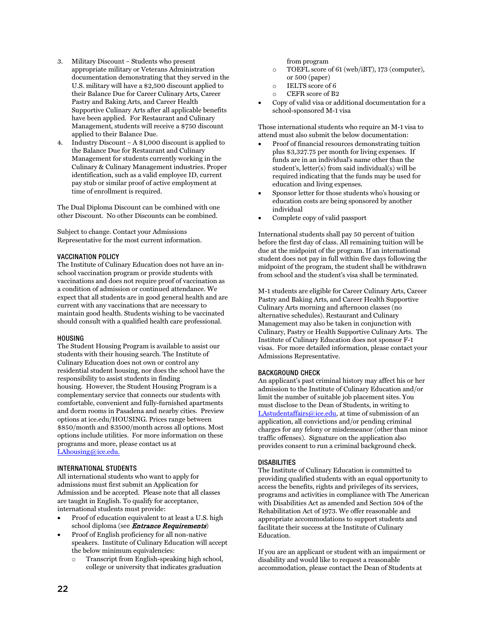- 3. Military Discount Students who present appropriate military or Veterans Administration documentation demonstrating that they served in the U.S. military will have a \$2,500 discount applied to their Balance Due for Career Culinary Arts, Career Pastry and Baking Arts, and Career Health Supportive Culinary Arts after all applicable benefits have been applied. For Restaurant and Culinary Management, students will receive a \$750 discount applied to their Balance Due.
- 4. Industry Discount A \$1,000 discount is applied to the Balance Due for Restaurant and Culinary Management for students currently working in the Culinary & Culinary Management industries. Proper identification, such as a valid employee ID, current pay stub or similar proof of active employment at time of enrollment is required.

The Dual Diploma Discount can be combined with one other Discount. No other Discounts can be combined.

Subject to change. Contact your Admissions Representative for the most current information.

#### <span id="page-22-0"></span>VACCINATION POLICY

The Institute of Culinary Education does not have an inschool vaccination program or provide students with vaccinations and does not require proof of vaccination as a condition of admission or continued attendance. We expect that all students are in good general health and are current with any vaccinations that are necessary to maintain good health. Students wishing to be vaccinated should consult with a qualified health care professional.

#### <span id="page-22-1"></span>HOUSING

The Student Housing Program is available to assist our students with their housing search. The Institute of Culinary Education does not own or control any residential student housing, nor does the school have the responsibility to assist students in finding housing. However, the Student Housing Program is a complementary service that connects our students with comfortable, convenient and fully-furnished apartments and dorm rooms in Pasadena and nearby cities. Preview options at ice.edu/HOUSING. Prices range between \$850/month and \$3500/month across all options. Most options include utilities. For more information on these programs and more, please contact us at [LAhousing@ice.edu.](mailto:LAhousing@ice.edu)

#### <span id="page-22-2"></span>INTERNATIONAL STUDENTS

All international students who want to apply for admissions must first submit an Application for Admission and be accepted. Please note that all classes are taught in English. To qualify for acceptance, international students must provide:

- Proof of education equivalent to at least a U.S. high school diploma (see *Entrance Requirements*)
- Proof of English proficiency for all non-native speakers. Institute of Culinary Education will accept the below minimum equivalencies:
	- o Transcript from English-speaking high school, college or university that indicates graduation

from program

- o TOEFL score of 61 (web/iBT), 173 (computer), or 500 (paper)
- o IELTS score of 6
- o CEFR score of B2
- Copy of valid visa or additional documentation for a school-sponsored M-1 visa

Those international students who require an M-1 visa to attend must also submit the below documentation:

- Proof of financial resources demonstrating tuition plus \$3,327.75 per month for living expenses. If funds are in an individual's name other than the student's, letter(s) from said individual(s) will be required indicating that the funds may be used for education and living expenses.
- Sponsor letter for those students who's housing or education costs are being sponsored by another individual
- Complete copy of valid passport

International students shall pay 50 percent of tuition before the first day of class. All remaining tuition will be due at the midpoint of the program. If an international student does not pay in full within five days following the midpoint of the program, the student shall be withdrawn from school and the student's visa shall be terminated.

M-1 students are eligible for Career Culinary Arts, Career Pastry and Baking Arts, and Career Health Supportive Culinary Arts morning and afternoon classes (no alternative schedules). Restaurant and Culinary Management may also be taken in conjunction with Culinary, Pastry or Health Supportive Culinary Arts. The Institute of Culinary Education does not sponsor F-1 visas. For more detailed information, please contact your Admissions Representative.

#### <span id="page-22-3"></span>BACKGROUND CHECK

An applicant's past criminal history may affect his or her admission to the Institute of Culinary Education and/or limit the number of suitable job placement sites. You must disclose to the Dean of Students, in writing to [LAstudentaffairs@ice.edu,](mailto:LAstudentaffairs@ice.edu) at time of submission of an application, all convictions and/or pending criminal charges for any felony or misdemeanor (other than minor traffic offenses). Signature on the application also provides consent to run a criminal background check.

#### <span id="page-22-4"></span>DISABILITIES

The Institute of Culinary Education is committed to providing qualified students with an equal opportunity to access the benefits, rights and privileges of its services, programs and activities in compliance with The American with Disabilities Act as amended and Section 504 of the Rehabilitation Act of 1973. We offer reasonable and appropriate accommodations to support students and facilitate their success at the Institute of Culinary Education.

If you are an applicant or student with an impairment or disability and would like to request a reasonable accommodation, please contact the Dean of Students at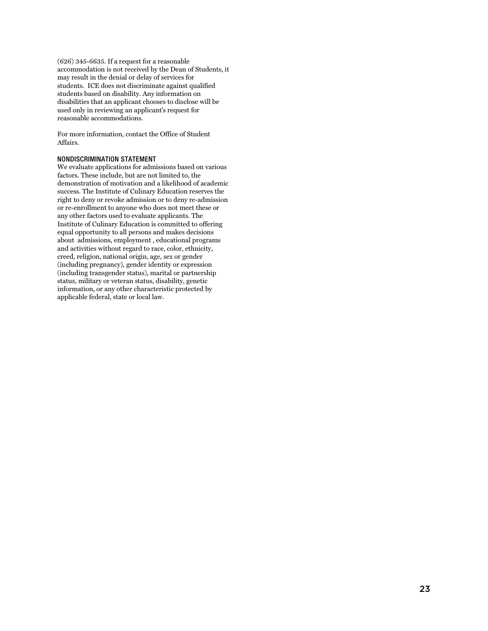(626) 345-6635. If a request for a reasonable accommodation is not received by the Dean of Students, it may result in the denial or delay of services for students. ICE does not discriminate against qualified students based on disability. Any information on disabilities that an applicant chooses to disclose will be used only in reviewing an applicant's request for reasonable accommodations.

For more information, contact the Office of Student Affairs.

#### <span id="page-23-0"></span>NONDISCRIMINATION STATEMENT

We evaluate applications for admissions based on various factors. These include, but are not limited to, the demonstration of motivation and a likelihood of academic success. The Institute of Culinary Education reserves the right to deny or revoke admission or to deny re-admission or re-enrollment to anyone who does not meet these or any other factors used to evaluate applicants. The Institute of Culinary Education is committed to offering equal opportunity to all persons and makes decisions about admissions, employment , educational programs and activities without regard to race, color, ethnicity, creed, religion, national origin, age, sex or gender (including pregnancy), gender identity or expression (including transgender status), marital or partnership status, military or veteran status, disability, genetic information, or any other characteristic protected by applicable federal, state or local law.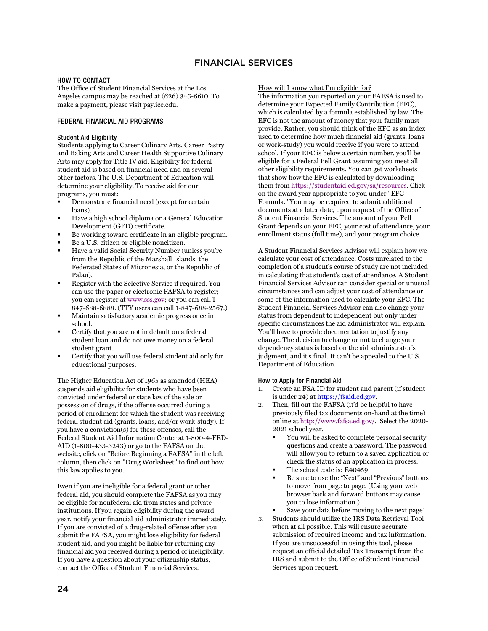#### <span id="page-24-1"></span><span id="page-24-0"></span>HOW TO CONTACT

The Office of Student Financial Services at the Los Angeles campus may be reached at (626) 345-6610. To make a payment, please visit pay.ice.edu.

#### <span id="page-24-2"></span>FEDERAL FINANCIAL AID PROGRAMS

#### <span id="page-24-3"></span>Student Aid Eligibility

Students applying to Career Culinary Arts, Career Pastry and Baking Arts and Career Health Supportive Culinary Arts may apply for Title IV aid. Eligibility for federal student aid is based on financial need and on several other factors. The U.S. Department of Education will determine your eligibility. To receive aid for our programs, you must:

- Demonstrate financial need (except for certain loans).
- Have a high school diploma or a General Education Development (GED) certificate.
- Be working toward certificate in an eligible program.
- Be a U.S. citizen or eligible noncitizen.
- Have a valid Social Security Number (unless you're from the Republic of the Marshall Islands, the Federated States of Micronesia, or the Republic of Palau).
- Register with the Selective Service if required. You can use the paper or electronic FAFSA to register; you can register at [www.sss.gov;](http://www.sss.gov/) or you can call 1- 847-688-6888. (TTY users can call 1-847-688-2567.)
- Maintain satisfactory academic progress once in school.
- Certify that you are not in default on a federal student loan and do not owe money on a federal student grant.
- Certify that you will use federal student aid only for educational purposes.

The Higher Education Act of 1965 as amended (HEA) suspends aid eligibility for students who have been convicted under federal or state law of the sale or possession of drugs, if the offense occurred during a period of enrollment for which the student was receiving federal student aid (grants, loans, and/or work-study). If you have a conviction(s) for these offenses, call the Federal Student Aid Information Center at 1-800-4-FED-AID (1-800-433-3243) or go to the FAFSA on the website, click on "Before Beginning a FAFSA" in the left column, then click on "Drug Worksheet" to find out how this law applies to you.

Even if you are ineligible for a federal grant or other federal aid, you should complete the FAFSA as you may be eligible for nonfederal aid from states and private institutions. If you regain eligibility during the award year, notify your financial aid administrator immediately. If you are convicted of a drug-related offense after you submit the FAFSA, you might lose eligibility for federal student aid, and you might be liable for returning any financial aid you received during a period of ineligibility. If you have a question about your citizenship status, contact the Office of Student Financial Services.

#### How will I know what I'm eligible for?

The information you reported on your FAFSA is used to determine your Expected Family Contribution (EFC), which is calculated by a formula established by law. The EFC is not the amount of money that your family must provide. Rather, you should think of the EFC as an index used to determine how much financial aid (grants, loans or work-study) you would receive if you were to attend school. If your EFC is below a certain number, you'll be eligible for a Federal Pell Grant assuming you meet all other eligibility requirements. You can get worksheets that show how the EFC is calculated by downloading them fro[m https://studentaid.ed.gov/sa/resources.](https://studentaid.ed.gov/sa/resources) Click on the award year appropriate to you under "EFC Formula." You may be required to submit additional documents at a later date, upon request of the Office of Student Financial Services. The amount of your Pell Grant depends on your EFC, your cost of attendance, your enrollment status (full time), and your program choice.

A Student Financial Services Advisor will explain how we calculate your cost of attendance. Costs unrelated to the completion of a student's course of study are not included in calculating that student's cost of attendance. A Student Financial Services Advisor can consider special or unusual circumstances and can adjust your cost of attendance or some of the information used to calculate your EFC. The Student Financial Services Advisor can also change your status from dependent to independent but only under specific circumstances the aid administrator will explain. You'll have to provide documentation to justify any change. The decision to change or not to change your dependency status is based on the aid administrator's judgment, and it's final. It can't be appealed to the U.S. Department of Education.

#### <span id="page-24-4"></span>How to Apply for Financial Aid

- 1. Create an FSA ID for student and parent (if student is under 24) a[t https://fsaid.ed.gov.](https://fsaid.ed.gov/)
- 2. Then, fill out the FAFSA (it'd be helpful to have previously filed tax documents on-hand at the time) online a[t http://www.fafsa.ed.gov/.](http://www.fafsa.ed.gov/) Select the 2020- 2021 school year.
	- You will be asked to complete personal security questions and create a password. The password will allow you to return to a saved application or check the status of an application in process.
	- The school code is: E40459
	- Be sure to use the "Next" and "Previous" buttons to move from page to page. (Using your web browser back and forward buttons may cause you to lose information.)
- Save your data before moving to the next page!
- 3. Students should utilize the IRS Data Retrieval Tool when at all possible. This will ensure accurate submission of required income and tax information. If you are unsuccessful in using this tool, please request an official detailed Tax Transcript from the IRS and submit to the Office of Student Financial Services upon request.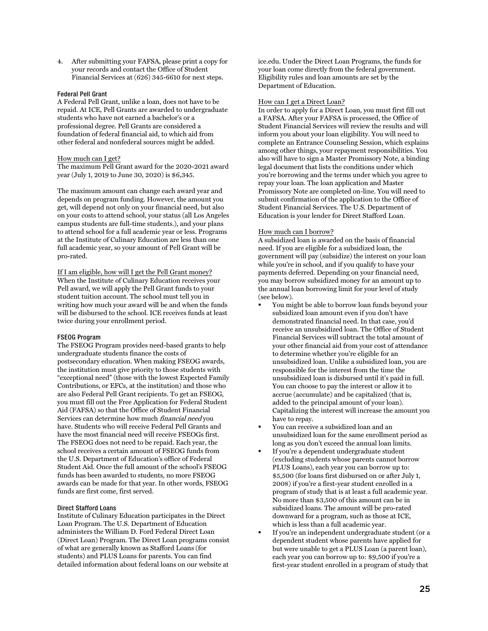4. After submitting your FAFSA, please print a copy for your records and contact the Office of Student Financial Services at (626) 345-6610 for next steps.

#### <span id="page-25-0"></span>Federal Pell Grant

A Federal Pell Grant, unlike a loan, does not have to be repaid. At ICE, Pell Grants are awarded to undergraduate students who have not earned a bachelor's or a professional degree. Pell Grants are considered a foundation of federal financial aid, to which aid from other federal and nonfederal sources might be added.

#### How much can I get?

The maximum Pell Grant award for the 2020-2021 award year (July 1, 2019 to June 30, 2020) is \$6,345.

The maximum amount can change each award year and depends on program funding. However, the amount you get, will depend not only on your financial need, but also on your costs to attend school, your status (all Los Angeles campus students are full-time students.), and your plans to attend school for a full academic year or less. Programs at the Institute of Culinary Education are less than one full academic year, so your amount of Pell Grant will be pro-rated.

If I am eligible, how will I get the Pell Grant money? When the Institute of Culinary Education receives your Pell award, we will apply the Pell Grant funds to your student tuition account. The school must tell you in writing how much your award will be and when the funds will be disbursed to the school. ICE receives funds at least twice during your enrollment period.

#### <span id="page-25-1"></span>FSEOG Program

The FSEOG Program provides need-based grants to help undergraduate students finance the costs of postsecondary education. When making FSEOG awards, the institution must give priority to those students with "exceptional need" (those with the lowest Expected Family Contributions, or EFCs, at the institution) and those who are also Federal Pell Grant recipients. To get an FSEOG, you must fill out the Free Application for Federal Student Aid (FAFSA) so that the Office of Student Financial Services can determine how much financial need you have. Students who will receive Federal Pell Grants and have the most financial need will receive FSEOGs first. The FSEOG does not need to be repaid. Each year, the school receives a certain amount of FSEOG funds from the U.S. Department of Education's office of Federal Student Aid. Once the full amount of the school's FSEOG funds has been awarded to students, no more FSEOG awards can be made for that year. In other words, FSEOG funds are first come, first served.

#### <span id="page-25-2"></span>Direct Stafford Loans

Institute of Culinary Education participates in the Direct Loan Program. The U.S. Department of Education administers the William D. Ford Federal Direct Loan (Direct Loan) Program. The Direct Loan programs consist of what are generally known as Stafford Loans (for students) and PLUS Loans for parents. You can find detailed information about federal loans on our website at

ice.edu. Under the Direct Loan Programs, the funds for your loan come directly from the federal government. Eligibility rules and loan amounts are set by the Department of Education.

#### How can I get a Direct Loan?

In order to apply for a Direct Loan, you must first fill out a FAFSA. After your FAFSA is processed, the Office of Student Financial Services will review the results and will inform you about your loan eligibility. You will need to complete an Entrance Counseling Session, which explains among other things, your repayment responsibilities. You also will have to sign a Master Promissory Note, a binding legal document that lists the conditions under which you're borrowing and the terms under which you agree to repay your loan. The loan application and Master Promissory Note are completed on-line. You will need to submit confirmation of the application to the Office of Student Financial Services. The U.S. Department of Education is your lender for Direct Stafford Loan.

#### How much can I borrow?

A subsidized loan is awarded on the basis of financial need. If you are eligible for a subsidized loan, the government will pay (subsidize) the interest on your loan while you're in school, and if you qualify to have your payments deferred. Depending on your financial need, you may borrow subsidized money for an amount up to the annual loan borrowing limit for your level of study (see below).

- You might be able to borrow loan funds beyond your subsidized loan amount even if you don't have demonstrated financial need. In that case, you'd receive an unsubsidized loan. The Office of Student Financial Services will subtract the total amount of your other financial aid from your cost of attendance to determine whether you're eligible for an unsubsidized loan. Unlike a subsidized loan, you are responsible for the interest from the time the unsubsidized loan is disbursed until it's paid in full. You can choose to pay the interest or allow it to accrue (accumulate) and be capitalized (that is, added to the principal amount of your loan). Capitalizing the interest will increase the amount you have to repay.
- You can receive a subsidized loan and an unsubsidized loan for the same enrollment period as long as you don't exceed the annual loan limits.
- If you're a dependent undergraduate student (excluding students whose parents cannot borrow PLUS Loans), each year you can borrow up to: \$5,500 (for loans first disbursed on or after July 1, 2008) if you're a first-year student enrolled in a program of study that is at least a full academic year. No more than \$3,500 of this amount can be in subsidized loans. The amount will be pro-rated downward for a program, such as those at ICE, which is less than a full academic year.
- If you're an independent undergraduate student (or a dependent student whose parents have applied for but were unable to get a PLUS Loan (a parent loan), each year you can borrow up to: \$9,500 if you're a first-year student enrolled in a program of study that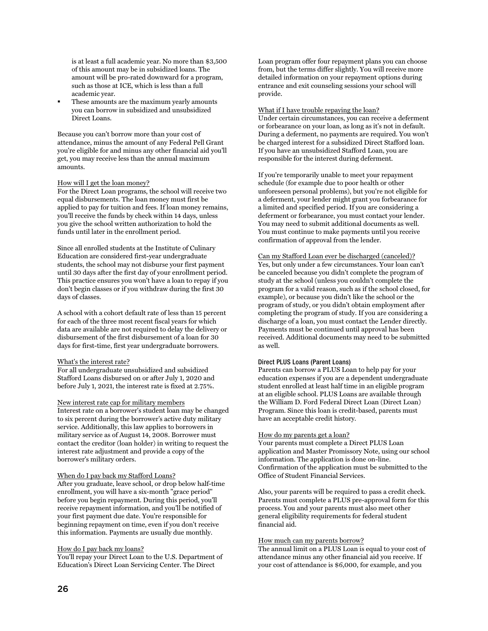is at least a full academic year. No more than \$3,500 of this amount may be in subsidized loans. The amount will be pro-rated downward for a program, such as those at ICE, which is less than a full academic year.

 These amounts are the maximum yearly amounts you can borrow in subsidized and unsubsidized Direct Loans.

Because you can't borrow more than your cost of attendance, minus the amount of any Federal Pell Grant you're eligible for and minus any other financial aid you'll get, you may receive less than the annual maximum amounts.

#### How will I get the loan money?

For the Direct Loan programs, the school will receive two equal disbursements. The loan money must first be applied to pay for tuition and fees. If loan money remains, you'll receive the funds by check within 14 days, unless you give the school written authorization to hold the funds until later in the enrollment period.

Since all enrolled students at the Institute of Culinary Education are considered first-year undergraduate students, the school may not disburse your first payment until 30 days after the first day of your enrollment period. This practice ensures you won't have a loan to repay if you don't begin classes or if you withdraw during the first 30 days of classes.

A school with a cohort default rate of less than 15 percent for each of the three most recent fiscal years for which data are available are not required to delay the delivery or disbursement of the first disbursement of a loan for 30 days for first-time, first year undergraduate borrowers.

#### What's the interest rate?

For all undergraduate unsubsidized and subsidized Stafford Loans disbursed on or after July 1, 2020 and before July 1, 2021, the interest rate is fixed at 2.75%.

#### New interest rate cap for military members

Interest rate on a borrower's student loan may be changed to six percent during the borrower's active duty military service. Additionally, this law applies to borrowers in military service as of August 14, 2008. Borrower must contact the creditor (loan holder) in writing to request the interest rate adjustment and provide a copy of the borrower's military orders.

#### When do I pay back my Stafford Loans?

After you graduate, leave school, or drop below half-time enrollment, you will have a six-month "grace period" before you begin repayment. During this period, you'll receive repayment information, and you'll be notified of your first payment due date. You're responsible for beginning repayment on time, even if you don't receive this information. Payments are usually due monthly.

#### How do I pay back my loans?

You'll repay your Direct Loan to the U.S. Department of Education's Direct Loan Servicing Center. The Direct

Loan program offer four repayment plans you can choose from, but the terms differ slightly. You will receive more detailed information on your repayment options during entrance and exit counseling sessions your school will provide.

#### What if I have trouble repaying the loan?

Under certain circumstances, you can receive a deferment or forbearance on your loan, as long as it's not in default. During a deferment, no payments are required. You won't be charged interest for a subsidized Direct Stafford loan. If you have an unsubsidized Stafford Loan, you are responsible for the interest during deferment.

If you're temporarily unable to meet your repayment schedule (for example due to poor health or other unforeseen personal problems), but you're not eligible for a deferment, your lender might grant you forbearance for a limited and specified period. If you are considering a deferment or forbearance, you must contact your lender. You may need to submit additional documents as well. You must continue to make payments until you receive confirmation of approval from the lender.

#### Can my Stafford Loan ever be discharged (canceled)? Yes, but only under a few circumstances. Your loan can't be canceled because you didn't complete the program of study at the school (unless you couldn't complete the program for a valid reason, such as if the school closed, for example), or because you didn't like the school or the program of study, or you didn't obtain employment after completing the program of study. If you are considering a discharge of a loan, you must contact the Lender directly. Payments must be continued until approval has been received. Additional documents may need to be submitted

#### <span id="page-26-0"></span>Direct PLUS Loans (Parent Loans)

as well.

Parents can borrow a PLUS Loan to help pay for your education expenses if you are a dependent undergraduate student enrolled at least half time in an eligible program at an eligible school. PLUS Loans are available through the William D. Ford Federal Direct Loan (Direct Loan) Program. Since this loan is credit-based, parents must have an acceptable credit history.

#### How do my parents get a loan?

Your parents must complete a Direct PLUS Loan application and Master Promissory Note, using our school information. The application is done on-line. Confirmation of the application must be submitted to the Office of Student Financial Services.

Also, your parents will be required to pass a credit check. Parents must complete a PLUS pre-approval form for this process. You and your parents must also meet other general eligibility requirements for federal student financial aid.

#### How much can my parents borrow?

The annual limit on a PLUS Loan is equal to your cost of attendance minus any other financial aid you receive. If your cost of attendance is \$6,000, for example, and you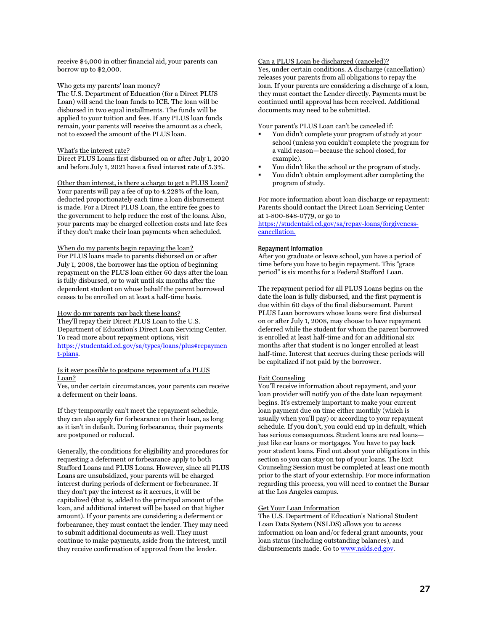receive \$4,000 in other financial aid, your parents can borrow up to \$2,000.

#### Who gets my parents' loan money?

The U.S. Department of Education (for a Direct PLUS Loan) will send the loan funds to ICE. The loan will be disbursed in two equal installments. The funds will be applied to your tuition and fees. If any PLUS loan funds remain, your parents will receive the amount as a check, not to exceed the amount of the PLUS loan.

#### What's the interest rate?

Direct PLUS Loans first disbursed on or after July 1, 2020 and before July 1, 2021 have a fixed interest rate of 5.3%.

Other than interest, is there a charge to get a PLUS Loan?

Your parents will pay a fee of up to 4.228% of the loan, deducted proportionately each time a loan disbursement is made. For a Direct PLUS Loan, the entire fee goes to the government to help reduce the cost of the loans. Also, your parents may be charged collection costs and late fees if they don't make their loan payments when scheduled.

#### When do my parents begin repaying the loan?

For PLUS loans made to parents disbursed on or after July 1, 2008, the borrower has the option of beginning repayment on the PLUS loan either 60 days after the loan is fully disbursed, or to wait until six months after the dependent student on whose behalf the parent borrowed ceases to be enrolled on at least a half-time basis.

#### How do my parents pay back these loans?

They'll repay their Direct PLUS Loan to the U.S. Department of Education's Direct Loan Servicing Center. To read more about repayment options, visit [https://studentaid.ed.gov/sa/types/loans/plus#repaymen](https://studentaid.ed.gov/sa/types/loans/plus#repayment-plans) [t-plans.](https://studentaid.ed.gov/sa/types/loans/plus#repayment-plans)

#### Is it ever possible to postpone repayment of a PLUS Loan?

Yes, under certain circumstances, your parents can receive a deferment on their loans.

If they temporarily can't meet the repayment schedule, they can also apply for forbearance on their loan, as long as it isn't in default. During forbearance, their payments are postponed or reduced.

Generally, the conditions for eligibility and procedures for requesting a deferment or forbearance apply to both Stafford Loans and PLUS Loans. However, since all PLUS Loans are unsubsidized, your parents will be charged interest during periods of deferment or forbearance. If they don't pay the interest as it accrues, it will be capitalized (that is, added to the principal amount of the loan, and additional interest will be based on that higher amount). If your parents are considering a deferment or forbearance, they must contact the lender. They may need to submit additional documents as well. They must continue to make payments, aside from the interest, until they receive confirmation of approval from the lender.

#### Can a PLUS Loan be discharged (canceled)?

Yes, under certain conditions. A discharge (cancellation) releases your parents from all obligations to repay the loan. If your parents are considering a discharge of a loan, they must contact the Lender directly. Payments must be continued until approval has been received. Additional documents may need to be submitted.

Your parent's PLUS Loan can't be canceled if:

- You didn't complete your program of study at your school (unless you couldn't complete the program for a valid reason—because the school closed, for example).
- You didn't like the school or the program of study.
- You didn't obtain employment after completing the program of study.

For more information about loan discharge or repayment: Parents should contact the Direct Loan Servicing Center at 1-800-848-0779, or go to

[https://studentaid.ed.gov/sa/repay-loans/forgiveness](https://studentaid.ed.gov/sa/repay-loans/forgiveness-cancellation)[cancellation.](https://studentaid.ed.gov/sa/repay-loans/forgiveness-cancellation)

#### <span id="page-27-0"></span>Repayment Information

After you graduate or leave school, you have a period of time before you have to begin repayment. This "grace period" is six months for a Federal Stafford Loan.

The repayment period for all PLUS Loans begins on the date the loan is fully disbursed, and the first payment is due within 60 days of the final disbursement. Parent PLUS Loan borrowers whose loans were first disbursed on or after July 1, 2008, may choose to have repayment deferred while the student for whom the parent borrowed is enrolled at least half-time and for an additional six months after that student is no longer enrolled at least half-time. Interest that accrues during these periods will be capitalized if not paid by the borrower.

#### Exit Counseling

You'll receive information about repayment, and your loan provider will notify you of the date loan repayment begins. It's extremely important to make your current loan payment due on time either monthly (which is usually when you'll pay) or according to your repayment schedule. If you don't, you could end up in default, which has serious consequences. Student loans are real loans just like car loans or mortgages. You have to pay back your student loans. Find out about your obligations in this section so you can stay on top of your loans. The Exit Counseling Session must be completed at least one month prior to the start of your externship. For more information regarding this process, you will need to contact the Bursar at the Los Angeles campus.

#### Get Your Loan Information

The U.S. Department of Education's National Student Loan Data System (NSLDS) allows you to access information on loan and/or federal grant amounts, your loan status (including outstanding balances), and disbursements made. Go t[o www.nslds.ed.gov.](http://www.nslds.ed.gov/)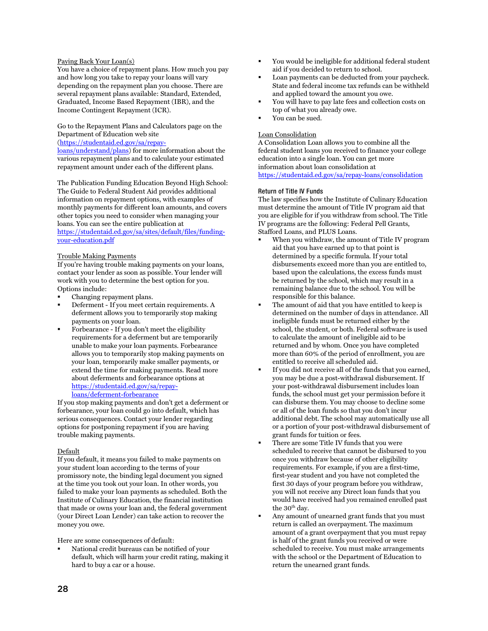#### Paying Back Your Loan(s)

You have a choice of repayment plans. How much you pay and how long you take to repay your loans will vary depending on the repayment plan you choose. There are several repayment plans available: Standard, Extended, Graduated, Income Based Repayment (IBR), and the Income Contingent Repayment (ICR).

Go to the Repayment Plans and Calculators page on the Department of Education web site

[\(https://studentaid.ed.gov/sa/repay-](https://studentaid.ed.gov/sa/repay-loans/understand/plans)

[loans/understand/plans\)](https://studentaid.ed.gov/sa/repay-loans/understand/plans) for more information about the various repayment plans and to calculate your estimated repayment amount under each of the different plans.

The Publication Funding Education Beyond High School: The Guide to Federal Student Aid provides additional information on repayment options, with examples of monthly payments for different loan amounts, and covers other topics you need to consider when managing your loans. You can see the entire publication at [https://studentaid.ed.gov/sa/sites/default/files/funding-](https://studentaid.ed.gov/sa/sites/default/files/funding-your-education.pdf)

[your-education.pdf](https://studentaid.ed.gov/sa/sites/default/files/funding-your-education.pdf)

#### Trouble Making Payments

If you're having trouble making payments on your loans, contact your lender as soon as possible. Your lender will work with you to determine the best option for you. Options include:

- Changing repayment plans.
- Deferment If you meet certain requirements. A deferment allows you to temporarily stop making payments on your loan.
- Forbearance If you don't meet the eligibility requirements for a deferment but are temporarily unable to make your loan payments. Forbearance allows you to temporarily stop making payments on your loan, temporarily make smaller payments, or extend the time for making payments. Read more about deferments and forbearance options at [https://studentaid.ed.gov/sa/repay](https://studentaid.ed.gov/sa/repay-loans/deferment-forbearance)[loans/deferment-forbearance](https://studentaid.ed.gov/sa/repay-loans/deferment-forbearance)

If you stop making payments and don't get a deferment or forbearance, your loan could go into default, which has serious consequences. Contact your lender regarding options for postponing repayment if you are having trouble making payments.

#### Default

If you default, it means you failed to make payments on your student loan according to the terms of your promissory note, the binding legal document you signed at the time you took out your loan. In other words, you failed to make your loan payments as scheduled. Both the Institute of Culinary Education, the financial institution that made or owns your loan and, the federal government (your Direct Loan Lender) can take action to recover the money you owe.

Here are some consequences of default:

 National credit bureaus can be notified of your default, which will harm your credit rating, making it hard to buy a car or a house.

- You would be ineligible for additional federal student aid if you decided to return to school.
- Loan payments can be deducted from your paycheck. State and federal income tax refunds can be withheld and applied toward the amount you owe.
- You will have to pay late fees and collection costs on top of what you already owe.
- You can be sued.

#### Loan Consolidation

A Consolidation Loan allows you to combine all the federal student loans you received to finance your college education into a single loan. You can get more information about loan consolidation at <https://studentaid.ed.gov/sa/repay-loans/consolidation>

#### <span id="page-28-0"></span>Return of Title IV Funds

The law specifies how the Institute of Culinary Education must determine the amount of Title IV program aid that you are eligible for if you withdraw from school. The Title IV programs are the following: Federal Pell Grants, Stafford Loans, and PLUS Loans.

- When you withdraw, the amount of Title IV program aid that you have earned up to that point is determined by a specific formula. If your total disbursements exceed more than you are entitled to, based upon the calculations, the excess funds must be returned by the school, which may result in a remaining balance due to the school. You will be responsible for this balance.
- The amount of aid that you have entitled to keep is determined on the number of days in attendance. All ineligible funds must be returned either by the school, the student, or both. Federal software is used to calculate the amount of ineligible aid to be returned and by whom. Once you have completed more than 60% of the period of enrollment, you are entitled to receive all scheduled aid.
- If you did not receive all of the funds that you earned, you may be due a post-withdrawal disbursement. If your post-withdrawal disbursement includes loan funds, the school must get your permission before it can disburse them. You may choose to decline some or all of the loan funds so that you don't incur additional debt. The school may automatically use all or a portion of your post-withdrawal disbursement of grant funds for tuition or fees.
- There are some Title IV funds that you were scheduled to receive that cannot be disbursed to you once you withdraw because of other eligibility requirements. For example, if you are a first-time, first-year student and you have not completed the first 30 days of your program before you withdraw, you will not receive any Direct loan funds that you would have received had you remained enrolled past the 30<sup>th</sup> day.
- Any amount of unearned grant funds that you must return is called an overpayment. The maximum amount of a grant overpayment that you must repay is half of the grant funds you received or were scheduled to receive. You must make arrangements with the school or the Department of Education to return the unearned grant funds.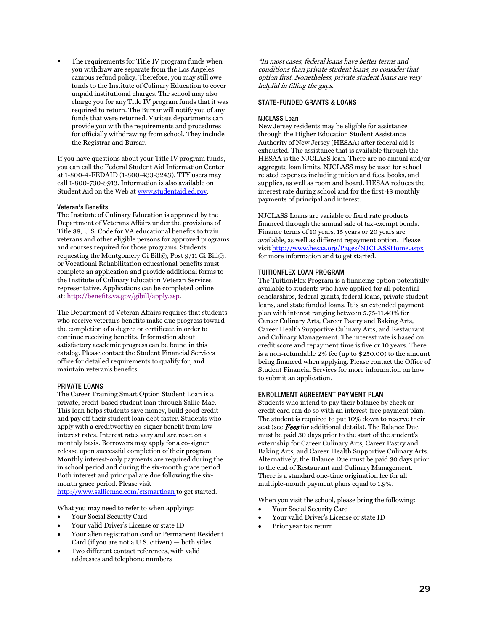The requirements for Title IV program funds when you withdraw are separate from the Los Angeles campus refund policy. Therefore, you may still owe funds to the Institute of Culinary Education to cover unpaid institutional charges. The school may also charge you for any Title IV program funds that it was required to return. The Bursar will notify you of any funds that were returned. Various departments can provide you with the requirements and procedures for officially withdrawing from school. They include the Registrar and Bursar.

If you have questions about your Title IV program funds, you can call the Federal Student Aid Information Center at 1-800-4-FEDAID (1-800-433-3243). TTY users may call 1-800-730-8913. Information is also available on Student Aid on the Web a[t www.studentaid.ed.gov.](http://www.studentaid.ed.gov/)

#### <span id="page-29-0"></span>Veteran's Benefits

The Institute of Culinary Education is approved by the Department of Veterans Affairs under the provisions of Title 38, U.S. Code for VA educational benefits to train veterans and other eligible persons for approved programs and courses required for those programs. Students requesting the Montgomery Gi Bill©, Post 9/11 Gi Bill©, or Vocational Rehabilitation educational benefits must complete an application and provide additional forms to the Institute of Culinary Education Veteran Services representative. Applications can be completed online at: [http://benefits.va.gov/gibill/apply.asp.](http://benefits.va.gov/gibill/apply.asp)

The Department of Veteran Affairs requires that students who receive veteran's benefits make due progress toward the completion of a degree or certificate in order to continue receiving benefits. Information about satisfactory academic progress can be found in this catalog. Please contact the Student Financial Services office for detailed requirements to qualify for, and maintain veteran's benefits.

#### <span id="page-29-1"></span>PRIVATE LOANS

The Career Training Smart Option Student Loan is a private, credit-based student loan through Sallie Mae. This loan helps students save money, build good credit and pay off their student loan debt faster. Students who apply with a creditworthy co-signer benefit from low interest rates. Interest rates vary and are reset on a monthly basis. Borrowers may apply for a co-signer release upon successful completion of their program. Monthly interest-only payments are required during the in school period and during the six-month grace period. Both interest and principal are due following the sixmonth grace period. Please visit

<http://www.salliemae.com/ctsmartloan> to get started.

What you may need to refer to when applying:

- Your Social Security Card
- Your valid Driver's License or state ID
- Your alien registration card or Permanent Resident Card (if you are not a U.S. citizen) — both sides
- Two different contact references, with valid addresses and telephone numbers

\*In most cases, federal loans have better terms and conditions than private student loans, so consider that option first. Nonetheless, private student loans are very helpful in filling the gaps.

#### <span id="page-29-2"></span>STATE-FUNDED GRANTS & LOANS

#### <span id="page-29-3"></span>NJCLASS Loan

New Jersey residents may be eligible for assistance through the Higher Education Student Assistance Authority of New Jersey (HESAA) after federal aid is exhausted. The assistance that is available through the HESAA is the NJCLASS loan. There are no annual and/or aggregate loan limits. NJCLASS may be used for school related expenses including tuition and fees, books, and supplies, as well as room and board. HESAA reduces the interest rate during school and for the first 48 monthly payments of principal and interest.

NJCLASS Loans are variable or fixed rate products financed through the annual sale of tax-exempt bonds. Finance terms of 10 years, 15 years or 20 years are available, as well as different repayment option. Please visi[t http://www.hesaa.org/Pages/NJCLASSHome.aspx](http://www.hesaa.org/Pages/NJCLASSHome.aspx) for more information and to get started.

#### <span id="page-29-4"></span>TUITIONFLEX LOAN PROGRAM

The TuitionFlex Program is a financing option potentially available to students who have applied for all potential scholarships, federal grants, federal loans, private student loans, and state funded loans. It is an extended payment plan with interest ranging between 5.75-11.40% for Career Culinary Arts, Career Pastry and Baking Arts, Career Health Supportive Culinary Arts, and Restaurant and Culinary Management. The interest rate is based on credit score and repayment time is five or 10 years. There is a non-refundable 2% fee (up to \$250.00) to the amount being financed when applying. Please contact the Office of Student Financial Services for more information on how to submit an application.

#### <span id="page-29-5"></span>ENROLLMENT AGREEMENT PAYMENT PLAN

Students who intend to pay their balance by check or credit card can do so with an interest-free payment plan. The student is required to put 10% down to reserve their seat (see Fees for additional details). The Balance Due must be paid 30 days prior to the start of the student's externship for Career Culinary Arts, Career Pastry and Baking Arts, and Career Health Supportive Culinary Arts. Alternatively, the Balance Due must be paid 30 days prior to the end of Restaurant and Culinary Management. There is a standard one-time origination fee for all multiple-month payment plans equal to 1.9%.

When you visit the school, please bring the following:

- Your Social Security Card
- Your valid Driver's License or state ID
- Prior year tax return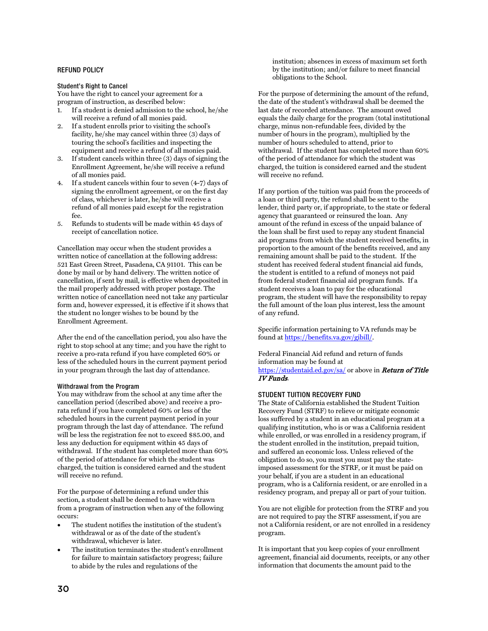#### <span id="page-30-0"></span>REFUND POLICY

<span id="page-30-1"></span>Student's Right to Cancel

You have the right to cancel your agreement for a program of instruction, as described below:

- 1. If a student is denied admission to the school, he/she will receive a refund of all monies paid.
- 2. If a student enrolls prior to visiting the school's facility, he/she may cancel within three (3) days of touring the school's facilities and inspecting the equipment and receive a refund of all monies paid.
- 3. If student cancels within three (3) days of signing the Enrollment Agreement, he/she will receive a refund of all monies paid.
- 4. If a student cancels within four to seven (4-7) days of signing the enrollment agreement, or on the first day of class, whichever is later, he/she will receive a refund of all monies paid except for the registration fee.
- 5. Refunds to students will be made within 45 days of receipt of cancellation notice.

Cancellation may occur when the student provides a written notice of cancellation at the following address: 521 East Green Street, Pasadena, CA 91101. This can be done by mail or by hand delivery. The written notice of cancellation, if sent by mail, is effective when deposited in the mail properly addressed with proper postage. The written notice of cancellation need not take any particular form and, however expressed, it is effective if it shows that the student no longer wishes to be bound by the Enrollment Agreement.

After the end of the cancellation period, you also have the right to stop school at any time; and you have the right to receive a pro-rata refund if you have completed 60% or less of the scheduled hours in the current payment period in your program through the last day of attendance.

#### <span id="page-30-2"></span>Withdrawal from the Program

You may withdraw from the school at any time after the cancellation period (described above) and receive a prorata refund if you have completed 60% or less of the scheduled hours in the current payment period in your program through the last day of attendance. The refund will be less the registration fee not to exceed \$85.00, and less any deduction for equipment within 45 days of withdrawal. If the student has completed more than 60% of the period of attendance for which the student was charged, the tuition is considered earned and the student will receive no refund.

For the purpose of determining a refund under this section, a student shall be deemed to have withdrawn from a program of instruction when any of the following occurs:

- The student notifies the institution of the student's withdrawal or as of the date of the student's withdrawal, whichever is later.
- The institution terminates the student's enrollment for failure to maintain satisfactory progress; failure to abide by the rules and regulations of the

institution; absences in excess of maximum set forth by the institution; and/or failure to meet financial obligations to the School.

For the purpose of determining the amount of the refund, the date of the student's withdrawal shall be deemed the last date of recorded attendance. The amount owed equals the daily charge for the program (total institutional charge, minus non-refundable fees, divided by the number of hours in the program), multiplied by the number of hours scheduled to attend, prior to withdrawal. If the student has completed more than 60% of the period of attendance for which the student was charged, the tuition is considered earned and the student will receive no refund.

If any portion of the tuition was paid from the proceeds of a loan or third party, the refund shall be sent to the lender, third party or, if appropriate, to the state or federal agency that guaranteed or reinsured the loan. Any amount of the refund in excess of the unpaid balance of the loan shall be first used to repay any student financial aid programs from which the student received benefits, in proportion to the amount of the benefits received, and any remaining amount shall be paid to the student. If the student has received federal student financial aid funds, the student is entitled to a refund of moneys not paid from federal student financial aid program funds. If a student receives a loan to pay for the educational program, the student will have the responsibility to repay the full amount of the loan plus interest, less the amount of any refund.

Specific information pertaining to VA refunds may be found a[t https://benefits.va.gov/gibill/.](https://benefits.va.gov/gibill/)

Federal Financial Aid refund and return of funds information may be found at <https://studentaid.ed.gov/sa/> or above in Return of Title [IV Funds](#page-28-0).

#### <span id="page-30-3"></span>STUDENT TUITION RECOVERY FUND

The State of California established the Student Tuition Recovery Fund (STRF) to relieve or mitigate economic loss suffered by a student in an educational program at a qualifying institution, who is or was a California resident while enrolled, or was enrolled in a residency program, if the student enrolled in the institution, prepaid tuition, and suffered an economic loss. Unless relieved of the obligation to do so, you must you must pay the stateimposed assessment for the STRF, or it must be paid on your behalf, if you are a student in an educational program, who is a California resident, or are enrolled in a residency program, and prepay all or part of your tuition.

You are not eligible for protection from the STRF and you are not required to pay the STRF assessment, if you are not a California resident, or are not enrolled in a residency program.

It is important that you keep copies of your enrollment agreement, financial aid documents, receipts, or any other information that documents the amount paid to the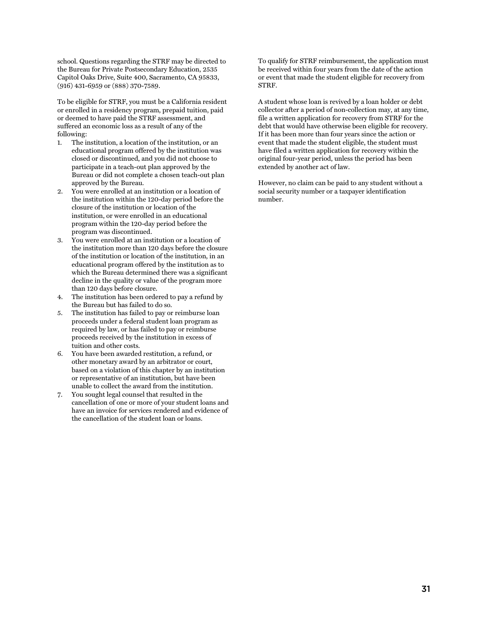school. Questions regarding the STRF may be directed to the Bureau for Private Postsecondary Education, 2535 Capitol Oaks Drive, Suite 400, Sacramento, CA 95833, (916) 431-6959 or (888) 370-7589.

To be eligible for STRF, you must be a California resident or enrolled in a residency program, prepaid tuition, paid or deemed to have paid the STRF assessment, and suffered an economic loss as a result of any of the following:

- 1. The institution, a location of the institution, or an educational program offered by the institution was closed or discontinued, and you did not choose to participate in a teach-out plan approved by the Bureau or did not complete a chosen teach-out plan approved by the Bureau.
- 2. You were enrolled at an institution or a location of the institution within the 120-day period before the closure of the institution or location of the institution, or were enrolled in an educational program within the 120-day period before the program was discontinued.
- 3. You were enrolled at an institution or a location of the institution more than 120 days before the closure of the institution or location of the institution, in an educational program offered by the institution as to which the Bureau determined there was a significant decline in the quality or value of the program more than 120 days before closure.
- 4. The institution has been ordered to pay a refund by the Bureau but has failed to do so.
- 5. The institution has failed to pay or reimburse loan proceeds under a federal student loan program as required by law, or has failed to pay or reimburse proceeds received by the institution in excess of tuition and other costs.
- 6. You have been awarded restitution, a refund, or other monetary award by an arbitrator or court, based on a violation of this chapter by an institution or representative of an institution, but have been unable to collect the award from the institution.
- 7. You sought legal counsel that resulted in the cancellation of one or more of your student loans and have an invoice for services rendered and evidence of the cancellation of the student loan or loans.

To qualify for STRF reimbursement, the application must be received within four years from the date of the action or event that made the student eligible for recovery from STRF.

A student whose loan is revived by a loan holder or debt collector after a period of non-collection may, at any time, file a written application for recovery from STRF for the debt that would have otherwise been eligible for recovery. If it has been more than four years since the action or event that made the student eligible, the student must have filed a written application for recovery within the original four-year period, unless the period has been extended by another act of law.

However, no claim can be paid to any student without a social security number or a taxpayer identification number.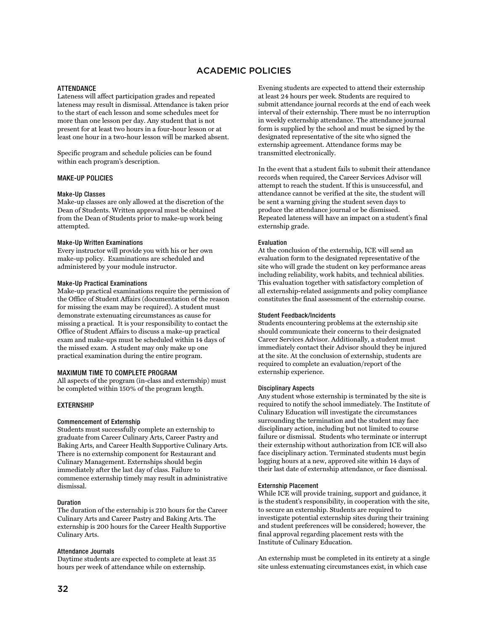## ACADEMIC POLICIES

#### <span id="page-32-1"></span><span id="page-32-0"></span>ATTENDANCE

Lateness will affect participation grades and repeated lateness may result in dismissal. Attendance is taken prior to the start of each lesson and some schedules meet for more than one lesson per day. Any student that is not present for at least two hours in a four-hour lesson or at least one hour in a two-hour lesson will be marked absent.

Specific program and schedule policies can be found within each program's description.

#### <span id="page-32-2"></span>MAKE-UP POLICIES

#### <span id="page-32-3"></span>Make-Up Classes

Make-up classes are only allowed at the discretion of the Dean of Students. Written approval must be obtained from the Dean of Students prior to make-up work being attempted.

#### <span id="page-32-4"></span>Make-Up Written Examinations

Every instructor will provide you with his or her own make-up policy. Examinations are scheduled and administered by your module instructor.

#### <span id="page-32-5"></span>Make-Up Practical Examinations

Make-up practical examinations require the permission of the Office of Student Affairs (documentation of the reason for missing the exam may be required). A student must demonstrate extenuating circumstances as cause for missing a practical. It is your responsibility to contact the Office of Student Affairs to discuss a make-up practical exam and make-ups must be scheduled within 14 days of the missed exam. A student may only make up one practical examination during the entire program.

#### <span id="page-32-6"></span>MAXIMUM TIME TO COMPLETE PROGRAM

All aspects of the program (in-class and externship) must be completed within 150% of the program length.

#### <span id="page-32-7"></span>EXTERNSHIP

#### <span id="page-32-8"></span>Commencement of Externship

Students must successfully complete an externship to graduate from Career Culinary Arts, Career Pastry and Baking Arts, and Career Health Supportive Culinary Arts. There is no externship component for Restaurant and Culinary Management. Externships should begin immediately after the last day of class. Failure to commence externship timely may result in administrative dismissal.

#### <span id="page-32-9"></span>Duration

The duration of the externship is 210 hours for the Career Culinary Arts and Career Pastry and Baking Arts. The externship is 200 hours for the Career Health Supportive Culinary Arts.

#### <span id="page-32-10"></span>Attendance Journals

Daytime students are expected to complete at least 35 hours per week of attendance while on externship.

Evening students are expected to attend their externship at least 24 hours per week. Students are required to submit attendance journal records at the end of each week interval of their externship. There must be no interruption in weekly externship attendance. The attendance journal form is supplied by the school and must be signed by the designated representative of the site who signed the externship agreement. Attendance forms may be transmitted electronically.

In the event that a student fails to submit their attendance records when required, the Career Services Advisor will attempt to reach the student. If this is unsuccessful, and attendance cannot be verified at the site, the student will be sent a warning giving the student seven days to produce the attendance journal or be dismissed. Repeated lateness will have an impact on a student's final externship grade.

#### <span id="page-32-11"></span>Evaluation

At the conclusion of the externship, ICE will send an evaluation form to the designated representative of the site who will grade the student on key performance areas including reliability, work habits, and technical abilities. This evaluation together with satisfactory completion of all externship-related assignments and policy compliance constitutes the final assessment of the externship course.

#### <span id="page-32-12"></span>Student Feedback/Incidents

Students encountering problems at the externship site should communicate their concerns to their designated Career Services Advisor. Additionally, a student must immediately contact their Advisor should they be injured at the site. At the conclusion of externship, students are required to complete an evaluation/report of the externship experience.

#### <span id="page-32-13"></span>Disciplinary Aspects

Any student whose externship is terminated by the site is required to notify the school immediately. The Institute of Culinary Education will investigate the circumstances surrounding the termination and the student may face disciplinary action, including but not limited to course failure or dismissal. Students who terminate or interrupt their externship without authorization from ICE will also face disciplinary action. Terminated students must begin logging hours at a new, approved site within 14 days of their last date of externship attendance, or face dismissal.

#### <span id="page-32-14"></span>Externship Placement

While ICE will provide training, support and guidance, it is the student's responsibility, in cooperation with the site, to secure an externship. Students are required to investigate potential externship sites during their training and student preferences will be considered; however, the final approval regarding placement rests with the Institute of Culinary Education.

An externship must be completed in its entirety at a single site unless extenuating circumstances exist, in which case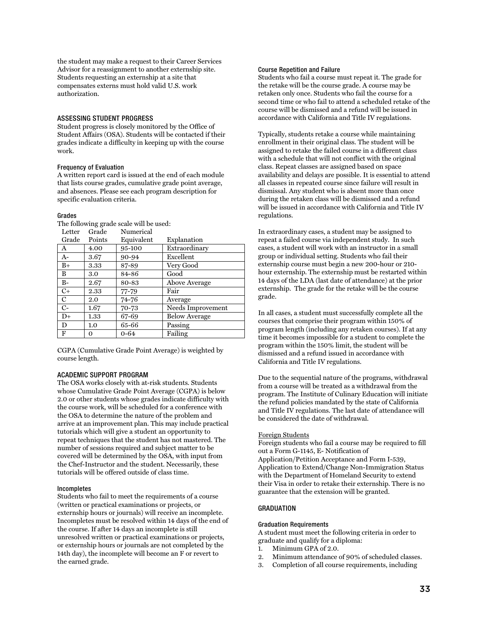the student may make a request to their Career Services Advisor for a reassignment to another externship site. Students requesting an externship at a site that compensates externs must hold valid U.S. work authorization.

#### <span id="page-33-0"></span>ASSESSING STUDENT PROGRESS

Student progress is closely monitored by the Office of Student Affairs (OSA). Students will be contacted if their grades indicate a difficulty in keeping up with the course work.

#### <span id="page-33-1"></span>Frequency of Evaluation

A written report card is issued at the end of each module that lists course grades, cumulative grade point average, and absences. Please see each program description for specific evaluation criteria.

#### <span id="page-33-2"></span>Grades

The following grade scale will be used: Numerical

| Letter         | Grade  | Numerical  |                      |
|----------------|--------|------------|----------------------|
| Grade          | Points | Equivalent | Explanation          |
| A              | 4.00   | 95-100     | Extraordinary        |
| $A-$           | 3.67   | 90-94      | Excellent            |
| $B+$           | 3.33   | 87-89      | Very Good            |
| B              | 3.0    | 84-86      | Good                 |
| $B-$           | 2.67   | 80-83      | Above Average        |
| $C+$           | 2.33   | 77-79      | Fair                 |
| $\mathbf C$    | 2.0    | 74-76      | Average              |
| $\overline{C}$ | 1.67   | 70-73      | Needs Improvement    |
| $D+$           | 1.33   | 67-69      | <b>Below Average</b> |
| D              | 1.0    | 65-66      | Passing              |
| F              | О      | $0 - 64$   | Failing              |

CGPA (Cumulative Grade Point Average) is weighted by course length.

#### <span id="page-33-3"></span>ACADEMIC SUPPORT PROGRAM

The OSA works closely with at-risk students. Students whose Cumulative Grade Point Average (CGPA) is below 2.0 or other students whose grades indicate difficulty with the course work, will be scheduled for a conference with the OSA to determine the nature of the problem and arrive at an improvement plan. This may include practical tutorials which will give a student an opportunity to repeat techniques that the student has not mastered. The number of sessions required and subject matter to be covered will be determined by the OSA, with input from the Chef-Instructor and the student. Necessarily, these tutorials will be offered outside of class time.

#### <span id="page-33-4"></span>Incompletes

Students who fail to meet the requirements of a course (written or practical examinations or projects, or externship hours or journals) will receive an incomplete. Incompletes must be resolved within 14 days of the end of the course. If after 14 days an incomplete is still unresolved written or practical examinations or projects, or externship hours or journals are not completed by the 14th day), the incomplete will become an F or revert to the earned grade.

#### <span id="page-33-5"></span>Course Repetition and Failure

Students who fail a course must repeat it. The grade for the retake will be the course grade. A course may be retaken only once. Students who fail the course for a second time or who fail to attend a scheduled retake of the course will be dismissed and a refund will be issued in accordance with California and Title IV regulations.

Typically, students retake a course while maintaining enrollment in their original class. The student will be assigned to retake the failed course in a different class with a schedule that will not conflict with the original class. Repeat classes are assigned based on space availability and delays are possible. It is essential to attend all classes in repeated course since failure will result in dismissal. Any student who is absent more than once during the retaken class will be dismissed and a refund will be issued in accordance with California and Title IV regulations.

In extraordinary cases, a student may be assigned to repeat a failed course via independent study. In such cases, a student will work with an instructor in a small group or individual setting. Students who fail their externship course must begin a new 200-hour or 210 hour externship. The externship must be restarted within 14 days of the LDA (last date of attendance) at the prior externship. The grade for the retake will be the course grade.

In all cases, a student must successfully complete all the courses that comprise their program within 150% of program length (including any retaken courses). If at any time it becomes impossible for a student to complete the program within the 150% limit, the student will be dismissed and a refund issued in accordance with California and Title IV regulations.

Due to the sequential nature of the programs, withdrawal from a course will be treated as a withdrawal from the program. The Institute of Culinary Education will initiate the refund policies mandated by the state of California and Title IV regulations. The last date of attendance will be considered the date of withdrawal.

#### Foreign Students

Foreign students who fail a course may be required to fill out a Form G-1145, E- Notification of Application/Petition Acceptance and Form I-539, Application to Extend/Change Non-Immigration Status with the Department of Homeland Security to extend their Visa in order to retake their externship. There is no guarantee that the extension will be granted.

#### <span id="page-33-6"></span>**GRADUATION**

#### <span id="page-33-7"></span>Graduation Requirements

A student must meet the following criteria in order to graduate and qualify for a diploma:

- 1. Minimum GPA of 2.0.
- 2. Minimum attendance of 90% of scheduled classes.
- 3. Completion of all course requirements, including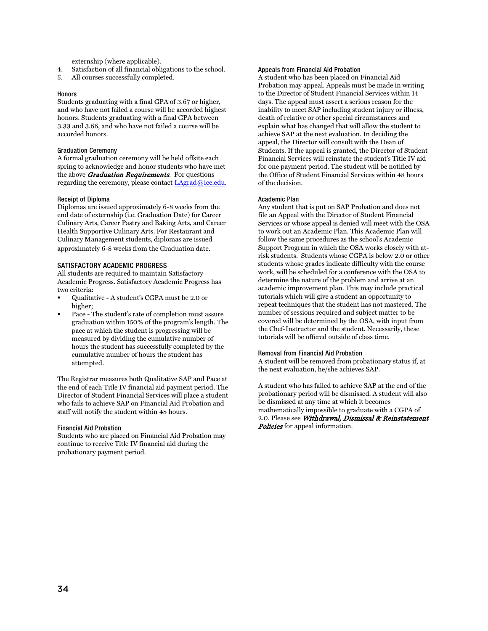externship (where applicable).

- 4. Satisfaction of all financial obligations to the school.
- 5. All courses successfully completed.

#### <span id="page-34-0"></span>**Honors**

Students graduating with a final GPA of 3.67 or higher, and who have not failed a course will be accorded highest honors. Students graduating with a final GPA between 3.33 and 3.66, and who have not failed a course will be accorded honors.

#### <span id="page-34-1"></span>Graduation Ceremony

A formal graduation ceremony will be held offsite each spring to acknowledge and honor students who have met the above **[Graduation Requirements](#page-33-7)**. For questions regarding the ceremony, please contact [LAgrad@ice.edu.](mailto:LAgrad@ice.edu)

#### <span id="page-34-2"></span>Receipt of Diploma

Diplomas are issued approximately 6-8 weeks from the end date of externship (i.e. Graduation Date) for Career Culinary Arts, Career Pastry and Baking Arts, and Career Health Supportive Culinary Arts. For Restaurant and Culinary Management students, diplomas are issued approximately 6-8 weeks from the Graduation date.

#### <span id="page-34-3"></span>SATISFACTORY ACADEMIC PROGRESS

All students are required to maintain Satisfactory Academic Progress. Satisfactory Academic Progress has two criteria:

- Qualitative A student's CGPA must be 2.0 or higher;
- Pace The student's rate of completion must assure graduation within 150% of the program's length. The pace at which the student is progressing will be measured by dividing the cumulative number of hours the student has successfully completed by the cumulative number of hours the student has attempted.

The Registrar measures both Qualitative SAP and Pace at the end of each Title IV financial aid payment period. The Director of Student Financial Services will place a student who fails to achieve SAP on Financial Aid Probation and staff will notify the student within 48 hours.

#### <span id="page-34-4"></span>Financial Aid Probation

Students who are placed on Financial Aid Probation may continue to receive Title IV financial aid during the probationary payment period.

#### <span id="page-34-5"></span>Appeals from Financial Aid Probation

A student who has been placed on Financial Aid Probation may appeal. Appeals must be made in writing to the Director of Student Financial Services within 14 days. The appeal must assert a serious reason for the inability to meet SAP including student injury or illness, death of relative or other special circumstances and explain what has changed that will allow the student to achieve SAP at the next evaluation. In deciding the appeal, the Director will consult with the Dean of Students. If the appeal is granted, the Director of Student Financial Services will reinstate the student's Title IV aid for one payment period. The student will be notified by the Office of Student Financial Services within 48 hours of the decision.

#### <span id="page-34-6"></span>Academic Plan

Any student that is put on SAP Probation and does not file an Appeal with the Director of Student Financial Services or whose appeal is denied will meet with the OSA to work out an Academic Plan. This Academic Plan will follow the same procedures as the school's Academic Support Program in which the OSA works closely with atrisk students. Students whose CGPA is below 2.0 or other students whose grades indicate difficulty with the course work, will be scheduled for a conference with the OSA to determine the nature of the problem and arrive at an academic improvement plan. This may include practical tutorials which will give a student an opportunity to repeat techniques that the student has not mastered. The number of sessions required and subject matter to be covered will be determined by the OSA, with input from the Chef-Instructor and the student. Necessarily, these tutorials will be offered outside of class time.

#### <span id="page-34-7"></span>Removal from Financial Aid Probation

A student will be removed from probationary status if, at the next evaluation, he/she achieves SAP.

A student who has failed to achieve SAP at the end of the probationary period will be dismissed. A student will also be dismissed at any time at which it becomes mathematically impossible to graduate with a CGPA of 2.0. Please see Withdrawal, Dismissal & Reinstatement **Policies** for appeal information.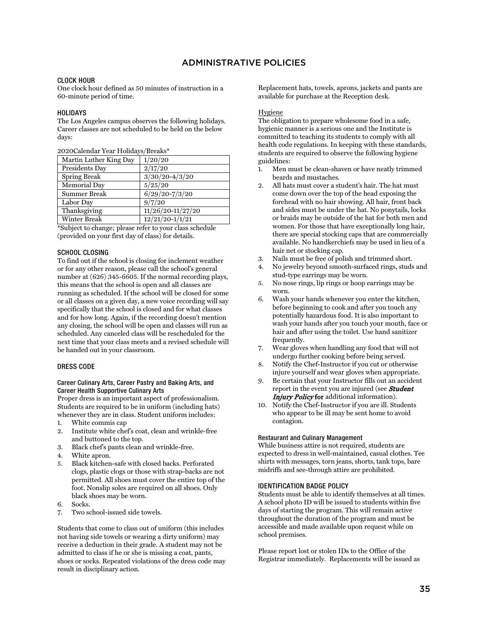## ADMINISTRATIVE POLICIES

#### <span id="page-35-1"></span><span id="page-35-0"></span>CLOCK HOUR

One clock hour defined as 50 minutes of instruction in a 60-minute period of time.

#### <span id="page-35-2"></span>HOLIDAYS

The Los Angeles campus observes the following holidays. Career classes are not scheduled to be held on the below days:

| Martin Luther King Day | 1/20/20                         |
|------------------------|---------------------------------|
| Presidents Day         | 2/17/20                         |
| <b>Spring Break</b>    | $3/30/20 - 4/3/20$              |
| Memorial Day           | 5/25/20                         |
| Summer Break           | $6/29/20 - 7/3/20$              |
| Labor Day              | 9/7/20                          |
| Thanksgiving           | $\overline{11/26}/20$ -11/27/20 |
| Winter Break           | $12/21/20 - 1/1/21$             |

\*Subject to change; please refer to your class schedule (provided on your first day of class) for details.

#### <span id="page-35-3"></span>SCHOOL CLOSING

To find out if the school is closing for inclement weather or for any other reason, please call the school's general number at (626) 345-6605. If the normal recording plays, this means that the school is open and all classes are running as scheduled. If the school will be closed for some or all classes on a given day, a new voice recording will say specifically that the school is closed and for what classes and for how long. Again, if the recording doesn't mention any closing, the school will be open and classes will run as scheduled. Any canceled class will be rescheduled for the next time that your class meets and a revised schedule will be handed out in your classroom.

#### <span id="page-35-4"></span>DRESS CODE

#### <span id="page-35-5"></span>Career Culinary Arts, Career Pastry and Baking Arts, and Career Health Supportive Culinary Arts

Proper dress is an important aspect of professionalism. Students are required to be in uniform (including hats) whenever they are in class. Student uniform includes:

- 1. White commis cap
- 2. Institute white chef's coat, clean and wrinkle-free and buttoned to the top.
- 3. Black chef's pants clean and wrinkle-free.
- 4. White apron.
- 5. Black kitchen-safe with closed backs. Perforated clogs, plastic clogs or those with strap-backs are not permitted. All shoes must cover the entire top of the foot. Nonslip soles are required on all shoes. Only black shoes may be worn.
- 6. Socks.
- 7. Two school-issued side towels.

Students that come to class out of uniform (this includes not having side towels or wearing a dirty uniform) may receive a deduction in their grade. A student may not be admitted to class if he or she is missing a coat, pants, shoes or socks. Repeated violations of the dress code may result in disciplinary action.

Replacement hats, towels, aprons, jackets and pants are available for purchase at the Reception desk.

#### Hygiene

The obligation to prepare wholesome food in a safe, hygienic manner is a serious one and the Institute is committed to teaching its students to comply with all health code regulations. In keeping with these standards, students are required to observe the following hygiene guidelines:

- 1. Men must be clean-shaven or have neatly trimmed beards and mustaches.
- 2. All hats must cover a student's hair. The hat must come down over the top of the head exposing the forehead with no hair showing. All hair, front back and sides must be under the hat. No ponytails, locks or braids may be outside of the hat for both men and women. For those that have exceptionally long hair, there are special stocking caps that are commercially available. No handkerchiefs may be used in lieu of a hair net or stocking cap.
- 3. Nails must be free of polish and trimmed short.
- 4. No jewelry beyond smooth-surfaced rings, studs and stud-type earrings may be worn.
- 5. No nose rings, lip rings or hoop earrings may be worn.
- 6. Wash your hands whenever you enter the kitchen, before beginning to cook and after you touch any potentially hazardous food. It is also important to wash your hands after you touch your mouth, face or hair and after using the toilet. Use hand sanitizer frequently.
- 7. Wear gloves when handling any food that will not undergo further cooking before being served.
- 8. Notify the Chef-Instructor if you cut or otherwise injure yourself and wear gloves when appropriate.
- 9. Be certain that your Instructor fills out an accident report in the event you are injured (see **Student** Injury Policy for additional information).
- 10. Notify the Chef-Instructor if you are ill. Students who appear to be ill may be sent home to avoid contagion.

#### <span id="page-35-6"></span>Restaurant and Culinary Management

While business attire is not required, students are expected to dress in well-maintained, casual clothes. Tee shirts with messages, torn jeans, shorts, tank tops, bare midriffs and see-through attire are prohibited.

#### <span id="page-35-7"></span>IDENTIFICATION BADGE POLICY

Students must be able to identify themselves at all times. A school photo ID will be issued to students within five days of starting the program. This will remain active throughout the duration of the program and must be accessible and made available upon request while on school premises.

Please report lost or stolen IDs to the Office of the Registrar immediately. Replacements will be issued as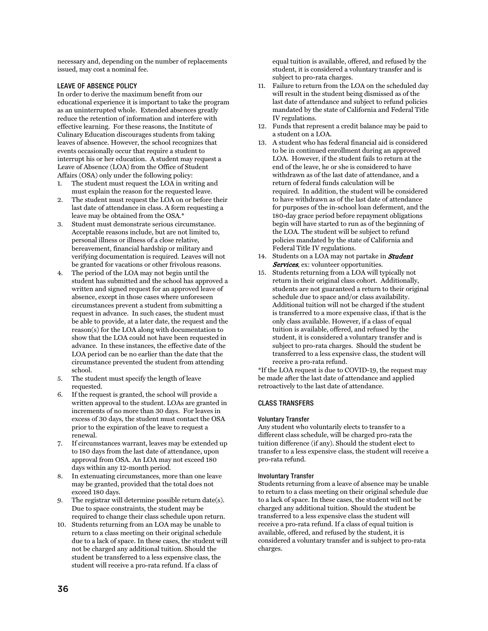necessary and, depending on the number of replacements issued, may cost a nominal fee.

#### <span id="page-36-0"></span>LEAVE OF ABSENCE POLICY

In order to derive the maximum benefit from our educational experience it is important to take the program as an uninterrupted whole. Extended absences greatly reduce the retention of information and interfere with effective learning. For these reasons, the Institute of Culinary Education discourages students from taking leaves of absence. However, the school recognizes that events occasionally occur that require a student to interrupt his or her education. A student may request a Leave of Absence (LOA) from the Office of Student Affairs (OSA) only under the following policy:

- 1. The student must request the LOA in writing and must explain the reason for the requested leave.
- 2. The student must request the LOA on or before their last date of attendance in class. A form requesting a leave may be obtained from the OSA.\*
- 3. Student must demonstrate serious circumstance. Acceptable reasons include, but are not limited to, personal illness or illness of a close relative, bereavement, financial hardship or military and verifying documentation is required. Leaves will not be granted for vacations or other frivolous reasons.
- 4. The period of the LOA may not begin until the student has submitted and the school has approved a written and signed request for an approved leave of absence, except in those cases where unforeseen circumstances prevent a student from submitting a request in advance. In such cases, the student must be able to provide, at a later date, the request and the reason(s) for the LOA along with documentation to show that the LOA could not have been requested in advance. In these instances, the effective date of the LOA period can be no earlier than the date that the circumstance prevented the student from attending school.
- 5. The student must specify the length of leave requested.
- 6. If the request is granted, the school will provide a written approval to the student. LOAs are granted in increments of no more than 30 days. For leaves in excess of 30 days, the student must contact the OSA prior to the expiration of the leave to request a renewal.
- 7. If circumstances warrant, leaves may be extended up to 180 days from the last date of attendance, upon approval from OSA. An LOA may not exceed 180 days within any 12-month period.
- 8. In extenuating circumstances, more than one leave may be granted, provided that the total does not exceed 180 days.
- 9. The registrar will determine possible return date(s). Due to space constraints, the student may be required to change their class schedule upon return.
- 10. Students returning from an LOA may be unable to return to a class meeting on their original schedule due to a lack of space. In these cases, the student will not be charged any additional tuition. Should the student be transferred to a less expensive class, the student will receive a pro-rata refund. If a class of

equal tuition is available, offered, and refused by the student, it is considered a voluntary transfer and is subject to pro-rata charges.

- 11. Failure to return from the LOA on the scheduled day will result in the student being dismissed as of the last date of attendance and subject to refund policies mandated by the state of California and Federal Title IV regulations.
- 12. Funds that represent a credit balance may be paid to a student on a LOA.
- 13. A student who has federal financial aid is considered to be in continued enrollment during an approved LOA. However, if the student fails to return at the end of the leave, he or she is considered to have withdrawn as of the last date of attendance, and a return of federal funds calculation will be required. In addition, the student will be considered to have withdrawn as of the last date of attendance for purposes of the in-school loan deferment, and the 180-day grace period before repayment obligations begin will have started to run as of the beginning of the LOA. The student will be subject to refund policies mandated by the state of California and Federal Title IV regulations.
- 14. Students on a LOA may not partake in **Student** Services, ex: volunteer opportunities.
- 15. Students returning from a LOA will typically not return in their original class cohort. Additionally, students are not guaranteed a return to their original schedule due to space and/or class availability. Additional tuition will not be charged if the student is transferred to a more expensive class, if that is the only class available. However, if a class of equal tuition is available, offered, and refused by the student, it is considered a voluntary transfer and is subject to pro-rata charges. Should the student be transferred to a less expensive class, the student will receive a pro-rata refund.

\*If the LOA request is due to COVID-19, the request may be made after the last date of attendance and applied retroactively to the last date of attendance.

#### <span id="page-36-1"></span>CLASS TRANSFERS

#### <span id="page-36-2"></span>Voluntary Transfer

Any student who voluntarily elects to transfer to a different class schedule, will be charged pro-rata the tuition difference (if any). Should the student elect to transfer to a less expensive class, the student will receive a pro-rata refund.

#### <span id="page-36-3"></span>Involuntary Transfer

Students returning from a leave of absence may be unable to return to a class meeting on their original schedule due to a lack of space. In these cases, the student will not be charged any additional tuition. Should the student be transferred to a less expensive class the student will receive a pro-rata refund. If a class of equal tuition is available, offered, and refused by the student, it is considered a voluntary transfer and is subject to pro-rata charges.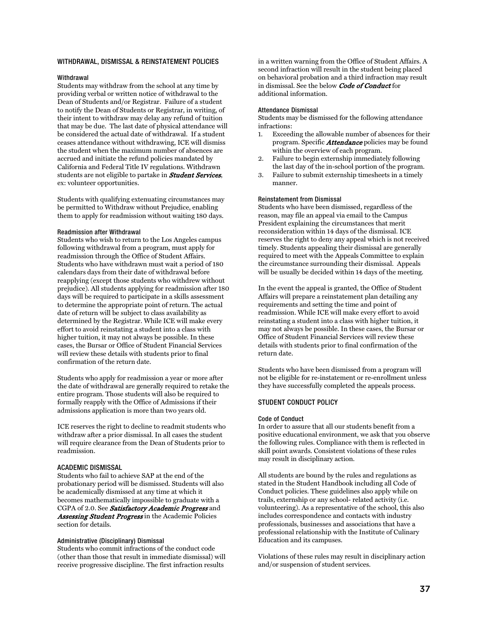#### <span id="page-37-0"></span>WITHDRAWAL, DISMISSAL & REINSTATEMENT POLICIES

#### <span id="page-37-1"></span>Withdrawal

Students may withdraw from the school at any time by providing verbal or written notice of withdrawal to the Dean of Students and/or Registrar. Failure of a student to notify the Dean of Students or Registrar, in writing, of their intent to withdraw may delay any refund of tuition that may be due. The last date of physical attendance will be considered the actual date of withdrawal. If a student ceases attendance without withdrawing, ICE will dismiss the student when the maximum number of absences are accrued and initiate the refund policies mandated by California and Federal Title IV regulations. Withdrawn students are not eligible to partake in **Student Services**, ex: volunteer opportunities.

Students with qualifying extenuating circumstances may be permitted to Withdraw without Prejudice, enabling them to apply for readmission without waiting 180 days.

#### <span id="page-37-2"></span>Readmission after Withdrawal

Students who wish to return to the Los Angeles campus following withdrawal from a program, must apply for readmission through the Office of Student Affairs. Students who have withdrawn must wait a period of 180 calendars days from their date of withdrawal before reapplying (except those students who withdrew without prejudice). All students applying for readmission after 180 days will be required to participate in a skills assessment to determine the appropriate point of return. The actual date of return will be subject to class availability as determined by the Registrar. While ICE will make every effort to avoid reinstating a student into a class with higher tuition, it may not always be possible. In these cases, the Bursar or Office of Student Financial Services will review these details with students prior to final confirmation of the return date.

Students who apply for readmission a year or more after the date of withdrawal are generally required to retake the entire program. Those students will also be required to formally reapply with the Office of Admissions if their admissions application is more than two years old.

ICE reserves the right to decline to readmit students who withdraw after a prior dismissal. In all cases the student will require clearance from the Dean of Students prior to readmission.

#### <span id="page-37-3"></span>ACADEMIC DISMISSAL

Students who fail to achieve SAP at the end of the probationary period will be dismissed. Students will also be academically dismissed at any time at which it becomes mathematically impossible to graduate with a CGPA of 2.0. See Satisfactory Academic Progress and Assessing Student Progress in the Academic Policies section for details.

#### <span id="page-37-4"></span>Administrative (Disciplinary) Dismissal

Students who commit infractions of the conduct code (other than those that result in immediate dismissal) will receive progressive discipline. The first infraction results

in a written warning from the Office of Student Affairs. A second infraction will result in the student being placed on behavioral probation and a third infraction may result in dismissal. See the below Code of Conduct for additional information.

#### <span id="page-37-5"></span>Attendance Dismissal

Students may be dismissed for the following attendance infractions:

- 1. Exceeding the allowable number of absences for their program. Specific Attendance policies may be found within the overview of each program.
- 2. Failure to begin externship immediately following the last day of the in-school portion of the program.
- 3. Failure to submit externship timesheets in a timely manner.

#### <span id="page-37-6"></span>Reinstatement from Dismissal

Students who have been dismissed, regardless of the reason, may file an appeal via email to the Campus President explaining the circumstances that merit reconsideration within 14 days of the dismissal. ICE reserves the right to deny any appeal which is not received timely. Students appealing their dismissal are generally required to meet with the Appeals Committee to explain the circumstance surrounding their dismissal. Appeals will be usually be decided within 14 days of the meeting.

In the event the appeal is granted, the Office of Student Affairs will prepare a reinstatement plan detailing any requirements and setting the time and point of readmission. While ICE will make every effort to avoid reinstating a student into a class with higher tuition, it may not always be possible. In these cases, the Bursar or Office of Student Financial Services will review these details with students prior to final confirmation of the return date.

Students who have been dismissed from a program will not be eligible for re-instatement or re-enrollment unless they have successfully completed the appeals process.

#### <span id="page-37-7"></span>STUDENT CONDUCT POLICY

#### <span id="page-37-8"></span>Code of Conduct

In order to assure that all our students benefit from a positive educational environment, we ask that you observe the following rules. Compliance with them is reflected in skill point awards. Consistent violations of these rules may result in disciplinary action.

All students are bound by the rules and regulations as stated in the Student Handbook including all Code of Conduct policies. These guidelines also apply while on trails, externship or any school- related activity (i.e. volunteering). As a representative of the school, this also includes correspondence and contacts with industry professionals, businesses and associations that have a professional relationship with the Institute of Culinary Education and its campuses.

Violations of these rules may result in disciplinary action and/or suspension of student services.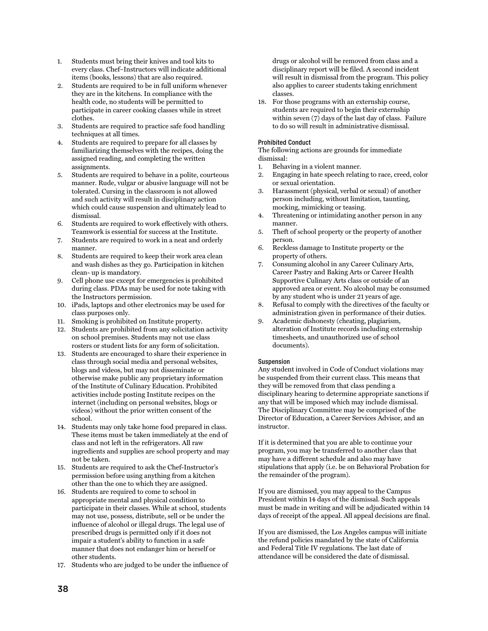- 1. Students must bring their knives and tool kits to every class. Chef–Instructors will indicate additional items (books, lessons) that are also required.
- 2. Students are required to be in full uniform whenever they are in the kitchens. In compliance with the health code, no students will be permitted to participate in career cooking classes while in street clothes.
- 3. Students are required to practice safe food handling techniques at all times.
- 4. Students are required to prepare for all classes by familiarizing themselves with the recipes, doing the assigned reading, and completing the written assignments.
- 5. Students are required to behave in a polite, courteous manner. Rude, vulgar or abusive language will not be tolerated. Cursing in the classroom is not allowed and such activity will result in disciplinary action which could cause suspension and ultimately lead to dismissal.
- 6. Students are required to work effectively with others. Teamwork is essential for success at the Institute.
- 7. Students are required to work in a neat and orderly manner.
- 8. Students are required to keep their work area clean and wash dishes as they go. Participation in kitchen clean- up is mandatory.
- 9. Cell phone use except for emergencies is prohibited during class. PDAs may be used for note taking with the Instructors permission.
- 10. iPads, laptops and other electronics may be used for class purposes only.
- 11. Smoking is prohibited on Institute property.
- 12. Students are prohibited from any solicitation activity on school premises. Students may not use class rosters or student lists for any form of solicitation.
- 13. Students are encouraged to share their experience in class through social media and personal websites, blogs and videos, but may not disseminate or otherwise make public any proprietary information of the Institute of Culinary Education. Prohibited activities include posting Institute recipes on the internet (including on personal websites, blogs or videos) without the prior written consent of the school.
- 14. Students may only take home food prepared in class. These items must be taken immediately at the end of class and not left in the refrigerators. All raw ingredients and supplies are school property and may not be taken.
- 15. Students are required to ask the Chef-Instructor's permission before using anything from a kitchen other than the one to which they are assigned.
- 16. Students are required to come to school in appropriate mental and physical condition to participate in their classes. While at school, students may not use, possess, distribute, sell or be under the influence of alcohol or illegal drugs. The legal use of prescribed drugs is permitted only if it does not impair a student's ability to function in a safe manner that does not endanger him or herself or other students.
- 17. Students who are judged to be under the influence of

drugs or alcohol will be removed from class and a disciplinary report will be filed. A second incident will result in dismissal from the program. This policy also applies to career students taking enrichment classes.

18. For those programs with an externship course, students are required to begin their externship within seven  $(7)$  days of the last day of class. Failure to do so will result in administrative dismissal.

#### <span id="page-38-0"></span>Prohibited Conduct

The following actions are grounds for immediate dismissal:

- 1. Behaving in a violent manner.
- 2. Engaging in hate speech relating to race, creed, color or sexual orientation.
- 3. Harassment (physical, verbal or sexual) of another person including, without limitation, taunting, mocking, mimicking or teasing.
- 4. Threatening or intimidating another person in any manner.
- 5. Theft of school property or the property of another person.
- 6. Reckless damage to Institute property or the property of others.
- 7. Consuming alcohol in any Career Culinary Arts, Career Pastry and Baking Arts or Career Health Supportive Culinary Arts class or outside of an approved area or event. No alcohol may be consumed by any student who is under 21 years of age.
- 8. Refusal to comply with the directives of the faculty or administration given in performance of their duties.
- 9. Academic dishonesty (cheating, plagiarism, alteration of Institute records including externship timesheets, and unauthorized use of school documents).

#### <span id="page-38-1"></span>Suspension

Any student involved in Code of Conduct violations may be suspended from their current class. This means that they will be removed from that class pending a disciplinary hearing to determine appropriate sanctions if any that will be imposed which may include dismissal. The Disciplinary Committee may be comprised of the Director of Education, a Career Services Advisor, and an instructor.

If it is determined that you are able to continue your program, you may be transferred to another class that may have a different schedule and also may have stipulations that apply (i.e. be on Behavioral Probation for the remainder of the program).

If you are dismissed, you may appeal to the Campus President within 14 days of the dismissal. Such appeals must be made in writing and will be adjudicated within 14 days of receipt of the appeal. All appeal decisions are final.

If you are dismissed, the Los Angeles campus will initiate the refund policies mandated by the state of California and Federal Title IV regulations. The last date of attendance will be considered the date of dismissal.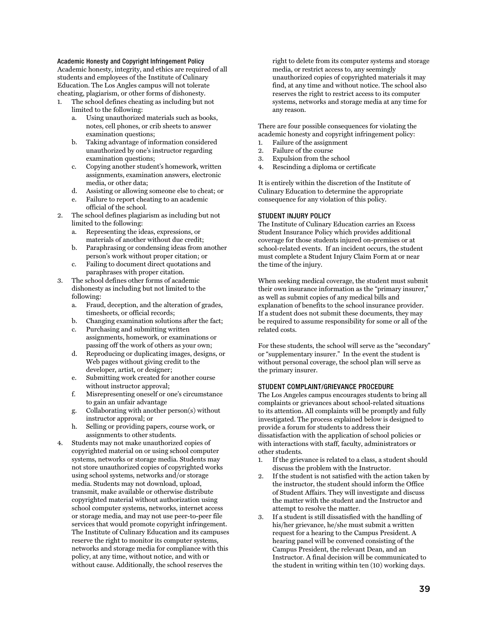#### <span id="page-39-0"></span>Academic Honesty and Copyright Infringement Policy

Academic honesty, integrity, and ethics are required of all students and employees of the Institute of Culinary Education. The Los Angles campus will not tolerate cheating, plagiarism, or other forms of dishonesty.

- 1. The school defines cheating as including but not limited to the following:
	- a. Using unauthorized materials such as books, notes, cell phones, or crib sheets to answer examination questions;
	- b. Taking advantage of information considered unauthorized by one's instructor regarding examination questions;
	- c. Copying another student's homework, written assignments, examination answers, electronic media, or other data;
	- d. Assisting or allowing someone else to cheat; or
	- e. Failure to report cheating to an academic official of the school.
- 2. The school defines plagiarism as including but not limited to the following:
	- a. Representing the ideas, expressions, or materials of another without due credit;
	- b. Paraphrasing or condensing ideas from another person's work without proper citation; or
	- c. Failing to document direct quotations and paraphrases with proper citation.
- 3. The school defines other forms of academic dishonesty as including but not limited to the following:
	- a. Fraud, deception, and the alteration of grades, timesheets, or official records;
	- b. Changing examination solutions after the fact;
	- c. Purchasing and submitting written assignments, homework, or examinations or passing off the work of others as your own;
	- d. Reproducing or duplicating images, designs, or Web pages without giving credit to the developer, artist, or designer;
	- e. Submitting work created for another course without instructor approval;
	- f. Misrepresenting oneself or one's circumstance to gain an unfair advantage
	- g. Collaborating with another person(s) without instructor approval; or
	- h. Selling or providing papers, course work, or assignments to other students.
- 4. Students may not make unauthorized copies of copyrighted material on or using school computer systems, networks or storage media. Students may not store unauthorized copies of copyrighted works using school systems, networks and/or storage media. Students may not download, upload, transmit, make available or otherwise distribute copyrighted material without authorization using school computer systems, networks, internet access or storage media, and may not use peer-to-peer file services that would promote copyright infringement. The Institute of Culinary Education and its campuses reserve the right to monitor its computer systems, networks and storage media for compliance with this policy, at any time, without notice, and with or without cause. Additionally, the school reserves the

right to delete from its computer systems and storage media, or restrict access to, any seemingly unauthorized copies of copyrighted materials it may find, at any time and without notice. The school also reserves the right to restrict access to its computer systems, networks and storage media at any time for any reason.

There are four possible consequences for violating the academic honesty and copyright infringement policy:

- 1. Failure of the assignment
- 2. Failure of the course 3. Expulsion from the school
- 4. Rescinding a diploma or certificate

It is entirely within the discretion of the Institute of Culinary Education to determine the appropriate consequence for any violation of this policy.

#### <span id="page-39-1"></span>STUDENT INJURY POLICY

The Institute of Culinary Education carries an Excess Student Insurance Policy which provides additional coverage for those students injured on-premises or at school-related events. If an incident occurs, the student must complete a Student Injury Claim Form at or near the time of the injury.

When seeking medical coverage, the student must submit their own insurance information as the "primary insurer," as well as submit copies of any medical bills and explanation of benefits to the school insurance provider. If a student does not submit these documents, they may be required to assume responsibility for some or all of the related costs.

For these students, the school will serve as the "secondary" or "supplementary insurer." In the event the student is without personal coverage, the school plan will serve as the primary insurer.

#### <span id="page-39-2"></span>STUDENT COMPLAINT/GRIEVANCE PROCEDURE

The Los Angeles campus encourages students to bring all complaints or grievances about school-related situations to its attention. All complaints will be promptly and fully investigated. The process explained below is designed to provide a forum for students to address their dissatisfaction with the application of school policies or with interactions with staff, faculty, administrators or other students.

- 1. If the grievance is related to a class, a student should discuss the problem with the Instructor.
- 2. If the student is not satisfied with the action taken by the instructor, the student should inform the Office of Student Affairs. They will investigate and discuss the matter with the student and the Instructor and attempt to resolve the matter.
- 3. If a student is still dissatisfied with the handling of his/her grievance, he/she must submit a written request for a hearing to the Campus President. A hearing panel will be convened consisting of the Campus President, the relevant Dean, and an Instructor. A final decision will be communicated to the student in writing within ten (10) working days.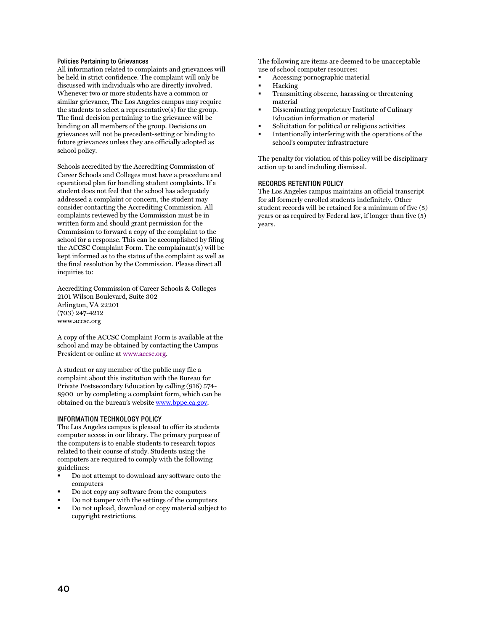#### <span id="page-40-0"></span>Policies Pertaining to Grievances

All information related to complaints and grievances will be held in strict confidence. The complaint will only be discussed with individuals who are directly involved. Whenever two or more students have a common or similar grievance, The Los Angeles campus may require the students to select a representative(s) for the group. The final decision pertaining to the grievance will be binding on all members of the group. Decisions on grievances will not be precedent-setting or binding to future grievances unless they are officially adopted as school policy.

Schools accredited by the Accrediting Commission of Career Schools and Colleges must have a procedure and operational plan for handling student complaints. If a student does not feel that the school has adequately addressed a complaint or concern, the student may consider contacting the Accrediting Commission. All complaints reviewed by the Commission must be in written form and should grant permission for the Commission to forward a copy of the complaint to the school for a response. This can be accomplished by filing the ACCSC Complaint Form. The complainant(s) will be kept informed as to the status of the complaint as well as the final resolution by the Commission. Please direct all inquiries to:

Accrediting Commission of Career Schools & Colleges 2101 Wilson Boulevard, Suite 302 Arlington, VA 22201 (703) 247-4212 www.accsc.org

A copy of the ACCSC Complaint Form is available at the school and may be obtained by contacting the Campus President or online a[t www.accsc.org.](http://www.accsc.org/)

A student or any member of the public may file a complaint about this institution with the Bureau for Private Postsecondary Education by calling (916) 574- 8900 or by completing a complaint form, which can be obtained on the bureau's websit[e www.bppe.ca.gov.](http://www.bppe.ca.gov/)

#### <span id="page-40-1"></span>INFORMATION TECHNOLOGY POLICY

The Los Angeles campus is pleased to offer its students computer access in our library. The primary purpose of the computers is to enable students to research topics related to their course of study. Students using the computers are required to comply with the following guidelines:

- Do not attempt to download any software onto the computers
- Do not copy any software from the computers
- Do not tamper with the settings of the computers
- Do not upload, download or copy material subject to copyright restrictions.

The following are items are deemed to be unacceptable use of school computer resources:

- Accessing pornographic material
- Hacking
- **Transmitting obscene, harassing or threatening** material
- Disseminating proprietary Institute of Culinary Education information or material
- Solicitation for political or religious activities
- Intentionally interfering with the operations of the school's computer infrastructure

The penalty for violation of this policy will be disciplinary action up to and including dismissal.

#### <span id="page-40-2"></span>RECORDS RETENTION POLICY

The Los Angeles campus maintains an official transcript for all formerly enrolled students indefinitely. Other student records will be retained for a minimum of five (5) years or as required by Federal law, if longer than five (5) years.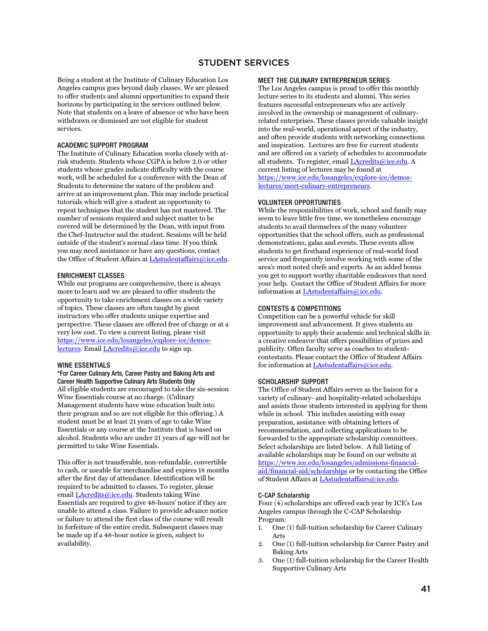#### STUDENT SERVICES

<span id="page-41-0"></span>Being a student at the Institute of Culinary Education Los Angeles campus goes beyond daily classes. We are pleased to offer students and alumni opportunities to expand their horizons by participating in the services outlined below. Note that students on a leave of absence or who have been withdrawn or dismissed are not eligible for student services.

#### <span id="page-41-1"></span>ACADEMIC SUPPORT PROGRAM

The Institute of Culinary Education works closely with atrisk students. Students whose CGPA is below 2.0 or other students whose grades indicate difficulty with the course work, will be scheduled for a conference with the Dean of Students to determine the nature of the problem and arrive at an improvement plan. This may include practical tutorials which will give a student an opportunity to repeat techniques that the student has not mastered. The number of sessions required and subject matter to be covered will be determined by the Dean, with input from the Chef-Instructor and the student. Sessions will be held outside of the student's normal class time. If you think you may need assistance or have any questions, contact the Office of Student Affairs at LAstudentaffairs@ice.edu.

#### <span id="page-41-2"></span>ENRICHMENT CLASSES

While our programs are comprehensive, there is always more to learn and we are pleased to offer students the opportunity to take enrichment classes on a wide variety of topics. These classes are often taught by guest instructors who offer students unique expertise and perspective. These classes are offered free of charge or at a very low cost. To view a current listing, please visit [https://www.ice.edu/losangeles/explore-ice/demos](https://www.ice.edu/losangeles/explore-ice/demos-lectures)[lectures.](https://www.ice.edu/losangeles/explore-ice/demos-lectures) Emai[l LAcredits@ice.edu](mailto:LAcredits@ice.edu) to sign up.

#### <span id="page-41-3"></span>WINE ESSENTIALS

\*For Career Culinary Arts, Career Pastry and Baking Arts and Career Health Supportive Culinary Arts Students Only All eligible students are encouraged to take the six-session Wine Essentials course at no charge. (Culinary Management students have wine education built into their program and so are not eligible for this offering.) A student must be at least 21 years of age to take Wine Essentials or any course at the Institute that is based on alcohol. Students who are under 21 years of age will not be permitted to take Wine Essentials.

This offer is not transferable, non-refundable, convertible to cash, or useable for merchandise and expires 18 months after the first day of attendance. Identification will be required to be admitted to classes. To register, please emai[l LAcredits@ice.edu.](mailto:LAcredits@ice.edu) Students taking Wine Essentials are required to give 48-hours' notice if they are unable to attend a class. Failure to provide advance notice or failure to attend the first class of the course will result in forfeiture of the entire credit. Subsequent classes may be made up if a 48-hour notice is given, subject to availability.

#### <span id="page-41-4"></span>MEET THE CULINARY ENTREPRENEUR SERIES

The Los Angeles campus is proud to offer this monthly lecture series to its students and alumni. This series features successful entrepreneurs who are actively involved in the ownership or management of culinaryrelated enterprises. These classes provide valuable insight into the real-world, operational aspect of the industry, and often provide students with networking connections and inspiration. Lectures are free for current students and are offered on a variety of schedules to accommodate all students. To register, email [LAcredits@ice.edu.](mailto:LAcredits@ice.edu) A current listing of lectures may be found at [https://www.ice.edu/losangeles/explore-ice/demos](https://www.ice.edu/losangeles/explore-ice/demos-lectures/meet-culinary-entrepreneurs)[lectures/meet-culinary-entrepreneurs.](https://www.ice.edu/losangeles/explore-ice/demos-lectures/meet-culinary-entrepreneurs)

#### <span id="page-41-5"></span>VOLUNTEER OPPORTUNITIES

While the responsibilities of work, school and family may seem to leave little free time, we nonetheless encourage students to avail themselves of the many volunteer opportunities that the school offers, such as professional demonstrations, galas and events. These events allow students to get firsthand experience of real-world food service and frequently involve working with some of the area's most noted chefs and experts. As an added bonus you get to support worthy charitable endeavors that need your help. Contact the Office of Student Affairs for more information a[t LAstudentaffairs@ice.edu.](mailto:LAstudentaffairs@ice.edu)

#### <span id="page-41-6"></span>CONTESTS & COMPETITIONS

Competition can be a powerful vehicle for skill improvement and advancement. It gives students an opportunity to apply their academic and technical skills in a creative endeavor that offers possibilities of prizes and publicity. Often faculty serve as coaches to studentcontestants. Please contact the Office of Student Affairs for information a[t LAstudentaffairs@ice.edu.](mailto:LAstudentaffairs@ice.edu)

#### <span id="page-41-7"></span>SCHOLARSHIP SUPPORT

The Office of Student Affairs serves as the liaison for a variety of culinary- and hospitality-related scholarships and assists those students interested in applying for them while in school. This includes assisting with essay preparation, assistance with obtaining letters of recommendation, and collecting applications to be forwarded to the appropriate scholarship committees. Select scholarships are listed below. A full listing of available scholarships may be found on our website at [https://www.ice.edu/losangeles/admissions-financial](https://www.ice.edu/losangeles/admissions-financial-aid/financial-aid/scholarships)[aid/financial-aid/scholarships](https://www.ice.edu/losangeles/admissions-financial-aid/financial-aid/scholarships) or by contacting the Office of Student Affairs a[t LAstudentaffairs@ice.edu.](mailto:LAstudentaffairs@ice.edu)

#### <span id="page-41-8"></span>C-CAP Scholarship

Four (4) scholarships are offered each year by ICE's Los Angeles campus through the C-CAP Scholarship Program:

- 1. One (1) full-tuition scholarship for Career Culinary Arts
- 2. One (1) full-tuition scholarship for Career Pastry and Baking Arts
- 3. One (1) full-tuition scholarship for the Career Health Supportive Culinary Arts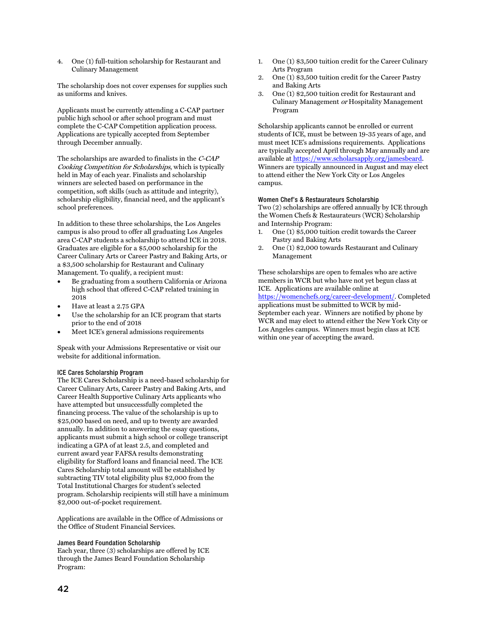4. One (1) full-tuition scholarship for Restaurant and Culinary Management

The scholarship does not cover expenses for supplies such as uniforms and knives.

Applicants must be currently attending a C-CAP partner public high school or after school program and must complete the C-CAP Competition application process. Applications are typically accepted from September through December annually.

The scholarships are awarded to finalists in the C-CAP Cooking Competition for Scholarships, which is typically held in May of each year. Finalists and scholarship winners are selected based on performance in the competition, soft skills (such as attitude and integrity), scholarship eligibility, financial need, and the applicant's school preferences.

In addition to these three scholarships, the Los Angeles campus is also proud to offer all graduating Los Angeles area C-CAP students a scholarship to attend ICE in 2018. Graduates are eligible for a \$5,000 scholarship for the Career Culinary Arts or Career Pastry and Baking Arts, or a \$3,500 scholarship for Restaurant and Culinary Management. To qualify, a recipient must:

- Be graduating from a southern California or Arizona high school that offered C-CAP related training in 2018
- Have at least a 2.75 GPA
- Use the scholarship for an ICE program that starts prior to the end of 2018
- Meet ICE's general admissions requirements

Speak with your Admissions Representative or visit our website for additional information.

#### <span id="page-42-0"></span>ICE Cares Scholarship Program

The ICE Cares Scholarship is a need-based scholarship for Career Culinary Arts, Career Pastry and Baking Arts, and Career Health Supportive Culinary Arts applicants who have attempted but unsuccessfully completed the financing process. The value of the scholarship is up to \$25,000 based on need, and up to twenty are awarded annually. In addition to answering the essay questions, applicants must submit a high school or college transcript indicating a GPA of at least 2.5, and completed and current award year FAFSA results demonstrating eligibility for Stafford loans and financial need. The ICE Cares Scholarship total amount will be established by subtracting TIV total eligibility plus \$2,000 from the Total Institutional Charges for student's selected program. Scholarship recipients will still have a minimum \$2,000 out-of-pocket requirement.

Applications are available in the Office of Admissions or the Office of Student Financial Services.

#### <span id="page-42-1"></span>James Beard Foundation Scholarship

Each year, three (3) scholarships are offered by ICE through the James Beard Foundation Scholarship Program:

- 1. One (1) \$3,500 tuition credit for the Career Culinary Arts Program
- 2. One (1) \$3,500 tuition credit for the Career Pastry and Baking Arts
- 3. One (1) \$2,500 tuition credit for Restaurant and Culinary Management or Hospitality Management Program

Scholarship applicants cannot be enrolled or current students of ICE, must be between 19-35 years of age, and must meet ICE's admissions requirements. Applications are typically accepted April through May annually and are available at [https://www.scholarsapply.org/jamesbeard.](https://www.scholarsapply.org/jamesbeard)  Winners are typically announced in August and may elect to attend either the New York City or Los Angeles campus.

#### <span id="page-42-2"></span>Women Chef's & Restaurateurs Scholarship

Two (2) scholarships are offered annually by ICE through the Women Chefs & Restaurateurs (WCR) Scholarship and Internship Program:

- 1. One (1) \$5,000 tuition credit towards the Career Pastry and Baking Arts
- 2. One (1) \$2,000 towards Restaurant and Culinary Management

These scholarships are open to females who are active members in WCR but who have not yet begun class at ICE. Applications are available online at

[https://womenchefs.org/career-development/.](https://womenchefs.org/career-development/) Completed applications must be submitted to WCR by mid-September each year. Winners are notified by phone by WCR and may elect to attend either the New York City or Los Angeles campus. Winners must begin class at ICE within one year of accepting the award.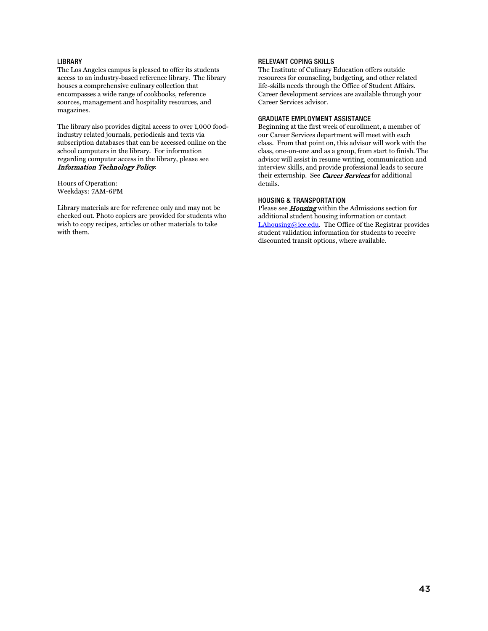#### <span id="page-43-0"></span>**LIBRARY**

The Los Angeles campus is pleased to offer its students access to an industry-based reference library. The library houses a comprehensive culinary collection that encompasses a wide range of cookbooks, reference sources, management and hospitality resources, and magazines.

The library also provides digital access to over 1,000 foodindustry related journals, periodicals and texts via subscription databases that can be accessed online on the school computers in the library. For information regarding computer access in the library, please see Information Technology Policy.

Hours of Operation: Weekdays: 7AM-6PM

Library materials are for reference only and may not be checked out. Photo copiers are provided for students who wish to copy recipes, articles or other materials to take with them.

#### <span id="page-43-1"></span>RELEVANT COPING SKILLS

The Institute of Culinary Education offers outside resources for counseling, budgeting, and other related life-skills needs through the Office of Student Affairs. Career development services are available through your Career Services advisor.

#### <span id="page-43-2"></span>GRADUATE EMPLOYMENT ASSISTANCE

Beginning at the first week of enrollment, a member of our Career Services department will meet with each class. From that point on, this advisor will work with the class, one-on-one and as a group, from start to finish. The advisor will assist in resume writing, communication and interview skills, and provide professional leads to secure their externship. See Career Services for additional details.

#### <span id="page-43-3"></span>HOUSING & TRANSPORTATION

Please see **Housing** within the Admissions section for additional student housing information or contact [LAhousing@ice.edu.](mailto:LAhousing@ice.edu) The Office of the Registrar provides student validation information for students to receive discounted transit options, where available.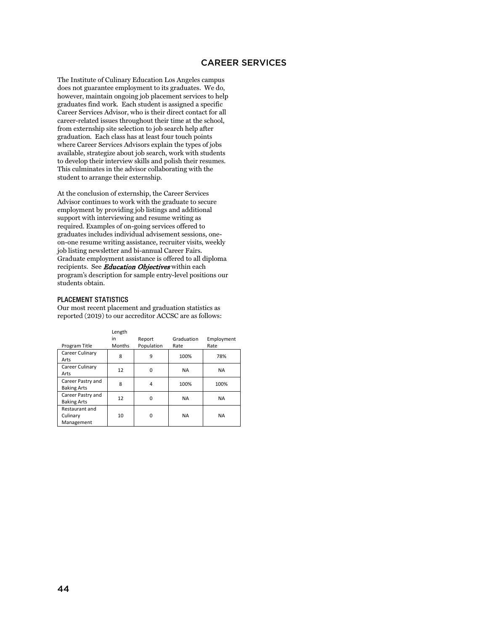#### CAREER SERVICES

<span id="page-44-0"></span>The Institute of Culinary Education Los Angeles campus does not guarantee employment to its graduates. We do, however, maintain ongoing job placement services to help graduates find work. Each student is assigned a specific Career Services Advisor, who is their direct contact for all career-related issues throughout their time at the school, from externship site selection to job search help after graduation. Each class has at least four touch points where Career Services Advisors explain the types of jobs available, strategize about job search, work with students to develop their interview skills and polish their resumes. This culminates in the advisor collaborating with the student to arrange their externship.

At the conclusion of externship, the Career Services Advisor continues to work with the graduate to secure employment by providing job listings and additional support with interviewing and resume writing as required. Examples of on-going services offered to graduates includes individual advisement sessions, oneon-one resume writing assistance, recruiter visits, weekly job listing newsletter and bi-annual Career Fairs. Graduate employment assistance is offered to all diploma recipients. See Education Objectives within each program's description for sample entry-level positions our students obtain.

#### <span id="page-44-1"></span>PLACEMENT STATISTICS

Our most recent placement and graduation statistics as reported (2019) to our accreditor ACCSC are as follows:

|                    | Length        |            |            |            |
|--------------------|---------------|------------|------------|------------|
|                    | in            | Report     | Graduation | Employment |
| Program Title      | <b>Months</b> | Population | Rate       | Rate       |
| Career Culinary    |               | 9          | 100%       | 78%        |
| Arts               | 8             |            |            |            |
| Career Culinary    | 12            | 0          | <b>NA</b>  | <b>NA</b>  |
| Arts               |               |            |            |            |
| Career Pastry and  | 8             | 4          | 100%       | 100%       |
| <b>Baking Arts</b> |               |            |            |            |
| Career Pastry and  | 12            | 0          | <b>NA</b>  | <b>NA</b>  |
| <b>Baking Arts</b> |               |            |            |            |
| Restaurant and     |               |            |            |            |
| Culinary           | 10            | 0          | <b>NA</b>  | <b>NA</b>  |
| Management         |               |            |            |            |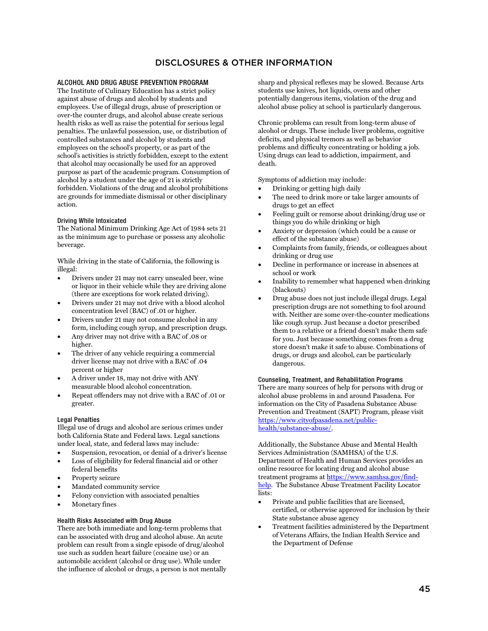## DISCLOSURES & OTHER INFORMATION

#### <span id="page-45-1"></span><span id="page-45-0"></span>ALCOHOL AND DRUG ABUSE PREVENTION PROGRAM

The Institute of Culinary Education has a strict policy against abuse of drugs and alcohol by students and employees. Use of illegal drugs, abuse of prescription or over-the counter drugs, and alcohol abuse create serious health risks as well as raise the potential for serious legal penalties. The unlawful possession, use, or distribution of controlled substances and alcohol by students and employees on the school's property, or as part of the school's activities is strictly forbidden, except to the extent that alcohol may occasionally be used for an approved purpose as part of the academic program. Consumption of alcohol by a student under the age of 21 is strictly forbidden. Violations of the drug and alcohol prohibitions are grounds for immediate dismissal or other disciplinary action.

#### <span id="page-45-2"></span>Driving While Intoxicated

The National Minimum Drinking Age Act of 1984 sets 21 as the minimum age to purchase or possess any alcoholic beverage.

While driving in the state of California, the following is illegal:

- Drivers under 21 may not carry unsealed beer, wine or liquor in their vehicle while they are driving alone (there are exceptions for work related driving).
- Drivers under 21 may not drive with a blood alcohol concentration level (BAC) of .01 or higher.
- Drivers under 21 may not consume alcohol in any form, including cough syrup, and prescription drugs.
- Any driver may not drive with a BAC of .08 or higher.
- The driver of any vehicle requiring a commercial driver license may not drive with a BAC of .04 percent or higher
- A driver under 18, may not drive with ANY measurable blood alcohol concentration.
- Repeat offenders may not drive with a BAC of .01 or greater.

#### <span id="page-45-3"></span>Legal Penalties

Illegal use of drugs and alcohol are serious crimes under both California State and Federal laws. Legal sanctions under local, state, and federal laws may include:

- Suspension, revocation, or denial of a driver's license
- Loss of eligibility for federal financial aid or other federal benefits
- Property seizure
- Mandated community service
- Felony conviction with associated penalties
- Monetary fines

#### <span id="page-45-4"></span>Health Risks Associated with Drug Abuse

There are both immediate and long-term problems that can be associated with drug and alcohol abuse. An acute problem can result from a single episode of drug/alcohol use such as sudden heart failure (cocaine use) or an automobile accident (alcohol or drug use). While under the influence of alcohol or drugs, a person is not mentally sharp and physical reflexes may be slowed. Because Arts students use knives, hot liquids, ovens and other potentially dangerous items, violation of the drug and alcohol abuse policy at school is particularly dangerous.

Chronic problems can result from long-term abuse of alcohol or drugs. These include liver problems, cognitive deficits, and physical tremors as well as behavior problems and difficulty concentrating or holding a job. Using drugs can lead to addiction, impairment, and death.

Symptoms of addiction may include:

- Drinking or getting high daily
- The need to drink more or take larger amounts of drugs to get an effect
- Feeling guilt or remorse about drinking/drug use or things you do while drinking or high
- Anxiety or depression (which could be a cause or effect of the substance abuse)
- Complaints from family, friends, or colleagues about drinking or drug use
- Decline in performance or increase in absences at school or work
- Inability to remember what happened when drinking (blackouts)
- Drug abuse does not just include illegal drugs. Legal prescription drugs are not something to fool around with. Neither are some over-the-counter medications like cough syrup. Just because a doctor prescribed them to a relative or a friend doesn't make them safe for you. Just because something comes from a drug store doesn't make it safe to abuse. Combinations of drugs, or drugs and alcohol, can be particularly dangerous.

#### <span id="page-45-5"></span>Counseling, Treatment, and Rehabilitation Programs There are many sources of help for persons with drug or

alcohol abuse problems in and around Pasadena. For information on the City of Pasadena Substance Abuse Prevention and Treatment (SAPT) Program, please visit [https://www.cityofpasadena.net/public](https://www.cityofpasadena.net/public-health/substance-abuse/)[health/substance-abuse/.](https://www.cityofpasadena.net/public-health/substance-abuse/) 

Additionally, the Substance Abuse and Mental Health Services Administration (SAMHSA) of the U.S. Department of Health and Human Services provides an online resource for locating drug and alcohol abuse treatment programs at [https://www.samhsa.gov/find](https://www.samhsa.gov/find-help)[help.](https://www.samhsa.gov/find-help) The Substance Abuse Treatment Facility Locator lists:

- Private and public facilities that are licensed, certified, or otherwise approved for inclusion by their State substance abuse agency
- Treatment facilities administered by the Department of Veterans Affairs, the Indian Health Service and the Department of Defense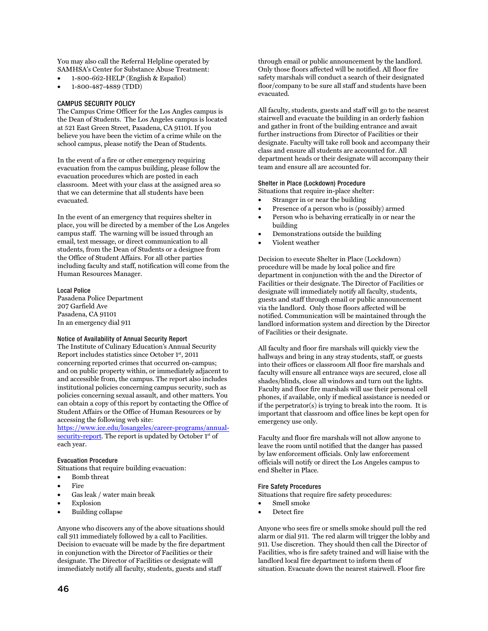You may also call the Referral Helpline operated by SAMHSA's Center for Substance Abuse Treatment:

- 1-800-662-HELP (English & Español)
- 1-800-487-4889 (TDD)

#### <span id="page-46-0"></span>CAMPUS SECURITY POLICY

The Campus Crime Officer for the Los Angles campus is the Dean of Students. The Los Angeles campus is located at 521 East Green Street, Pasadena, CA 91101. If you believe you have been the victim of a crime while on the school campus, please notify the Dean of Students.

In the event of a fire or other emergency requiring evacuation from the campus building, please follow the evacuation procedures which are posted in each classroom. Meet with your class at the assigned area so that we can determine that all students have been evacuated.

In the event of an emergency that requires shelter in place, you will be directed by a member of the Los Angeles campus staff. The warning will be issued through an email, text message, or direct communication to all students, from the Dean of Students or a designee from the Office of Student Affairs. For all other parties including faculty and staff, notification will come from the Human Resources Manager.

<span id="page-46-1"></span>Local Police Pasadena Police Department 207 Garfield Ave Pasadena, CA 91101 In an emergency dial 911

#### <span id="page-46-2"></span>Notice of Availability of Annual Security Report

The Institute of Culinary Education's Annual Security Report includes statistics since October 1st, 2011 concerning reported crimes that occurred on-campus; and on public property within, or immediately adjacent to and accessible from, the campus. The report also includes institutional policies concerning campus security, such as policies concerning sexual assault, and other matters. You can obtain a copy of this report by contacting the Office of Student Affairs or the Office of Human Resources or by accessing the following web site:

[https://www.ice.edu/losangeles/career-programs/annual](https://www.ice.edu/losangeles/career-programs/annual-security-report)[security-report.](https://www.ice.edu/losangeles/career-programs/annual-security-report) The report is updated by October 1<sup>st</sup> of each year.

#### <span id="page-46-3"></span>Evacuation Procedure

Situations that require building evacuation:

- Bomb threat
- **Fire**
- Gas leak / water main break
- **Explosion**
- Building collapse

Anyone who discovers any of the above situations should call 911 immediately followed by a call to Facilities. Decision to evacuate will be made by the fire department in conjunction with the Director of Facilities or their designate. The Director of Facilities or designate will immediately notify all faculty, students, guests and staff

through email or public announcement by the landlord. Only those floors affected will be notified. All floor fire safety marshals will conduct a search of their designated floor/company to be sure all staff and students have been evacuated.

All faculty, students, guests and staff will go to the nearest stairwell and evacuate the building in an orderly fashion and gather in front of the building entrance and await further instructions from Director of Facilities or their designate. Faculty will take roll book and accompany their class and ensure all students are accounted for. All department heads or their designate will accompany their team and ensure all are accounted for.

#### <span id="page-46-4"></span>Shelter in Place (Lockdown) Procedure

Situations that require in-place shelter:

- Stranger in or near the building
- Presence of a person who is (possibly) armed
- Person who is behaving erratically in or near the building
- Demonstrations outside the building
- Violent weather

Decision to execute Shelter in Place (Lockdown) procedure will be made by local police and fire department in conjunction with the and the Director of Facilities or their designate. The Director of Facilities or designate will immediately notify all faculty, students, guests and staff through email or public announcement via the landlord. Only those floors affected will be notified. Communication will be maintained through the landlord information system and direction by the Director of Facilities or their designate.

All faculty and floor fire marshals will quickly view the hallways and bring in any stray students, staff, or guests into their offices or classroom All floor fire marshals and faculty will ensure all entrance ways are secured, close all shades/blinds, close all windows and turn out the lights. Faculty and floor fire marshals will use their personal cell phones, if available, only if medical assistance is needed or if the perpetrator(s) is trying to break into the room. It is important that classroom and office lines be kept open for emergency use only.

Faculty and floor fire marshals will not allow anyone to leave the room until notified that the danger has passed by law enforcement officials. Only law enforcement officials will notify or direct the Los Angeles campus to end Shelter in Place.

#### <span id="page-46-5"></span>Fire Safety Procedures

Situations that require fire safety procedures:

- Smell smoke
- Detect fire

Anyone who sees fire or smells smoke should pull the red alarm or dial 911. The red alarm will trigger the lobby and 911. Use discretion. They should then call the Director of Facilities, who is fire safety trained and will liaise with the landlord local fire department to inform them of situation. Evacuate down the nearest stairwell. Floor fire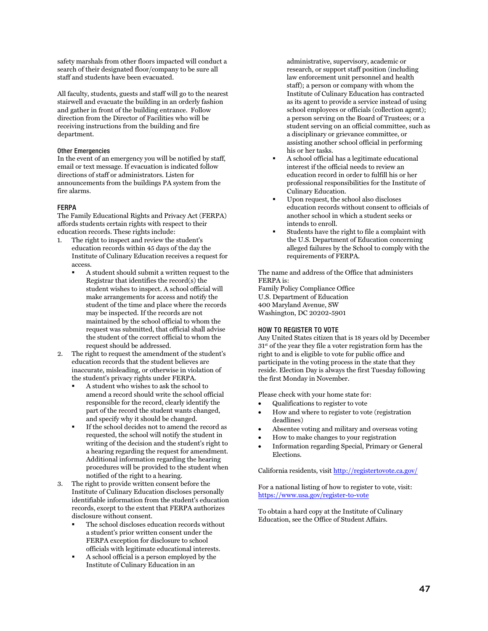safety marshals from other floors impacted will conduct a search of their designated floor/company to be sure all staff and students have been evacuated.

All faculty, students, guests and staff will go to the nearest stairwell and evacuate the building in an orderly fashion and gather in front of the building entrance. Follow direction from the Director of Facilities who will be receiving instructions from the building and fire department.

#### <span id="page-47-0"></span>Other Emergencies

In the event of an emergency you will be notified by staff, email or text message. If evacuation is indicated follow directions of staff or administrators. Listen for announcements from the buildings PA system from the fire alarms.

#### <span id="page-47-1"></span>FERPA

The Family Educational Rights and Privacy Act (FERPA) affords students certain rights with respect to their education records. These rights include:

- 1. The right to inspect and review the student's education records within 45 days of the day the Institute of Culinary Education receives a request for access.
	- A student should submit a written request to the Registrar that identifies the record(s) the student wishes to inspect. A school official will make arrangements for access and notify the student of the time and place where the records may be inspected. If the records are not maintained by the school official to whom the request was submitted, that official shall advise the student of the correct official to whom the request should be addressed.
- 2. The right to request the amendment of the student's education records that the student believes are inaccurate, misleading, or otherwise in violation of the student's privacy rights under FERPA.
	- A student who wishes to ask the school to amend a record should write the school official responsible for the record, clearly identify the part of the record the student wants changed, and specify why it should be changed.
	- If the school decides not to amend the record as requested, the school will notify the student in writing of the decision and the student's right to a hearing regarding the request for amendment. Additional information regarding the hearing procedures will be provided to the student when notified of the right to a hearing.
- 3. The right to provide written consent before the Institute of Culinary Education discloses personally identifiable information from the student's education records, except to the extent that FERPA authorizes disclosure without consent.
	- The school discloses education records without a student's prior written consent under the FERPA exception for disclosure to school officials with legitimate educational interests.
	- A school official is a person employed by the Institute of Culinary Education in an

administrative, supervisory, academic or research, or support staff position (including law enforcement unit personnel and health staff); a person or company with whom the Institute of Culinary Education has contracted as its agent to provide a service instead of using school employees or officials (collection agent); a person serving on the Board of Trustees; or a student serving on an official committee, such as a disciplinary or grievance committee, or assisting another school official in performing his or her tasks.

- A school official has a legitimate educational interest if the official needs to review an education record in order to fulfill his or her professional responsibilities for the Institute of Culinary Education.
- Upon request, the school also discloses education records without consent to officials of another school in which a student seeks or intends to enroll.
- Students have the right to file a complaint with the U.S. Department of Education concerning alleged failures by the School to comply with the requirements of FERPA.

The name and address of the Office that administers FERPA is: Family Policy Compliance Office

U.S. Department of Education 400 Maryland Avenue, SW Washington, DC 20202-5901

#### <span id="page-47-2"></span>HOW TO REGISTER TO VOTE

Any United States citizen that is 18 years old by December  $31<sup>st</sup>$  of the year they file a voter registration form has the right to and is eligible to vote for public office and participate in the voting process in the state that they reside. Election Day is always the first Tuesday following the first Monday in November.

Please check with your home state for:

- Qualifications to register to vote
- How and where to register to vote (registration deadlines)
- Absentee voting and military and overseas voting
- How to make changes to your registration
- Information regarding Special, Primary or General Elections.

California residents, visit <http://registertovote.ca.gov/>

For a national listing of how to register to vote, visit: <https://www.usa.gov/register-to-vote>

To obtain a hard copy at the Institute of Culinary Education, see the Office of Student Affairs.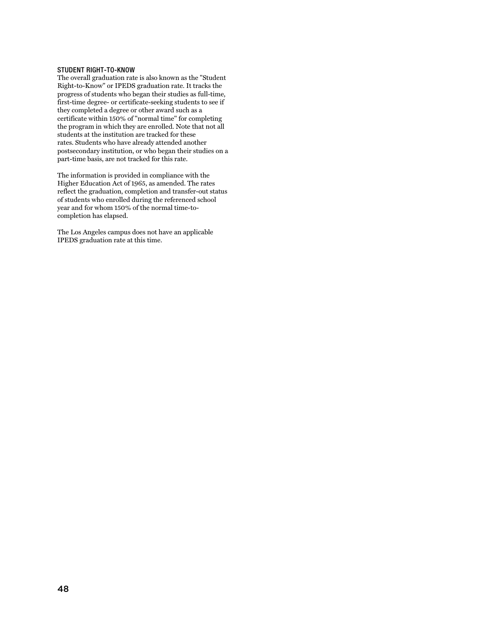#### <span id="page-48-0"></span>STUDENT RIGHT-TO-KNOW

The overall graduation rate is also known as the "Student Right-to-Know" or IPEDS graduation rate. It tracks the progress of students who began their studies as full-time, first-time degree- or certificate-seeking students to see if they completed a degree or other award such as a certificate within 150% of "normal time" for completing the program in which they are enrolled. Note that not all students at the institution are tracked for these rates. Students who have already attended another postsecondary institution, or who began their studies on a part-time basis, are not tracked for this rate.

The information is provided in compliance with the Higher Education Act of 1965, as amended. The rates reflect the graduation, completion and transfer-out status of students who enrolled during the referenced school year and for whom 150% of the normal time-tocompletion has elapsed.

The Los Angeles campus does not have an applicable IPEDS graduation rate at this time.